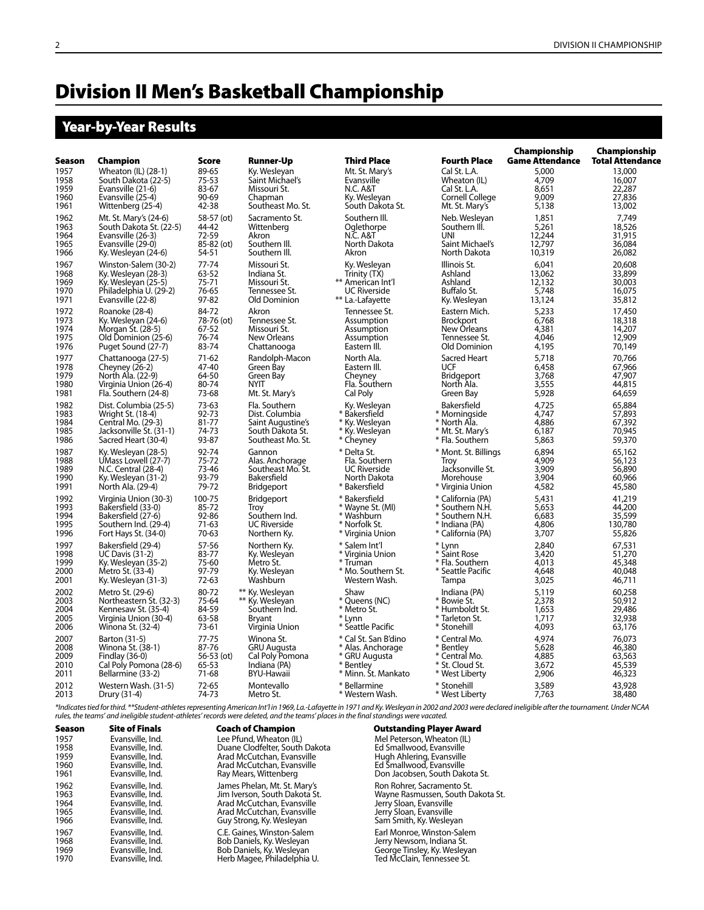# Division II Men's Basketball Championship

# Year-by-Year Results

|               |                         |            | Championship        | Championship         |                      |                        |                         |  |  |
|---------------|-------------------------|------------|---------------------|----------------------|----------------------|------------------------|-------------------------|--|--|
| <b>Season</b> | <b>Champion</b>         | Score      | <b>Runner-Up</b>    | <b>Third Place</b>   | <b>Fourth Place</b>  | <b>Game Attendance</b> | <b>Total Attendance</b> |  |  |
| 1957          | Wheaton (IL) (28-1)     | 89-65      | Ky. Wesleyan        | Mt. St. Mary's       | Cal St. L.A.         | 5,000                  | 13,000                  |  |  |
| 1958          | South Dakota (22-5)     | $75 - 53$  | Saint Michael's     | Evansville           | Wheaton (IL)         | 4,709                  | 16,007                  |  |  |
| 1959          | Evansville (21-6)       | 83-67      | Missouri St.        | <b>N.C. A&amp;T</b>  | Cal St. L.A.         | 8,651                  | 22,287                  |  |  |
| 1960          | Evansville (25-4)       | 90-69      | Chapman             | Ky. Wesleyan         | Cornell College      | 9,009                  | 27,836                  |  |  |
| 1961          | Wittenberg (25-4)       | 42-38      | Southeast Mo. St.   | South Dakota St.     | Mt. St. Mary's       | 5,138                  | 13,002                  |  |  |
| 1962          | Mt. St. Mary's (24-6)   | 58-57 (ot) | Sacramento St.      | Southern III.        | Neb. Wesleyan        | 1,851                  | 7.749                   |  |  |
| 1963          | South Dakota St. (22-5) | 44-42      | Wittenberg          | Oglethorpe           | Southern III.        | 5,261                  | 18,526                  |  |  |
| 1964          | Evansville (26-3)       | 72-59      | Akron               | N.C. A&T             | UNI                  | 12,244                 | 31,915                  |  |  |
| 1965          | Evansville (29-0)       | 85-82 (ot) | Southern III.       | North Dakota         | Saint Michael's      | 12,797                 | 36,084                  |  |  |
| 1966          | Ky. Wesleyan (24-6)     | 54-51      | Southern III.       | Akron                | North Dakota         | 10,319                 | 26,082                  |  |  |
| 1967          | Winston-Salem (30-2)    | 77-74      | Missouri St.        | Ky. Wesleyan         | Illinois St.         | 6.041                  | 20,608                  |  |  |
| 1968          | Ky. Wesleyan (28-3)     | 63-52      | Indiana St.         | Trinity (TX)         | Ashland              | 13,062                 | 33,899                  |  |  |
| 1969          | Ky. Wesleyan (25-5)     | 75-71      | Missouri St.        | ** American Int'l    | Ashland              | 12,132                 | 30,003                  |  |  |
| 1970          | Philadelphia U. (29-2)  | 76-65      | Tennessee St.       | <b>UC Riverside</b>  | Buffalo St.          | 5.748                  | 16,075                  |  |  |
| 1971          | Evansville (22-8)       | 97-82      | Old Dominion        | ** La.-Lafayette     | Ky. Wesleyan         | 13,124                 | 35,812                  |  |  |
| 1972          | Roanoke (28-4)          | 84-72      | Akron               | Tennessee St.        | Eastern Mich.        | 5.233                  | 17,450                  |  |  |
| 1973          | Ky. Wesleyan (24-6)     | 78-76 (ot) | Tennessee St.       | Assumption           | <b>Brockport</b>     | 6,768                  | 18,318                  |  |  |
| 1974          | Morgan St. (28-5)       | 67-52      | Missouri St.        | Assumption           | New Orleans          | 4,381                  | 14,207                  |  |  |
| 1975          | Old Dominion (25-6)     | 76-74      | <b>New Orleans</b>  | Assumption           | Tennessee St.        | 4.046                  | 12,909                  |  |  |
| 1976          | Puget Sound (27-7)      | 83-74      | Chattanooga         | Eastern III.         | Old Dominion         | 4,195                  | 70,149                  |  |  |
| 1977          | Chattanooga (27-5)      | $71-62$    | Randolph-Macon      | North Ala.           | Sacred Heart         | 5.718                  | 70,766                  |  |  |
| 1978          | Cheyney (26-2)          | 47-40      | Green Bay           | Eastern III.         | <b>UCF</b>           | 6,458                  | 67,966                  |  |  |
| 1979          | North Ala. (22-9)       | 64-50      | Green Bay           | Cheyney              | <b>Bridgeport</b>    | 3,768                  | 47,907                  |  |  |
| 1980          | Virginia Union (26-4)   | 80-74      | NYIT                | Fla. Southern        | North Ala.           | 3,555                  | 44.815                  |  |  |
| 1981          | Fla. Southern (24-8)    | 73-68      | Mt. St. Mary's      | Cal Poly             | Green Bay            | 5,928                  | 64,659                  |  |  |
| 1982          | Dist. Columbia (25-5)   | 73-63      | Fla. Southern       | Ky. Wesleyan         | Bakersfield          | 4,725                  | 65,884                  |  |  |
| 1983          | Wright St. (18-4)       | 92-73      | Dist. Columbia      | * Bakersfield        | * Morninaside        | 4.747                  | 57,893                  |  |  |
| 1984          | Central Mo. (29-3)      | 81-77      | Saint Augustine's   | * Ky. Wesleyan       | * North Ala.         | 4.886                  | 67,392                  |  |  |
| 1985          | Jacksonville St. (31-1) | 74-73      | South Dakota St.    | * Ky. Wesleyan       | * Mt. St. Mary's     | 6,187                  | 70,945                  |  |  |
| 1986          | Sacred Heart (30-4)     | 93-87      | Southeast Mo. St.   | * Cheyney            | * Fla. Southern      | 5,863                  | 59,370                  |  |  |
| 1987          | Ky. Wesleyan (28-5)     | 92-74      | Gannon              | * Delta St.          | * Mont. St. Billings | 6.894                  | 65,162                  |  |  |
| 1988          | UMass Lowell (27-7)     | $75 - 72$  | Alas. Anchorage     | Fla. Southern        | Troy                 | 4.909                  | 56,123                  |  |  |
| 1989          | N.C. Central (28-4)     | 73-46      | Southeast Mo. St.   | <b>UC Riverside</b>  | Jacksonville St.     | 3,909                  | 56,890                  |  |  |
| 1990          | Ky. Wesleyan (31-2)     | 93-79      | Bakersfield         | North Dakota         | Morehouse            | 3,904                  | 60,966                  |  |  |
| 1991          | North Ala. (29-4)       | 79-72      | <b>Bridgeport</b>   | * Bakersfield        | * Virginia Union     | 4,582                  | 45,580                  |  |  |
| 1992          | Virginia Union (30-3)   | 100-75     | <b>Bridgeport</b>   | * Bakersfield        | * California (PA)    | 5,431                  | 41,219                  |  |  |
| 1993          | Bakersfield (33-0)      | 85-72      | Trov                | * Wayne St. (MI)     | * Southern N.H.      | 5.653                  | 44,200                  |  |  |
| 1994          | Bakersfield (27-6)      | 92-86      | Southern Ind.       | * Washburn           | * Southern N.H.      | 6,683                  | 35,599                  |  |  |
| 1995          | Southern Ind. (29-4)    | $71-63$    | <b>UC Riverside</b> | * Norfolk St.        | * Indiana (PA)       | 4,806                  | 130,780                 |  |  |
| 1996          | Fort Hays St. (34-0)    | 70-63      | Northern Ky.        | * Virginia Union     | * California (PA)    | 3,707                  | 55,826                  |  |  |
| 1997          | Bakersfield (29-4)      | 57-56      | Northern Ky.        | * Salem Int'l        | * Lynn               | 2,840                  | 67,531                  |  |  |
| 1998          | <b>UC Davis (31-2)</b>  | 83-77      | Ky. Wesleyan        | * Virginia Union     | * Saint Rose         | 3,420                  | 51,270                  |  |  |
| 1999          | Ky. Wesleyan (35-2)     | 75-60      | Metro St.           | * Truman             | * Fla. Southern      | 4,013                  | 45,348                  |  |  |
| 2000          | Metro St. (33-4)        | 97-79      | Ky. Wesleyan        | * Mo. Southern St.   | * Seattle Pacific    | 4,648                  | 40,048                  |  |  |
| 2001          | Ky. Wesleyan (31-3)     | 72-63      | Washburn            | Western Wash.        | Tampa                | 3,025                  | 46,711                  |  |  |
| 2002          | Metro St. (29-6)        | 80-72      | ** Ky. Wesleyan     | Shaw                 | Indiana (PA)         | 5.119                  | 60.258                  |  |  |
| 2003          | Northeastern St. (32-3) | 75-64      | ** Ky. Wesleyan     | * Queens (NC)        | * Bowie St.          | 2,378                  | 50,912                  |  |  |
| 2004          | Kennesaw St. (35-4)     | 84-59      | Southern Ind.       | * Metro St.          | * Humboldt St.       | 1,653                  | 29,486                  |  |  |
| 2005          | Virginia Union (30-4)   | 63-58      | <b>Brvant</b>       | * Lynn               | * Tarleton St.       | 1,717                  | 32,938                  |  |  |
| 2006          | Winona St. (32-4)       | 73-61      | Virginia Union      | * Seattle Pacific    | * Stonehill          | 4,093                  | 63,176                  |  |  |
| 2007          | Barton (31-5)           | $77 - 75$  | Winona St.          | * Cal St. San B'dino | * Central Mo.        | 4.974                  | 76,073                  |  |  |
| 2008          | Winona St. (38-1)       | 87-76      | <b>GRU Augusta</b>  | * Alas. Anchorage    | * Bentley            | 5,628                  | 46,380                  |  |  |
| 2009          | Findlay (36-0)          | 56-53 (ot) | Cal Poly Pomona     | * GRU Augusta        | * Central Mo.        | 4,885                  | 63,563                  |  |  |
| 2010          | Cal Poly Pomona (28-6)  | 65-53      | Indiana (PA)        | * Bentley            | * St. Cloud St.      | 3,672                  | 45,539                  |  |  |
| 2011          | Bellarmine (33-2)       | 71-68      | <b>BYU-Hawaii</b>   | * Minn. Št. Mankato  | * West Liberty       | 2,906                  | 46,323                  |  |  |
| 2012          | Western Wash. (31-5)    | $72 - 65$  | Montevallo          | * Bellarmine         | * Stonehill          | 3,589                  | 43,928                  |  |  |
| 2013          | Drury (31-4)            | 74-73      | Metro St.           | * Western Wash.      | * West Liberty       | 7.763                  | 38,480                  |  |  |

\*Indicates tied for third. \*\*Student-athletes representing American Int'l in 1969, La.-Lafayette in 1971 and Ky. Wesleyan in 2002 and 2003 were declared ineligible after the tournament. Under NCAA<br>rules, the teams' and ine

| <b>Season</b> | <b>Site of Finals</b> | <b>Coach of Champion</b>       | <b>Outstanding Player Award</b>   |
|---------------|-----------------------|--------------------------------|-----------------------------------|
| 1957          | Evansville, Ind.      | Lee Pfund, Wheaton (IL)        | Mel Peterson, Wheaton (IL)        |
| 1958          | Evansville, Ind.      | Duane Clodfelter, South Dakota | Ed Smallwood, Evansville          |
| 1959          | Evansville, Ind.      | Arad McCutchan, Evansville     | Hugh Ahlering, Evansville         |
| 1960          | Evansville, Ind.      | Arad McCutchan, Evansville     | Ed Smallwood, Evansville          |
| 1961          | Evansville, Ind.      | Ray Mears, Wittenberg          | Don Jacobsen, South Dakota St.    |
| 1962          | Evansville, Ind.      | James Phelan, Mt. St. Mary's   | Ron Rohrer, Sacramento St.        |
| 1963          | Evansville, Ind.      | Jim Iverson, South Dakota St.  | Wayne Rasmussen, South Dakota St. |
| 1964          | Evansville, Ind.      | Arad McCutchan, Evansville     | Jerry Sloan, Evansville           |
| 1965          | Evansville, Ind.      | Arad McCutchan, Evansville     | Jerry Sloan, Evansville           |
| 1966          | Evansville, Ind.      | Guy Strong, Ky. Wesleyan       | Sam Smith, Ky. Wesleyan           |
| 1967          | Evansville, Ind.      | C.E. Gaines, Winston-Salem     | Earl Monroe, Winston-Salem        |
| 1968          | Evansville, Ind.      | Bob Daniels, Ky. Wesleyan      | Jerry Newsom, Indiana St.         |
| 1969          | Evansville, Ind.      | Bob Daniels, Ky. Wesleyan      | George Tinsley, Ky. Wesleyan      |
| 1970          | Evansville, Ind.      | Herb Magee, Philadelphia U.    | Ted McClain, Tennessee St.        |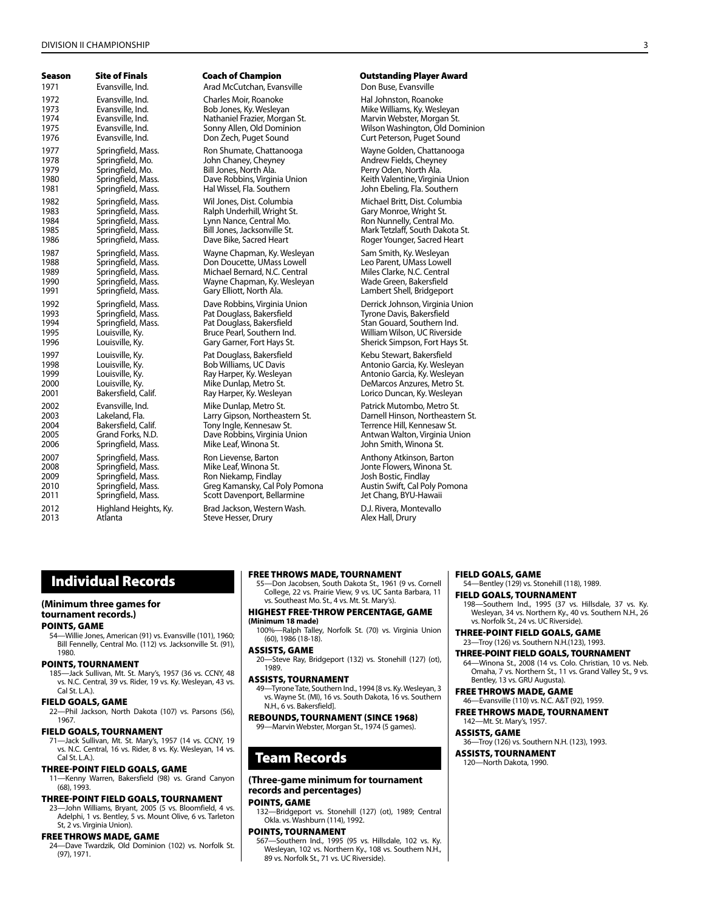#### DIVISION II CHAMPIONSHIP 3

| Season | <b>Site of Finals</b> |
|--------|-----------------------|
| 1971   | Evansville, Ind.      |
| 1972   | Evansville, Ind.      |
| 1973   | Evansville, Ind.      |
| 1974   | Evansville, Ind.      |
| 1975   | Evansville, Ind.      |
| 1976   | Evansville, Ind.      |
| 1977   | Springfield, Mass.    |
| 1978   | Springfield, Mo.      |
| 1979   | Springfield, Mo.      |
| 1980   | Springfield, Mass.    |
| 1981   | Springfield, Mass.    |
| 1982   | Springfield, Mass.    |
| 1983   | Springfield, Mass.    |
| 1984   | Springfield, Mass.    |
| 1985   | Springfield, Mass.    |
| 1986   | Springfield, Mass.    |
| 1987   | Springfield, Mass.    |
| 1988   | Springfield, Mass.    |
| 1989   | Springfield, Mass.    |
| 1990   | Springfield, Mass.    |
| 1991   | Springfield, Mass.    |
| 1992   | Springfield, Mass.    |
| 1993   | Springfield, Mass.    |
| 1994   | Springfield, Mass.    |
| 1995   | Louisville, Ky.       |
| 1996   | Louisville, Ky.       |
| 1997   | Louisville, Ky.       |
| 1998   | Louisville, Ky.       |
| 1999   | Louisville, Ky.       |
| 2000   | Louisville, Ky.       |
| 2001   | Bakersfield, Calif.   |
| 2002   | Evansville, Ind.      |
| 2003   | Lakeland, Fla.        |
| 2004   | Bakersfield, Calif.   |
| 2005   | Grand Forks, N.D.     |
| 2006   | Springfield, Mass.    |
| 2007   | Springfield, Mass.    |
| 2008   | Springfield, Mass.    |
| 2009   | Springfield, Mass.    |
| 2010   | Springfield, Mass.    |
| 2011   | Springfield, Mass.    |
| 2012   | Highland Heights, K   |
| 2013   | Atlanta               |

Arad McCutchan, Evansville **Ind. Arad McCutchan**, Evansville 1972 Charles Moir, Roanoke<br>1972 Bob Jones, Ky. Wesleyan<br>1972 Mike Williams, Ky. Wesleyan Nathaniel Frazier, Morgan St.<br>Sonny Allen, Old Dominion Ron Shumate, Chattanooga **Nagilaan Shumate, Chattanooga** Wayne Golden, Chattanooga 1978 John Chaney, Cheyney (1978) Solomon Andrew Fields, Cheyney<br>1978 - Bill Jones, North Ala. 1979 Bill Jones, North Ala.<br>1979 Dave Robbins, Virginia Union 1970 - Keith Valentine, Virginia 1981 Springfield, Mass. Hal Wissel, Fla. Southern John Ebeling, Fla. Southern 1982 Springfield, Mass. Wil Jones, Dist. Columbia Michael Britt, Dist. Columbia Ralph Underhill, Wright St.<br>Lynn Nance, Central Mo. 1984 Lynn Nance, Central Mo.<br>1984 Bill Jones, Jacksonville St. Nances Mark Tetzlaff, South Dakot 1987 Wayne Chapman, Ky. Wesleyan<br>1987 Springfield, Mars. Lowell Chapman, Chapman, Chapman, Chapman, Chapman, Chapman, Chapman, Chapman, Chapman 1988 Don Doucette, UMass Lowell Leo Parent, UMass Lowell Leo Parent, UMass Lowell Leo Parent, UMass Lowell Leo<br>1988 Miles Clarke, N.C. Central Leo Louis Clarke, N.C. Central 1989 Michael Bernard, N.C. Central Niles Clarke, N.C. Central<br>1989 Wayne Chapman, Ky. Wesleyan Niles Made Green, Bakersfield Wayne Chapman, Ky. Wesleyan<br>Gary Elliott, North Ala. 1992 Springfield, Mass. Dave Robbins, Virginia Union Derrick Johnson, Virginia Union Pat Douglass, Bakersfield 1994 Springfield, Mass. Pat Douglass, Bakersfield Stan Gouard, Southern Ind. Pat Douglass, Bakersfield **Read Exercise Steps Australia Constant**<br>1998 Bob Williams, UC Davis **Kebu Steps Australia** Antonio Garcia. Kv. Wesley 1998 Bob Williams, UC Davis<br>1998 - Ray Harper, Ky. Wesleyan May Harper, Ky. Wesleyan Mike Dunlap, Metro St.<br>Ray Harper, Ky. Wesleyan Mike Dunlap, Metro St. **Patrick Mutombo, Metro St.** Patrick Mutombo, Metro St. Patrick Mutombo, Mortheaster St. Coach of Champion **Site of Champion** Outstanding Player Award

2005 Dave Robbins, Virginia Union Antwan Walton, Virginia Union Antwan Walton, Virginia Union At.<br>Antware Leaf. Winona St. Antware Union Antwan Uniona St. Mike Leaf, Winona St.

2007 Ron Lievense, Barton Anthony Atkinson, Barton Anthony Atkinson, Barton Anthony Atkinson, Barton Anthony A<br>2016 September 2016, Mass. Anthony Anthony Atkinson, Barton Atl. Ron Niekamp, Findlay<br>2009 Spring Josh Bostic, Findlay Pomona<br>2019 Austin Swift, Cal Poly Pomona Greg Kamansky, Cal Poly Pomona 2011 Springfield, Mass. Scott Davenport, Bellarmine Jet Chang, BYU-Hawaii 2012 Highland Heights, Ky. Brad Jackson, Western Wash. D.J. Rivera, Montevallo Steve Hesser, Drury

1974 Evan<br>1974 Evans, Ky. Wesleyan<br>1973 Marvin Webster, Morgan 1975 Sonny Allen, Old Dominion (Wilson Washington, Old Dominion<br>1975 Curt Peterson, Puaet Sound Curt Peterson, Puaet Sound Curt Peterson, Puget Sound

Keith Valentine, Virginia Union

1995 Bill Jones, Jacksonville St. Mark Tetzlaff, South Dakota St. Mark Tetzlaff, South Dakota St. Mark Tetzlaf<br>1995 Roger Younger, Sacred Heart Roger Younger, Sacred Heart

Lambert Shell, Bridgeport

William Wilson, UC Riverside Gary Garner, Fort Hays St. Sherick Simpson, Fort Hays St.

> Antonio Garcia, Ky. Wesleyan<br>DeMarcos Anzures, Metro St. Lorico Duncan, Ky. Wesleyan

2003 Lakeland, Fla. Larry Gipson, Northeastern St. Darnell Hinson, Northeastern St. Terrence Hill, Kennesaw St.<br>Antwan Walton, Virginia Union

Jonte Flowers, Winona St.<br>Josh Bostic, Findlay

# Individual Records

#### **(Minimum three games for tournament records.)**

#### Points, Game

54—Willie Jones, American (91) vs. Evansville (101), 1960; Bill Fennelly, Central Mo. (112) vs. Jacksonville St. (91), 1980.

#### Points, Tournament

185—Jack Sullivan, Mt. St. Mary's, 1957 (36 vs. CCNY, 48 vs. N.C. Central, 39 vs. Rider, 19 vs. Ky. Wesleyan, 43 vs. Cal St. L.A.).

#### Field Goals, Game

22—Phil Jackson, North Dakota (107) vs. Parsons (56), 1967.

#### Field Goals, Tournament

71—Jack Sullivan, Mt. St. Mary's, 1957 (14 vs. CCNY, 19 vs. N.C. Central, 16 vs. Rider, 8 vs. Ky. Wesleyan, 14 vs. Cal St. L.A.).

#### Three-Point Field Goals, Game

11—Kenny Warren, Bakersfield (98) vs. Grand Canyon (68), 1993.

# Three-Point Field Goals, Tournament

23—John Williams, Bryant, 2005 (5 vs. Bloomfield, 4 vs. Adelphi, 1 vs. Bentley, 5 vs. Mount Olive, 6 vs. Tarleton St, 2 vs. Virginia Union).

#### Free Throws made, Game

24—Dave Twardzik, Old Dominion (102) vs. Norfolk St. (97), 1971.

#### Free Throws made, Tournament

55—Don Jacobsen, South Dakota St., 1961 (9 vs. Cornell College, 22 vs. Prairie View, 9 vs. UC Santa Barbara, 11 vs. Southeast Mo. St., 4 vs. Mt. St. Mary's).

#### Highest Free-Throw Percentage, Game **(Minimum 18 made)**

100%—Ralph Talley, Norfolk St. (70) vs. Virginia Union (60), 1986 (18-18). Assists, Game

#### 20—Steve Ray, Bridgeport (132) vs. Stonehill (127) (ot), 1989.

#### Assists, Tournament

49—Tyrone Tate, Southern Ind., 1994 [8 vs. Ky. Wesleyan, 3 vs. Wayne St. (MI), 16 vs. South Dakota, 16 vs. Southern N.H., 6 vs. Bakersfield].

#### rebounds, Tournament (since 1968)

99—Marvin Webster, Morgan St., 1974 (5 games).

# Team Records

#### **(Three-game minimum for tournament records and percentages)**

# Points, Game

132—Bridgeport vs. Stonehill (127) (ot), 1989; Central Okla. vs. Washburn (114), 1992.

#### Points, Tournament

567—Southern Ind., 1995 (95 vs. Hillsdale, 102 vs. Ky. Wesleyan, 102 vs. Northern Ky., 108 vs. Southern N.H., 89 vs. Norfolk St., 71 vs. UC Riverside).

#### Field Goals, Game

54—Bentley (129) vs. Stonehill (118), 1989.

## Field Goals, Tournament

198—Southern Ind., 1995 (37 vs. Hillsdale, 37 vs. Ky. Wesleyan, 34 vs. Northern Ky., 40 vs. Southern N.H., 26 vs. Norfolk St., 24 vs. UC Riverside).

#### Three-Point Field Goals, Game 23—Troy (126) vs. Southern N.H.(123), 1993.

# THREE-POINT FIELD GOALS, TOURNAMENT

64—Winona St., 2008 (14 vs. Colo. Christian, 10 vs. Neb. Omaha, 7 vs. Northern St., 11 vs. Grand Valley St., 9 vs. Bentley, 13 vs. GRU Augusta).

#### Free Throws made, Game 46—Evansville (110) vs. N.C. A&T (92), 1959.

Free Throws made, Tournament 142—Mt. St. Mary's, 1957.

# Assists, Game

36—Troy (126) vs. Southern N.H. (123), 1993.

#### Assists, Tournament

120—North Dakota, 1990.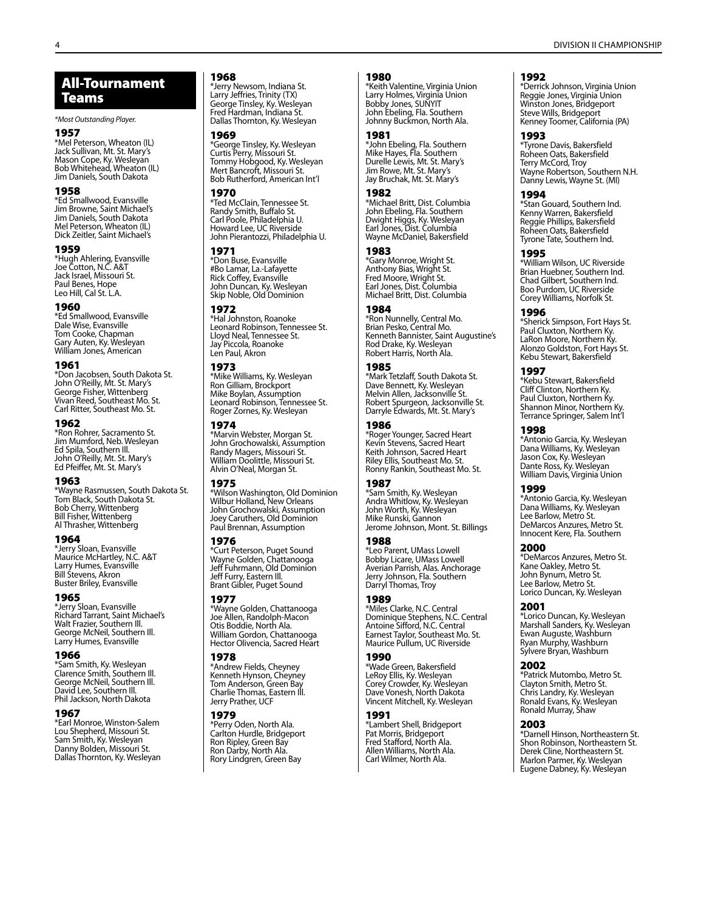*\*Most Outstanding Player.*

#### 1957

\*Mel Peterson, Wheaton (IL) Jack Sullivan, Mt. St. Mary's Mason Cope, Ky. Wesleyan Bob Whitehead, Wheaton (IL) Jim Daniels, South Dakota

#### 1958

\*Ed Smallwood, Evansville Jim Browne, Saint Michael's Jim Daniels, South Dakota Mel Peterson, Wheaton (IL) Dick Zeitler, Saint Michael's

#### 1959

\*Hugh Ahlering, Evansville Joe Cotton, N.C. A&T Jack Israel, Missouri St. Paul Benes, Hope Leo Hill, Cal St. L.A.

#### 1960

\*Ed Smallwood, Evansville Dale Wise, Evansville Tom Cooke, Chapman Gary Auten, Ky. Wesleyan William Jones, American

#### 1961

\*Don Jacobsen, South Dakota St. John O'Reilly, Mt. St. Mary's George Fisher, Wittenberg Vivan Reed, Southeast Mo. St. Carl Ritter, Southeast Mo. St.

#### 1962

\*Ron Rohrer, Sacramento St. Jim Mumford, Neb. Wesleyan Ed Spila, Southern Ill. John O'Reilly, Mt. St. Mary's Ed Pfeiffer, Mt. St. Mary's

#### 1963

\*Wayne Rasmussen, South Dakota St. Tom Black, South Dakota St. Bob Cherry, Wittenberg Bill Fisher, Wittenberg Al Thrasher, Wittenberg

#### 1964

\*Jerry Sloan, Evansville Maurice McHartley, N.C. A&T Larry Humes, Evansville Bill Stevens, Akron Buster Briley, Evansville

#### 1965

\*Jerry Sloan, Evansville Richard Tarrant, Saint Michael's Walt Frazier, Southern Ill. George McNeil, Southern Ill. Larry Humes, Evansville

#### 1966

\*Sam Smith, Ky. Wesleyan Clarence Smith, Southern Ill. George McNeil, Southern Ill. David Lee, Southern Ill. Phil Jackson, North Dakota

#### 1967

\*Earl Monroe, Winston-Salem Lou Shepherd, Missouri St. Sam Smith, Ky. Wesleyan Danny Bolden, Missouri St. Dallas Thornton, Ky. Wesleyan

#### 1968

\*Jerry Newsom, Indiana St. Larry Jeffries, Trinity (TX) George Tinsley, Ky. Wesleyan Fred Hardman, Indiana St. Dallas Thornton, Ky. Wesleyan

# 1969

\*George Tinsley, Ky. Wesleyan Curtis Perry, Missouri St. Tommy Hobgood, Ky. Wesleyan Mert Bancroft, Missouri St. Bob Rutherford, American Int'l

#### 1970

\*Ted McClain, Tennessee St. Randy Smith, Buffalo St. Carl Poole, Philadelphia U. Howard Lee, UC Riverside John Pierantozzi, Philadelphia U.

#### 1971

\*Don Buse, Evansville #Bo Lamar, La.-Lafayette Rick Coffey, Evansville John Duncan, Ky. Wesleyan Skip Noble, Old Dominion

# 1972

\*Hal Johnston, Roanoke Leonard Robinson, Tennessee St. Lloyd Neal, Tennessee St. Jay Piccola, Roanoke Len Paul, Akron

#### 1973

\*Mike Williams, Ky. Wesleyan Ron Gilliam, Brockport Mike Boylan, Assumption Leonard Robinson, Tennessee St. Roger Zornes, Ky. Wesleyan

#### 1974

\*Marvin Webster, Morgan St. John Grochowalski, Assumption Randy Magers, Missouri St. William Doolittle, Missouri St. Alvin O'Neal, Morgan St.

#### 1975

\*Wilson Washington, Old Dominion Wilbur Holland, New Orleans John Grochowalski, Assumption Joey Caruthers, Old Dominion Paul Brennan, Assumption

#### 1976

\*Curt Peterson, Puget Sound Wayne Golden, Chattanooga Jeff Fuhrmann, Old Dominion Jeff Furry, Eastern Ill. Brant Gibler, Puget Sound

#### 1977

\*Wayne Golden, Chattanooga Joe Allen, Randolph-Macon Otis Boddie, North Ala. William Gordon, Chattanooga Hector Olivencia, Sacred Heart

#### 1978

\*Andrew Fields, Cheyney Kenneth Hynson, Cheyney Tom Anderson, Green Bay Charlie Thomas, Eastern Ill. Jerry Prather, UCF

#### 1979

\*Perry Oden, North Ala. Carlton Hurdle, Bridgeport Ron Ripley, Green Bay Ron Darby, North Ala. Rory Lindgren, Green Bay

#### 1980

\*Keith Valentine, Virginia Union Larry Holmes, Virginia Union Bobby Jones, SUNYIT John Ebeling, Fla. Southern Johnny Buckmon, North Ala.

#### 1981

\*John Ebeling, Fla. Southern Mike Hayes, Fla. Southern Durelle Lewis, Mt. St. Mary's Jim Rowe, Mt. St. Mary's Jay Bruchak, Mt. St. Mary's

#### 1982

\*Michael Britt, Dist. Columbia John Ebeling, Fla. Southern Dwight Higgs, Ky. Wesleyan Earl Jones, Dist. Columbia Wayne McDaniel, Bakersfield

#### 1983

\*Gary Monroe, Wright St. Anthony Bias, Wright St. Fred Moore, Wright St. Earl Jones, Dist. Columbia Michael Britt, Dist. Columbia

#### 1984

\*Ron Nunnelly, Central Mo. Brian Pesko, Central Mo. Kenneth Bannister, Saint Augustine's Rod Drake, Ky. Wesleyan Robert Harris, North Ala.

### 1985

\*Mark Tetzlaff, South Dakota St. Dave Bennett, Ky. Wesleyan Melvin Allen, Jacksonville St. Robert Spurgeon, Jacksonville St. Darryle Edwards, Mt. St. Mary's

#### 1986

\*Roger Younger, Sacred Heart Kevin Stevens, Sacred Heart Keith Johnson, Sacred Heart Riley Ellis, Southeast Mo. St. Ronny Rankin, Southeast Mo. St.

#### 1987

\*Sam Smith, Ky. Wesleyan Andra Whitlow, Ky. Wesleyan John Worth, Ky. Wesleyan Mike Runski, Gannon Jerome Johnson, Mont. St. Billings

#### 1988

\*Leo Parent, UMass Lowell Bobby Licare, UMass Lowell Averian Parrish, Alas. Anchorage Jerry Johnson, Fla. Southern Darryl Thomas, Troy

#### 1989

\*Miles Clarke, N.C. Central Dominique Stephens, N.C. Central Antoine Sifford, N.C. Central Earnest Taylor, Southeast Mo. St. Maurice Pullum, UC Riverside

# 1990

\*Wade Green, Bakersfield LeRoy Ellis, Ky. Wesleyan Corey Crowder, Ky. Wesleyan Dave Vonesh, North Dakota Vincent Mitchell, Ky. Wesleyan

#### 1991

\*Lambert Shell, Bridgeport Pat Morris, Bridgeport Fred Stafford, North Ala. Allen Williams, North Ala. Carl Wilmer, North Ala.

#### 1992

\*Derrick Johnson, Virginia Union Reggie Jones, Virginia Union Winston Jones, Bridgeport Steve Wills, Bridgeport Kenney Toomer, California (PA)

### 1993

\*Tyrone Davis, Bakersfield Roheen Oats, Bakersfield Terry McCord, Troy Wayne Robertson, Southern N.H. Danny Lewis, Wayne St. (MI)

#### 1994

\*Stan Gouard, Southern Ind. Kenny Warren, Bakersfield Reggie Phillips, Bakersfield Roheen Oats, Bakersfield Tyrone Tate, Southern Ind.

#### 1995

\*William Wilson, UC Riverside Brian Huebner, Southern Ind. Chad Gilbert, Southern Ind. Boo Purdom, UC Riverside Corey Williams, Norfolk St.

#### 1996

\*Sherick Simpson, Fort Hays St. Paul Cluxton, Northern Ky. LaRon Moore, Northern Ky. Alonzo Goldston, Fort Hays St. Kebu Stewart, Bakersfield

#### 1997

\*Kebu Stewart, Bakersfield Cliff Clinton, Northern Ky. Paul Cluxton, Northern Ky. Shannon Minor, Northern Ky. Terrance Springer, Salem Int'l

**1998**<br>\*Antonio Garcia, Ky. Wesleyan<br>Dana Williams, Ky. Wesleyan Jason Cox, Ky. Wesleyan Dante Ross, Ky. Wesleyan William Davis, Virginia Union

#### 1999

\*Antonio Garcia, Ky. Wesleyan Dana Williams, Ky. Wesleyan Lee Barlow, Metro St. DeMarcos Anzures, Metro St. Innocent Kere, Fla. Southern

#### 2000

\*DeMarcos Anzures, Metro St. Kane Oakley, Metro St. John Bynum, Metro St. Lee Barlow, Metro St. Lorico Duncan, Ky. Wesleyan

#### 2001

\*Lorico Duncan, Ky. Wesleyan Marshall Sanders, Ky. Wesleyan Ewan Auguste, Washburn Ryan Murphy, Washburn Sylvere Bryan, Washburn

#### 2002

\*Patrick Mutombo, Metro St. Clayton Smith, Metro St. Chris Landry, Ky. Wesleyan Ronald Evans, Ky. Wesleyan Ronald Murray, Shaw

#### 2003

\*Darnell Hinson, Northeastern St. Shon Robinson, Northeastern St. Derek Cline, Northeastern St. Marlon Parmer, Ky. Wesleyan Eugene Dabney, Ky. Wesleyan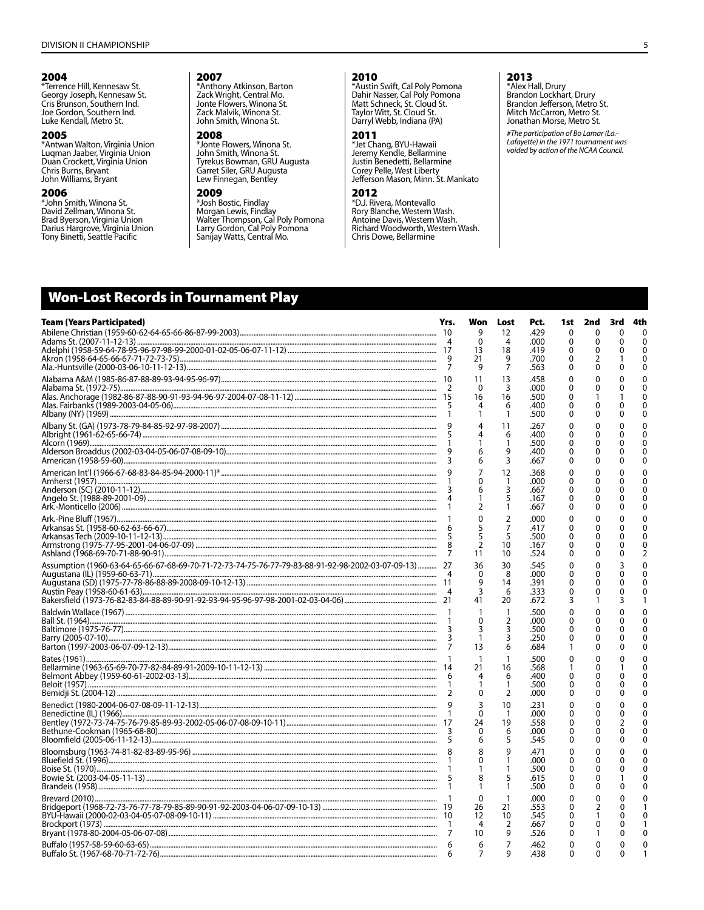#### 2004

**ZOU4**<br>
"Terrence Hill, Kennesaw St.<br>
Georgy Joseph, Kennesaw St.<br>
Cris Brunson, Southern Ind.<br>
Joe Gordon, Southern Ind. Luke Kendall, Metro St.

#### 2005

**2000**<br>\*Antwan Walton, Virginia Union<br>Luqman Jaaber, Virginia Union<br>Duan Crockett, Virginia Union Chris Burns, Bryant John Williams, Bryant

#### 2006

\*John Smith, Winona St. David Zellman, Winona St. Brad Byerson, Virginia Union<br>Darius Hargrove, Virginia Union<br>Tony Binetti, Seattle Pacific

#### 2007

**ZOUT**<br> **Zack Wright, Central Mo.**<br>
Jonte Flowers, Winona St.<br>
Zack Malvik, Winona St. John Smith, Winona St.

#### 2008

\*Jonte Flowers, Winona St.<br>John Smith, Winona St.<br>Derror GPU Aug John Shikh, Windha St.<br>Tyrekus Bowman, GRU Augusta Garret Siler, GRU Augusta Lew Finnegan, Bentley

# 2009

\*Josh Bostic, Findlay Sosin bosin, mining<br>Morgan Lewis, Findlay<br>Walter Thompson, Cal Poly Pomona<br>Larry Gordon, Cal Poly Pomona<br>Sanijay Watts, Central Mo.

# 2010

**Example 15**<br>
\*Austin Swift, Cal Poly Pomona<br>
Dahir Nasser, Cal Poly Pomona<br>
Matt Schneck, St. Cloud St. Taylor Witt, St. Cloud St. Darryl Webb, Indiana (PA)

# 2011

**The Chang, BYU-Hawaii**<br>Jeremy Kendle, Bellarmine<br>Justin Benedetti, Bellarmine Sustiff Berledetti, behafffifier<br>Corey Pelle, West Liberty<br>Jefferson Mason, Minn. St. Mankato

#### 2012

\*D.J. Rivera, Montevallo Rory Blanche, Western Wash. Antoine Davis, Western Wash.<br>Richard Woodworth, Western Wash.<br>Chris Dowe, Bellarmine

# 2013

**ZU 13**<br>
\*Alex Hall, Drury<br>
Brandon Lockhart, Drury<br>
Brandon Jefferson, Metro St.<br>
Mitch McCarron, Metro St. Jonathan Morse, Metro St.

#The participation of Bo Lamar (La.-Lafayette) in the 1971 tournament was voided by action of the NCAA Council.

# **Won-Lost Records in Tournament Play**

| <b>Team (Years Participated)</b>                                                                      | Yrs. | Won<br>9            | Lost<br>12     | Pct.<br>.429 | 1st<br>0      | 2nd<br>0 | 3rd<br>0 | 4th<br>$\mathbf{0}$ |
|-------------------------------------------------------------------------------------------------------|------|---------------------|----------------|--------------|---------------|----------|----------|---------------------|
|                                                                                                       |      | $\mathbf{0}$        | 4              | .000         | 0             | 0        | 0        | $\mathbf{0}$        |
|                                                                                                       |      | 13                  | 18             | .419         | 0             | ŋ        |          | $\mathbf{0}$        |
|                                                                                                       |      | 21                  | 9              | .700         | 0             | 2        |          | $\Omega$            |
|                                                                                                       |      | 9                   | 7              | .563         | 0             | 0        |          | $\Omega$            |
|                                                                                                       |      | 11                  | 13             | .458         | 0             |          |          |                     |
|                                                                                                       |      | $\Omega$            | 3              | .000         | 0             | 0        |          | $\Omega$<br>C       |
|                                                                                                       |      | 16                  | 16<br>6        | .500<br>.400 | 0<br>0        | 0        |          |                     |
|                                                                                                       |      | 1                   | 1              | .500         | 0             | 0        |          | $\Omega$            |
|                                                                                                       |      | 4                   | 11             | .267         | 0             | 0        |          | $\Omega$            |
|                                                                                                       | 5    |                     | 6              | .400         | 0             | 0        |          |                     |
|                                                                                                       |      |                     | 1              | .500         | 0             | 0        |          | $\Omega$            |
|                                                                                                       | 3    | 6<br>6              | 9<br>3         | .400<br>.667 | 0<br>0        | 0        |          | ∩<br>n              |
|                                                                                                       |      |                     |                |              |               |          |          |                     |
|                                                                                                       |      | 7<br>0              | 12<br>1        | .368<br>.000 | 0<br>0        | 0<br>0   |          |                     |
|                                                                                                       |      | 6                   | 3              | .667         | 0             | 0        |          | n                   |
|                                                                                                       |      |                     | 5              | .167         | 0             | 0        |          | 0                   |
|                                                                                                       |      | $\overline{2}$      | 1              | .667         | 0             | 0        |          |                     |
|                                                                                                       |      | $\mathbf{0}$        | 2              | .000         | 0             | 0        |          |                     |
|                                                                                                       |      | 5                   | 7              | .417         | 0             | 0        |          | 0                   |
|                                                                                                       | 5    | 5<br>$\overline{2}$ | 5<br>10        | .500<br>.167 | 0<br>$\Omega$ | 0<br>0   |          | $\Omega$            |
|                                                                                                       | 7    | 11                  | 10             | .524         | 0             | 0        |          | 2                   |
| Assumption (1960-63-64-65-66-67-68-69-70-71-72-73-74-75-76-77-79-83-88-91-92-98-2002-03-07-09-13)  27 |      | 36                  | 30             | .545         | 0             | 0        |          |                     |
|                                                                                                       |      | $\Omega$            | 8              | .000         | 0             | 0        |          | $\Omega$            |
|                                                                                                       |      | 9                   | 14             | .391         | 0             | 0        |          | ∩                   |
|                                                                                                       |      | 3<br>41             | 6<br>20        | .333<br>.672 | 0<br>3        | 0<br>1   | 3        |                     |
|                                                                                                       |      |                     |                |              |               |          |          |                     |
|                                                                                                       |      | $\Omega$            | 1<br>2         | .500<br>.000 | 0<br>0        | 0<br>0   |          |                     |
|                                                                                                       |      | 3                   | 3              | .500         | 0             | 0        |          | O                   |
|                                                                                                       |      | $\mathbf{1}$        | 3              | .250         | 0             | 0        |          |                     |
|                                                                                                       | 7    | 13                  | 6              | .684         | 1             | 0        |          |                     |
|                                                                                                       |      |                     | $\mathbf{1}$   | .500         | 0             | 0        |          |                     |
|                                                                                                       |      | 21<br>4             | 16<br>6        | .568<br>.400 | 0             | 0<br>0   |          |                     |
|                                                                                                       |      |                     | 1              | .500         | 0             | 0        |          |                     |
|                                                                                                       |      | $\Omega$            | $\overline{2}$ | .000         | 0             | 0        |          |                     |
|                                                                                                       |      | ξ                   | 10             | .231         | 0             | 0        |          |                     |
|                                                                                                       |      | 0                   | $\mathbf{1}$   | .000         | 0             | 0        |          |                     |
|                                                                                                       |      | 24                  | 19             | .558         | 0             | 0        |          |                     |
|                                                                                                       |      | $\mathbf{0}$<br>6   | 6<br>5         | .000<br>.545 | 0<br>0        | 0<br>0   |          | ∩<br>∩              |
|                                                                                                       |      | 8                   | 9              | .471         | 0             | $\Omega$ |          |                     |
|                                                                                                       |      | $\Omega$            | 1              | .000         | 0             | 0        |          | ŋ                   |
|                                                                                                       |      |                     |                | .500         | 0             | 0        |          |                     |
|                                                                                                       | 5    | 8                   | 5              | .615         | 0             | 0        |          |                     |
|                                                                                                       |      |                     | 1              | .500         | 0             | 0        |          | ∩                   |
|                                                                                                       |      | $\mathbf{0}$        | 1              | .000         | 0             | 0        |          |                     |
|                                                                                                       |      | 26<br>12            | 21<br>10       | .553<br>.545 | 0<br>0        | 2        |          |                     |
|                                                                                                       | -1   | 4                   | 2              | .667         | 0             | 0        |          |                     |
|                                                                                                       |      | 10                  | 9              | .526         | 0             |          | O        |                     |
|                                                                                                       | 6    | 6                   | 7              | .462         | 0             | 0        | 0        |                     |
|                                                                                                       |      |                     | 9              | .438         | 0             | $\Omega$ |          |                     |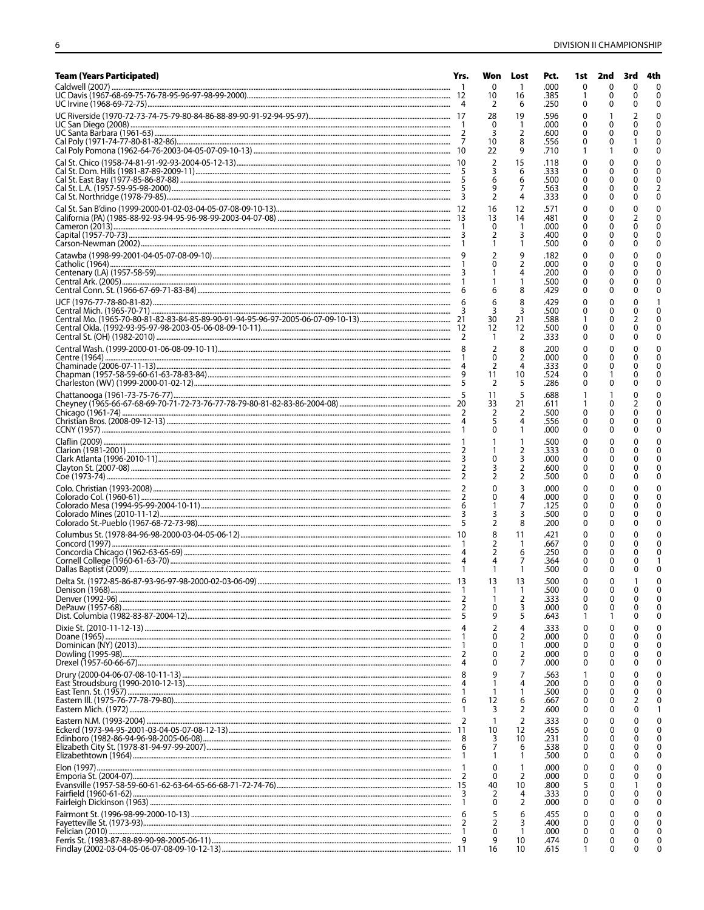| <b>Team (Years Participated)</b> | Yrs.    |                               | Won Lost                         | Pct.         | 1st    | 2nd    | 3rd      | 4th                      |
|----------------------------------|---------|-------------------------------|----------------------------------|--------------|--------|--------|----------|--------------------------|
|                                  |         | 0<br>10                       | -1<br>16                         | .000<br>.385 | 0      | 0<br>0 | 0<br>0   | $\mathbf{0}$<br>$\Omega$ |
|                                  |         | 2<br>28                       | 6<br>19                          | .250<br>.596 | O      | o      | 0        | $\Omega$<br>$\Omega$     |
|                                  |         | 0<br>3                        | 1<br>2                           | .000<br>.600 | 0<br>0 |        |          | 0                        |
|                                  |         | 10<br>22                      | 8<br>9                           | .556<br>.710 | 0      |        |          | 0<br>$\Omega$            |
|                                  |         | 2                             | 15                               | .118         | 0      | 0      |          | O                        |
|                                  |         | 3<br>6                        | 6<br>6                           | .333<br>.500 | 0<br>0 | 0<br>0 |          | $\Omega$<br>$\Omega$     |
|                                  |         | 9<br>$\overline{2}$           | 7<br>4                           | .563<br>.333 | 0<br>0 | 0      |          | 2<br>0                   |
|                                  |         | 16<br>13                      | 12<br>14                         | .571<br>.481 | 0      | 0      |          | $\Omega$                 |
|                                  |         | 0                             | $\mathbf{1}$                     | .000         | 0<br>0 | 0<br>0 |          |                          |
|                                  |         | 2<br>1                        | 3<br>1                           | .400<br>.500 | 0<br>0 | 0<br>0 |          | $\Omega$<br>$\Omega$     |
|                                  |         | $\overline{\phantom{a}}$<br>0 | 9<br>2                           | .182<br>.000 | 0<br>0 | 0<br>0 |          |                          |
|                                  |         |                               | 4                                | .200<br>.500 | 0<br>0 | 0<br>0 |          | O                        |
|                                  |         | 6                             | 8                                | .429         | 0      | 0      |          | O                        |
|                                  |         | 6<br>3                        | 8<br>3                           | .429<br>.500 | 0<br>0 | 0<br>0 |          |                          |
|                                  |         | 30<br>12                      | 21<br>12                         | .588<br>.500 | 0      | 0<br>0 |          | 0                        |
|                                  |         | $\overline{2}$                | 2<br>8                           | .333<br>.200 | 0<br>0 | 0<br>0 |          | ŋ<br>C                   |
|                                  |         | $\Omega$<br>$\overline{2}$    | 2<br>4                           | .000<br>.333 | 0      | 0      |          |                          |
|                                  |         | 11                            | 10                               | .524         | 0<br>0 | 0      |          |                          |
|                                  |         | $\overline{2}$<br>11          | 5<br>5                           | .286<br>.688 | 0      | 0      |          | 0                        |
|                                  |         | 33<br>$\overline{2}$          | 21<br>2                          | .611<br>.500 | 0      | 0<br>0 |          | O                        |
|                                  |         | 5<br>0                        | 4<br>1                           | .556<br>.000 | 0<br>0 | 0<br>0 |          | O<br>ŋ                   |
|                                  |         |                               | 1                                | .500         | 0      | 0      |          |                          |
|                                  |         | 0                             | 2<br>3                           | .333<br>.000 | 0<br>0 | 0<br>0 |          | O                        |
|                                  |         | 3<br>2                        | $\overline{2}$<br>$\overline{2}$ | .600<br>.500 | 0<br>0 | 0<br>0 | o        | O                        |
|                                  |         | 0<br>0                        | 3<br>4                           | .000<br>.000 | 0<br>0 | 0<br>0 |          |                          |
|                                  |         |                               | 7<br>3                           | .125<br>.500 | 0<br>0 | 0<br>0 |          | O                        |
|                                  |         | $\overline{2}$                | 8                                | .200         | 0      | 0      |          | ∩                        |
|                                  |         | 8<br>2                        | 11<br>-1                         | .421<br>.667 | 0<br>0 | 0<br>0 |          | O                        |
|                                  |         | 2                             | 6<br>7                           | .250<br>.364 | 0<br>0 | 0<br>Ω |          |                          |
|                                  |         | 1<br>13                       | 1<br>13                          | .500<br>.500 | 0<br>0 | 0<br>0 | 0        | O                        |
|                                  |         | 1<br>1                        | 1                                | .500<br>.333 | 0      | 0<br>0 | 0<br>0   | 0<br>$\Omega$            |
|                                  |         | 0                             | 2<br>3                           | .000         | 0<br>0 | 0      | 0        | 0                        |
|                                  |         | 9<br>2                        | 5<br>4                           | .643<br>.333 | 0      | 0      | 0<br>0   | 0<br>O                   |
|                                  | -1      | 0<br>0                        | 2<br>1                           | .000<br>.000 | 0<br>0 | 0<br>0 | 0        | O                        |
|                                  | 4       | 0<br>0                        | 2<br>7                           | .000<br>.000 | 0<br>0 | 0<br>0 | 0<br>0   | O                        |
|                                  | 8       | 9                             | 7                                | .563         | 1      | 0      |          | C                        |
|                                  | -1      | 1<br>1                        | 4<br>1                           | .200<br>.500 | 0<br>0 | 0<br>0 | 0        | O                        |
|                                  | 6<br>1  | 12<br>3                       | 6<br>2                           | .667<br>.600 | 0<br>0 | 0<br>0 | 0        | O                        |
|                                  | -11     | 1<br>10                       | $\overline{2}$<br>12             | .333<br>.455 | 0<br>0 | 0<br>0 | 0<br>0   | 0<br>0                   |
|                                  | -8<br>6 | 3<br>7                        | 10<br>6                          | .231<br>.538 | 0<br>0 | 0<br>0 | 0        | O<br>O                   |
|                                  | -1      | 1                             | $\mathbf{1}$                     | .500         | 0      | 0      | 0        | 0                        |
|                                  | -2      | 0<br>0                        | 1<br>2                           | .000<br>.000 | 0<br>0 | 0<br>0 | 0        | 0<br>0                   |
|                                  | 15<br>3 | 40<br>2                       | 10<br>4                          | .800<br>.333 | 5<br>0 | 0<br>0 | 0        | O                        |
|                                  | -1      | 0<br>5                        | $\overline{2}$<br>6              | .000<br>.455 | 0<br>0 | 0      |          |                          |
|                                  | 2       | $\overline{2}$                | 3                                | .400         | 0      | 0<br>0 | $\Omega$ |                          |
|                                  | -1<br>9 | 0<br>9                        | $\overline{1}$<br>10             | .000<br>.474 | 0<br>0 | 0<br>0 | 0        |                          |
|                                  |         | 16                            | 10                               | .615         | -1     | 0      | 0        | O                        |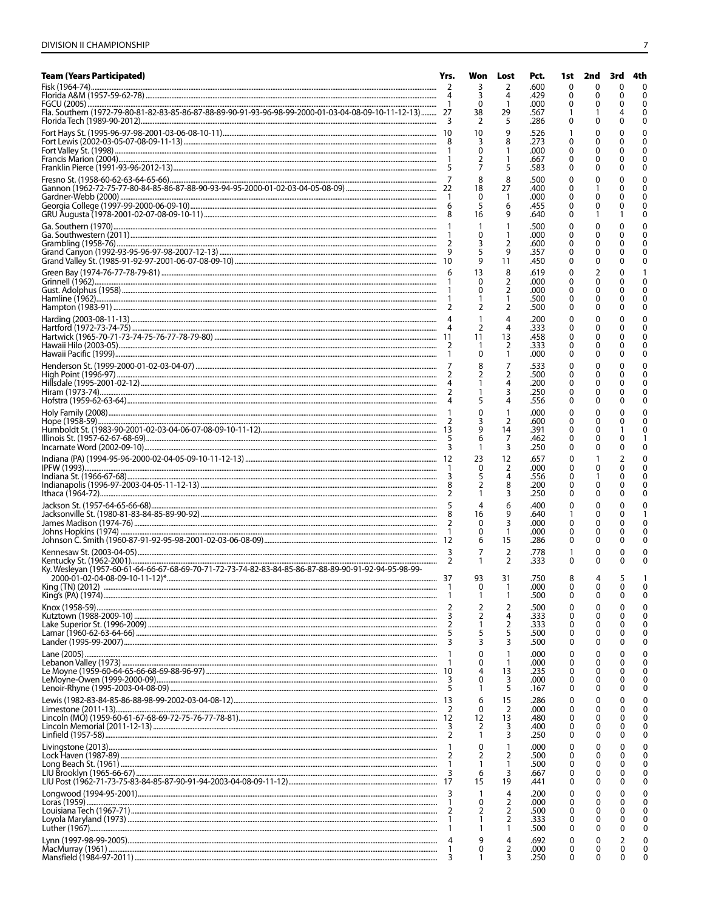| <b>Team (Years Participated)</b>                                                                                                                                                                                                       | Yrs.     | Won                 | Lost                 | Pct.         | 1st           | 2nd               | 3rd    | 4th                  |
|----------------------------------------------------------------------------------------------------------------------------------------------------------------------------------------------------------------------------------------|----------|---------------------|----------------------|--------------|---------------|-------------------|--------|----------------------|
|                                                                                                                                                                                                                                        | 2        | 3<br>3              | 2<br>4               | .600<br>.429 | $\Omega$<br>0 | 0                 | ŋ<br>O | $\Omega$<br>$\Omega$ |
| Fla. Southern (1972-79-80-81-82-83-85-86-87-88-89-90-91-93-96-98-99-2000-01-03-04-08-09-10-11-12-13)  27                                                                                                                               |          | 0<br>38             | -1<br>29             | .000<br>.567 | 0             |                   |        | $\Omega$<br>0        |
|                                                                                                                                                                                                                                        | -3       | 2                   | 5                    | .286         | 0             |                   |        | 0                    |
|                                                                                                                                                                                                                                        |          | 10<br>3             | 9<br>8               | .526<br>.273 | 0             |                   |        |                      |
|                                                                                                                                                                                                                                        |          | 0                   | 1                    | .000         | 0             |                   |        |                      |
|                                                                                                                                                                                                                                        |          |                     | 5                    | .667<br>.583 | 0<br>0        | 0                 |        | n<br>O               |
|                                                                                                                                                                                                                                        |          | 8                   | 8                    | .500         | 0             |                   |        | n                    |
|                                                                                                                                                                                                                                        |          | 18<br>0             | 27<br>1              | .400<br>.000 | 0<br>0        |                   |        |                      |
|                                                                                                                                                                                                                                        |          | 5<br>16             | 6<br>9               | .455<br>.640 | 0<br>0        | 0                 |        | O                    |
|                                                                                                                                                                                                                                        |          | $\mathbf{1}$        | -1                   | .500         | 0             | 0                 |        | O                    |
|                                                                                                                                                                                                                                        |          | 0<br>3              | 1<br>2               | .000<br>.600 | 0<br>0        | 0<br>0            |        |                      |
|                                                                                                                                                                                                                                        | 9        |                     | 9                    | .357         | 0             |                   |        |                      |
|                                                                                                                                                                                                                                        |          | 9<br>13             | 11<br>8              | .450<br>.619 | 0<br>0        | 0<br>2            |        | 0                    |
|                                                                                                                                                                                                                                        |          | $\Omega$            | 2                    | .000         | 0             | 0                 |        | O                    |
|                                                                                                                                                                                                                                        |          | 0<br>1              | 2<br>1               | .000<br>.500 | 0<br>0        | 0<br>0            |        | n                    |
|                                                                                                                                                                                                                                        | 2        | $\overline{2}$      | 2                    | .500         | 0             | 0                 |        | 0                    |
|                                                                                                                                                                                                                                        |          | 1<br>$\overline{2}$ | 4<br>4               | .200<br>.333 | 0<br>0        | 0<br>0            |        |                      |
|                                                                                                                                                                                                                                        |          | 11<br>1             | 13<br>$\overline{2}$ | .458<br>.333 | 0<br>0        | 0<br>0            |        |                      |
|                                                                                                                                                                                                                                        |          | 0                   | $\mathbf{1}$         | .000         | 0             | 0                 |        | O                    |
|                                                                                                                                                                                                                                        |          | 8<br>2              | 7<br>2               | .533<br>.500 | 0<br>0        | 0<br>0            |        |                      |
|                                                                                                                                                                                                                                        |          |                     | 4                    | .200         | 0             | 0                 |        |                      |
|                                                                                                                                                                                                                                        |          |                     | 3<br>4               | .250<br>.556 | 0<br>0        | 0<br>0            |        |                      |
|                                                                                                                                                                                                                                        |          | $\Omega$            | $\mathbf{1}$         | .000         | 0             | 0                 |        |                      |
|                                                                                                                                                                                                                                        |          | 3<br>9              | 2<br>14              | .600<br>.391 | 0<br>0        | 0<br>0            |        |                      |
|                                                                                                                                                                                                                                        |          | 6                   | 7<br>3               | .462<br>.250 | 0<br>0        | 0                 |        | O                    |
|                                                                                                                                                                                                                                        |          | 23                  | 12                   | .657         | 0             |                   |        |                      |
|                                                                                                                                                                                                                                        |          | $\mathbf{0}$<br>5   | 2<br>4               | .000<br>.556 | 0<br>0        | 0                 | 0      | O                    |
|                                                                                                                                                                                                                                        |          |                     | 8                    | .200         | 0             | 0                 |        | O                    |
|                                                                                                                                                                                                                                        | 2        | 4                   | 3<br>6               | .250<br>.400 | 0<br>0        | 0<br>0            |        |                      |
|                                                                                                                                                                                                                                        |          | 16                  | 9                    | .640         |               | 0                 |        |                      |
|                                                                                                                                                                                                                                        |          | 0<br>0              | 3<br>$\overline{1}$  | .000<br>.000 | 0<br>0        | 0<br>0            |        | O                    |
|                                                                                                                                                                                                                                        |          | 6                   | 15                   | .286         | 0             | 0                 | 0      |                      |
|                                                                                                                                                                                                                                        | 3        | 7<br>1              | $\overline{2}$<br>2  | .778<br>.333 | 0             | 0<br>0            | 0      | O                    |
| Ky. Wesleyan (1957-60-61-64-66-67-68-69-70-71-72-73-74-82-83-84-85-86-87-88-89-90-91-92-94-95-98-99-                                                                                                                                   |          | 93                  | 31                   | .750         | 8             | 4                 |        |                      |
|                                                                                                                                                                                                                                        |          | 1                   | 1                    | .000<br>.500 | $\Omega$<br>0 | <sup>0</sup><br>0 | 0      | $\Omega$             |
|                                                                                                                                                                                                                                        |          | 2                   | 2                    | .500         | C             | 0                 |        | ſ                    |
|                                                                                                                                                                                                                                        |          | 2                   | 4                    | .333<br>.333 | 0<br>0        | 0<br>0            | 0      | 0<br>0               |
|                                                                                                                                                                                                                                        |          | 5                   | 2<br>5               | .500         | 0             | 0                 | 0      | O                    |
|                                                                                                                                                                                                                                        | 3        | 3<br>0              | 3<br>$\mathbf{1}$    | .500<br>.000 | 0<br>0        | 0<br>0            | 0<br>0 | 0<br>0               |
|                                                                                                                                                                                                                                        |          | 0                   | 1                    | .000         | 0             | 0                 | 0      | 0                    |
|                                                                                                                                                                                                                                        | 3        | 4<br>0              | 13<br>3              | .235<br>.000 | 0<br>0        | 0<br>0            | 0      | O<br>O               |
|                                                                                                                                                                                                                                        | -5       | 1                   | 5                    | .167         | 0             | 0                 | 0      | 0                    |
|                                                                                                                                                                                                                                        |          | 6<br>0              | 15<br>$\overline{2}$ | .286<br>.000 | 0<br>0        | 0<br>0            | 0      | 0<br>0               |
|                                                                                                                                                                                                                                        | 3        | 12<br>2             | 13<br>3              | .480<br>.400 | 0<br>0        | 0<br>0            | 0<br>0 | 0<br>O               |
|                                                                                                                                                                                                                                        | 2        | 1                   | 3                    | .250         | 0             | 0                 | o      | 0                    |
|                                                                                                                                                                                                                                        | 2        | 0<br>$\overline{2}$ | 1<br>2               | .000<br>.500 | 0<br>0        | 0<br>0            | 0      | 0                    |
|                                                                                                                                                                                                                                        |          |                     | 1                    | .500         | 0             | 0                 | 0      | O                    |
|                                                                                                                                                                                                                                        | 3        | 6<br>15             | 3<br>19              | .667<br>.441 | 0<br>0        | 0<br>0            | 0      | O<br>0               |
| $Longwood (1994-95-2001)\dots 31.2012, 0.0000, 0.0000, 0.0000, 0.0000, 0.0000, 0.0000, 0.0000, 0.0000, 0.0000, 0.0000, 0.0000, 0.0000, 0.0000, 0.0000, 0.0000, 0.0000, 0.0000, 0.0000, 0.0000, 0.0000, 0.0000, 0.0000, 0.0000, 0.0000$ | 3        | 1                   | 4                    | .200         | 0             | 0                 |        | ŋ                    |
|                                                                                                                                                                                                                                        | 2        | 0<br>2              | 2<br>2               | .000<br>.500 | 0<br>0        | 0<br>0            | 0      | O                    |
|                                                                                                                                                                                                                                        | -1<br>-1 |                     | 2<br>1               | .333<br>.500 | 0<br>0        | 0<br>0            | 0<br>0 | O                    |
|                                                                                                                                                                                                                                        | 4        | 9                   | 4                    | .692         | 0             | 0                 |        | O                    |
|                                                                                                                                                                                                                                        | 1<br>3   | 0<br>1              | 2<br>3               | .000<br>.250 | 0<br>0        | 0<br>0            | 0<br>0 | O                    |
|                                                                                                                                                                                                                                        |          |                     |                      |              |               |                   |        |                      |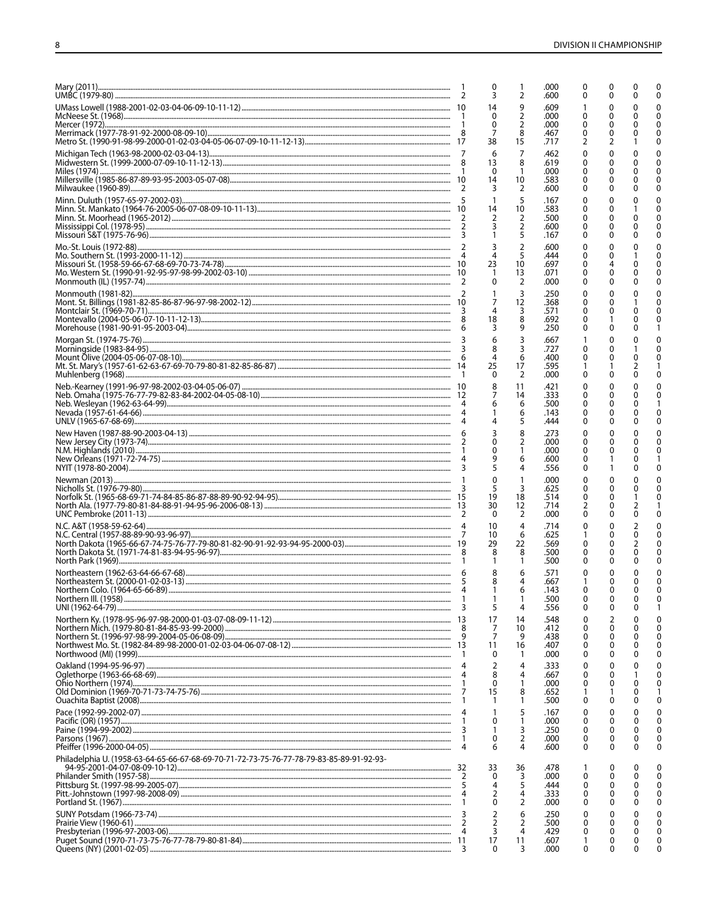|                                                                                                        | 2       | 0<br>3                                | 2        | .000<br>.600 | 0<br>0 | ŋ      |              | U<br>$\Omega$  |
|--------------------------------------------------------------------------------------------------------|---------|---------------------------------------|----------|--------------|--------|--------|--------------|----------------|
|                                                                                                        |         | 14<br>0                               | 9<br>2   | .609<br>.000 | 0      |        |              | U<br>U         |
|                                                                                                        |         | 0                                     | 2        | .000         | 0      |        |              |                |
| Metro St. (1990-91-98-99-2000-01-02-03-04-05-06-07-09-10-11-12-13)……………………………………………………………………………………… 17 |         | 7<br>38                               | 8<br>15  | .467<br>.717 | 0<br>2 | 0<br>2 |              | U              |
|                                                                                                        |         | 6<br>13                               | 7<br>8   | .462<br>.619 | 0<br>0 | 0      |              | U              |
|                                                                                                        |         | 0<br>14                               | 1<br>10  | .000<br>.583 | 0<br>0 |        |              | n<br>U         |
|                                                                                                        |         |                                       | 2        | .600         | 0      | 0      |              | n              |
|                                                                                                        |         | $\overline{1}$<br>14                  | 5<br>10  | .167<br>.583 | 0<br>0 | 0<br>0 |              |                |
|                                                                                                        |         | 2                                     | 2<br>2   | .500<br>.600 | 0<br>0 | 0      |              | n              |
|                                                                                                        |         | 3                                     | 5<br>2   | .167<br>.600 | 0<br>0 | 0      | 0            | 0              |
|                                                                                                        |         | 4<br>23                               | 5        | .444         | 0      | 0      |              | U              |
|                                                                                                        |         |                                       | 10<br>13 | .697<br>.071 | 0<br>0 | 4<br>0 |              | U              |
|                                                                                                        |         | 0                                     | 2<br>3   | .000<br>.250 | 0<br>0 | O<br>0 |              |                |
|                                                                                                        |         | 7                                     | 12<br>3  | .368<br>.571 | 0<br>0 | 0<br>0 |              | n              |
|                                                                                                        |         | 18<br>3                               | 8<br>9   | .692<br>.250 | 0<br>0 | 0      | 0            |                |
|                                                                                                        |         | 6                                     | 3        | .667         |        |        |              |                |
|                                                                                                        |         | 8<br>4                                | 3<br>6   | .727<br>.400 | 0<br>O | 0      |              |                |
|                                                                                                        |         | 25<br>0                               | 17<br>2  | .595<br>.000 | 1<br>0 | 0      |              |                |
|                                                                                                        |         | $\begin{array}{c} 8 \\ 7 \end{array}$ | 11<br>14 | .421<br>.333 | 0<br>0 | 0<br>0 |              |                |
|                                                                                                        |         | 6                                     | 6<br>6   | .500<br>.143 | 0<br>0 | 0      | O            |                |
|                                                                                                        |         |                                       | 5        | .444         | 0      | 0      |              | 0              |
|                                                                                                        |         | 3<br>0                                | 8<br>2   | .273<br>.000 | 0<br>0 | 0<br>0 |              | O              |
|                                                                                                        |         | 0<br>9                                | 6        | .000<br>.600 | 0<br>0 | 0      |              |                |
|                                                                                                        |         | 5<br>$\Omega$                         | 4<br>1   | .556<br>.000 | 0<br>0 | 0      |              |                |
|                                                                                                        |         | 5<br>19                               | 3        | .625         | 0      |        |              |                |
|                                                                                                        |         | 30                                    | 18<br>12 | .514<br>.714 | 0<br>2 | 0<br>0 |              |                |
|                                                                                                        |         | 0<br>10                               | 2<br>4   | .000<br>.714 | 0<br>0 | 0      | 0            | n              |
|                                                                                                        |         | 10<br>29                              | 6<br>22  | .625<br>.569 | 1<br>0 | 0      | O            |                |
|                                                                                                        |         | 8                                     | 8<br>1   | .500<br>.500 | 0<br>0 | 0<br>0 |              | O              |
|                                                                                                        |         | 8                                     | 6        | .571         | C      |        |              |                |
|                                                                                                        | -5<br>4 | 8<br>1                                | 4<br>6   | .667<br>.143 | 1<br>0 | 0<br>0 | O            | 0              |
|                                                                                                        | 3       | 5                                     | 4        | .500<br>.556 | 0      | 0      | 0            | $\Omega$<br>-1 |
|                                                                                                        |         | 17<br>7                               | 14<br>10 | .548<br>.412 | 0      | 2<br>0 |              | 0              |
|                                                                                                        | 9       | 7<br>11                               | 9<br>16  | .438<br>.407 | 0<br>0 | 0<br>0 |              | $\Omega$<br>0  |
|                                                                                                        | -1      | 0<br>$\overline{2}$                   | 1<br>4   | .000         | 0      | 0<br>0 |              | 0<br>O         |
|                                                                                                        | 4       | 8                                     | 4        | .333<br>.667 | 0<br>0 | 0      |              | 0              |
|                                                                                                        | 7       | 0<br>15                               | 1<br>8   | .000<br>.652 | 0      | 0      |              | 0              |
|                                                                                                        | -1      | 1                                     | 1<br>5   | .500<br>.167 | 0<br>0 | 0<br>0 | 0            | 0<br>O         |
|                                                                                                        | 3       | 0                                     | 1<br>3   | .000<br>.250 | 0<br>0 | 0      | $\mathbf{I}$ | ∩<br>0         |
|                                                                                                        | -1<br>4 | 0<br>6                                | 2<br>4   | .000<br>.600 | 0<br>0 | 0<br>0 | O            | 0<br>0         |
| Philadelphia U. (1958-63-64-65-66-67-68-69-70-71-72-73-75-76-77-78-79-83-85-89-91-92-93-               |         |                                       |          |              |        |        |              |                |
|                                                                                                        | 32<br>2 | 33<br>0                               | 36<br>3  | .478<br>.000 | 0      | 0<br>0 |              | ∩              |
|                                                                                                        |         | 4<br>2                                | 5<br>4   | .444<br>.333 | 0<br>0 |        |              | 0<br>0         |
|                                                                                                        | -1      | 0<br>2                                | 2<br>6   | .000         | 0      | 0      |              | $\Omega$<br>0  |
|                                                                                                        | 2       | 2                                     | 2        | .250<br>.500 | 0<br>0 | 0<br>0 |              | 0              |
|                                                                                                        | 4<br>11 | 3<br>17                               | 4<br>11  | .429<br>.607 | 0      | 0<br>0 |              | n              |
|                                                                                                        | - 3     | 0                                     | 3        | .000         | 0      | 0      | 0            | 0              |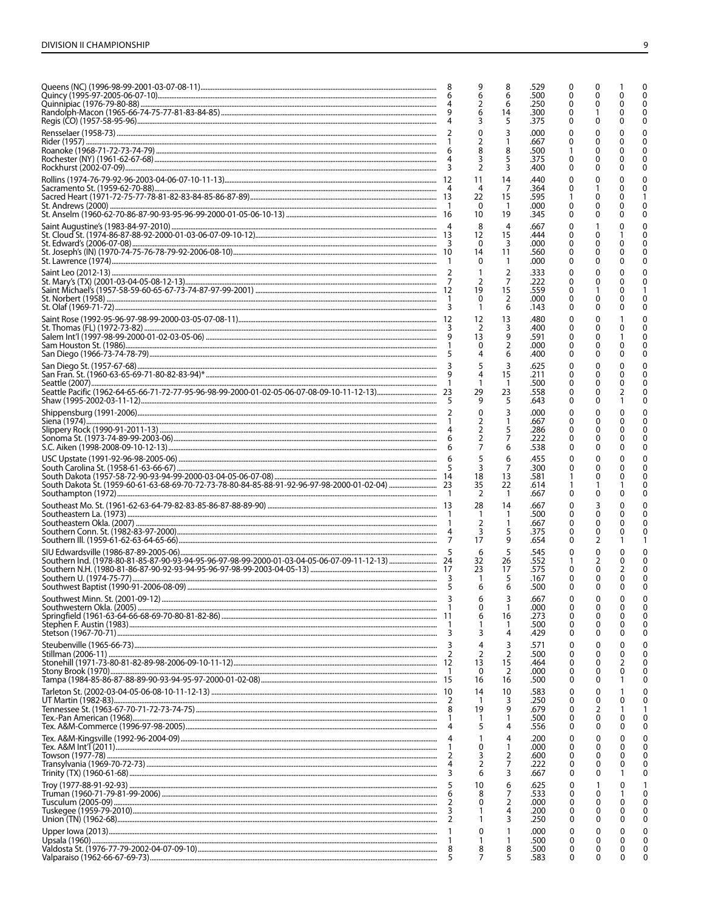|                  | 9<br>6<br>2<br>6<br>3                         | 8<br>6<br>6<br>14<br>5              | .529<br>.500<br>.250<br>.300<br>.375 | 0<br>0<br>0<br>0<br>0       | O                           | O | C<br>n                                                |
|------------------|-----------------------------------------------|-------------------------------------|--------------------------------------|-----------------------------|-----------------------------|---|-------------------------------------------------------|
|                  | $\mathbf{0}$<br>2<br>8<br>3<br>$\overline{2}$ | 3<br>8<br>5<br>3                    | .000<br>.667<br>.500<br>.375<br>.400 | 0<br>0<br>0<br>0            | 0<br>O<br>0                 |   | O                                                     |
|                  | 11<br>4<br>22<br>0<br>10                      | 14<br>7<br>15<br>-1<br>19           | .440<br>.364<br>.595<br>.000<br>.345 | 0<br>0<br>0<br>0            |                             |   | O                                                     |
|                  | 8<br>12<br>$\mathbf{0}$<br>14<br>0            | 4<br>15<br>3<br>11<br>-1            | .667<br>.444<br>.000<br>.560<br>.000 | 0<br>0<br>0<br>0<br>0       | 0                           |   |                                                       |
|                  | 2<br>19<br>0<br>1                             | $\overline{2}$<br>7<br>15<br>2<br>6 | .333<br>.222<br>.559<br>.000<br>.143 | 0<br>0<br>0<br>0<br>0       |                             |   |                                                       |
|                  | 12<br>2<br>13                                 | 13<br>3<br>9<br>2                   | .480<br>.400<br>.591<br>.000<br>.400 | 0<br>0<br>0                 |                             |   |                                                       |
|                  | 29<br>9                                       | 3<br>15<br>$\mathbf{1}$<br>23<br>5  | .625<br>.211<br>.500<br>.558<br>.643 | 0<br>0<br>0<br>0            |                             |   |                                                       |
|                  | 0<br>2<br>$\overline{2}$                      | 3<br>1<br>5<br>6                    | .000<br>.667<br>.286<br>.222<br>.538 | 0<br>0<br>0<br>0<br>0       |                             |   |                                                       |
|                  | 3<br>18<br>35<br>2                            | 6<br>7<br>13<br>22<br>-1            | .455<br>.300<br>.581<br>.614<br>.667 |                             |                             |   |                                                       |
|                  | 28<br>1<br>2<br>3<br>17                       | 14<br>-1<br>1<br>5<br>9             | .667<br>.500<br>.667<br>.375<br>.654 | 0<br>0<br>O<br>0            | 2                           |   |                                                       |
| 5                | 6<br>32<br>23<br>$\mathbf{1}$<br>6            | 5<br>26<br>17<br>5<br>6             | .545<br>.552<br>.575<br>.167<br>.500 | 0<br>0<br>0                 | 2                           |   | $\Omega$                                              |
| 3                | 6<br>$\mathbf{0}$<br>6<br>3                   | 3<br>1<br>16<br>4                   | .667<br>.000<br>.273<br>.500<br>.429 | $\mathbf{0}$<br>0<br>0<br>0 | 0<br>0<br>0                 | O | 0<br>$\Omega$<br>$\Omega$<br>$\Omega$<br>$\Omega$     |
| 3<br>2           | 4<br>$\overline{2}$<br>13<br>0<br>16          | 3<br>2<br>15<br>2<br>16             | .571<br>.500<br>.464<br>.000<br>.500 | C<br>0<br>0<br>0<br>0       | 0<br>0<br>0                 | O | C<br>$\Omega$<br>$\Omega$<br>0<br>0                   |
| 2<br>1           | 14<br>-1<br>19<br>5                           | 10<br>3<br>9                        | .583<br>.250<br>.679<br>.500<br>.556 | 0<br>0<br>0<br>0<br>0       | 0<br>$\mathbf{0}$<br>2<br>0 | U | $\Omega$<br>$\Omega$<br>$\mathbf{0}$                  |
| 2<br>3           | 1<br>0<br>3<br>$\overline{2}$<br>6            | 4<br>1<br>2<br>7<br>3               | .200<br>.000<br>.600<br>.222<br>.667 | 0<br>0<br>0<br>0<br>0       | 0<br>0<br>0<br>0<br>0       |   | $\Omega$<br>$\mathbf{0}$<br>$\Omega$<br>$\Omega$<br>0 |
| 6<br>2<br>3<br>2 | 10<br>8<br>0                                  | 6<br>7<br>2<br>4<br>3               | .625<br>.533<br>.000<br>.200<br>.250 | 0<br>0<br>0<br>0<br>0       | 0<br>0<br>0<br>0            |   | $\Omega$<br>0<br>0                                    |
| 1<br>8<br>5      | 0<br>8<br>7                                   | 8<br>5                              | .000<br>.500<br>.500<br>.583         | 0<br>0<br>0<br>0            | 0<br>0                      | 0 | ŋ<br>0                                                |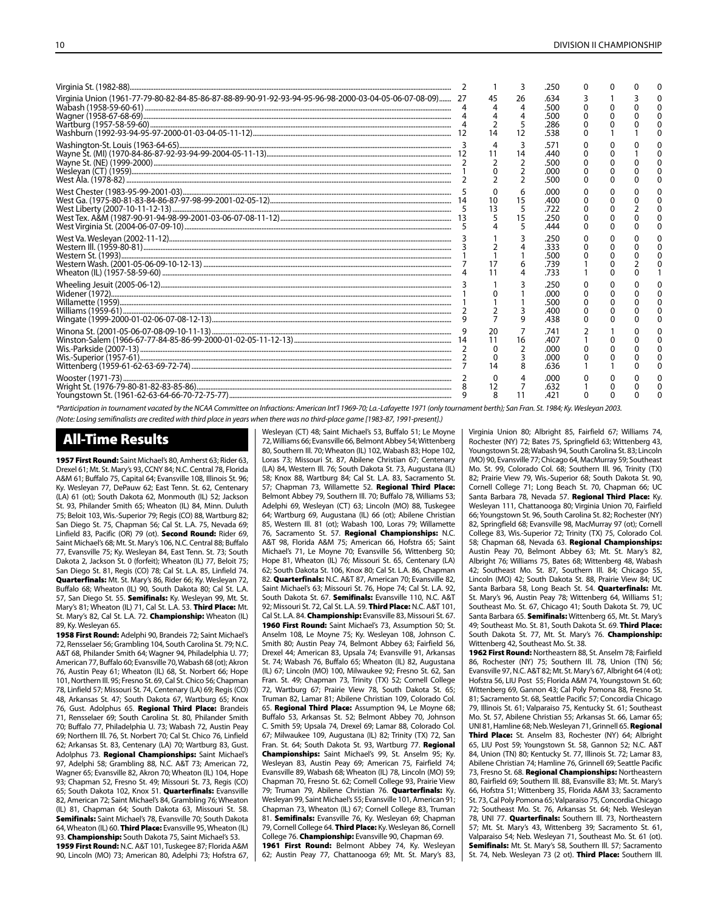|                                                                                                                                                                                                                                                                                                                                                                                                                                                                                                                        |   |                | 3                       | .250                                 | Ω |  |  |
|------------------------------------------------------------------------------------------------------------------------------------------------------------------------------------------------------------------------------------------------------------------------------------------------------------------------------------------------------------------------------------------------------------------------------------------------------------------------------------------------------------------------|---|----------------|-------------------------|--------------------------------------|---|--|--|
| Virginia Union (1961-77-79-80-82-84-85-86-87-88-89-90-91-92-93-94-95-96-98-2000-03-04-05-06-07-08-09) 27                                                                                                                                                                                                                                                                                                                                                                                                               |   |                | 26<br>5<br>12           | .634<br>.500<br>.500<br>.286<br>.538 | U |  |  |
|                                                                                                                                                                                                                                                                                                                                                                                                                                                                                                                        |   |                | 3<br>14                 | .571<br>.440<br>.500<br>.000<br>.500 |   |  |  |
| $\begin{minipage}{0.4\textwidth} \begin{minipage}{0.4\textwidth} \begin{minipage}{0.4\textwidth} \begin{minipage}{0.4\textwidth} \begin{minipage}{0.4\textwidth} \begin{minipage}{0.4\textwidth} \begin{minipage}{0.4\textwidth} \begin{minipage}{0.4\textwidth} \begin{minipage}{0.4\textwidth} \begin{minipage}{0.4\textwidth} \begin{minipage}{0.4\textwidth} \begin{minipage}{0.4\textwidth} \begin{minipage}{0.4\textwidth} \begin{minipage}{0.4\textwidth} \begin{minipage}{0.4\textwidth} \begin{minipage}{0.4$ |   | 13             | 6<br>15<br>5<br>15<br>5 | .000<br>.400<br>.722<br>.250<br>.444 |   |  |  |
|                                                                                                                                                                                                                                                                                                                                                                                                                                                                                                                        |   |                |                         | .250<br>.333<br>.500<br>.739<br>.733 |   |  |  |
|                                                                                                                                                                                                                                                                                                                                                                                                                                                                                                                        |   |                | q                       | .250<br>.000<br>.500<br>.400<br>.438 |   |  |  |
|                                                                                                                                                                                                                                                                                                                                                                                                                                                                                                                        |   | 20<br>11<br>14 | 16                      | .741<br>.407<br>.000<br>.000<br>.636 |   |  |  |
|                                                                                                                                                                                                                                                                                                                                                                                                                                                                                                                        | 9 | 12<br>8        |                         | .റററ<br>.632<br>.421                 |   |  |  |

*\*Participation in tournament vacated by the NCAA Committee on Infractions: American Int'l 1969-70; La.-Lafayette 1971 (only tournament berth); San Fran. St. 1984; Ky. Wesleyan 2003.*

*(Note: Losing semifinalists are credited with third place in years when there was no third-place game [1983-87, 1991-present].)*

# All-Time Results

1957 First Round: Saint Michael's 80, Amherst 63; Rider 63, Drexel 61; Mt. St. Mary's 93, CCNY 84; N.C. Central 78, Florida A&M 61; Buffalo 75, Capital 64; Evansville 108, Illinois St. 96; Ky. Wesleyan 77, DePauw 62; East Tenn. St. 62, Centenary (LA) 61 (ot); South Dakota 62, Monmouth (IL) 52; Jackson St. 93, Philander Smith 65; Wheaton (IL) 84, Minn. Duluth 75; Beloit 103, Wis.-Superior 79; Regis (CO) 88, Wartburg 82; San Diego St. 75, Chapman 56; Cal St. L.A. 75, Nevada 69; Linfield 83, Pacific (OR) 79 (ot). Second Round: Rider 69, Saint Michael's 68; Mt. St. Mary's 106, N.C. Central 88; Buffalo 77, Evansville 75; Ky. Wesleyan 84, East Tenn. St. 73; South Dakota 2, Jackson St. 0 (forfeit); Wheaton (IL) 77, Beloit 75; San Diego St. 81, Regis (CO) 78; Cal St. L.A. 85, Linfield 74. Quarterfinals: Mt. St. Mary's 86, Rider 66; Ky. Wesleyan 72, Buffalo 68; Wheaton (IL) 90, South Dakota 80; Cal St. L.A. 57, San Diego St. 55. Semifinals: Ky. Wesleyan 99, Mt. St. Mary's 81; Wheaton (IL) 71, Cal St. L.A. 53. Third Place: Mt. St. Mary's 82, Cal St. L.A. 72. Championship: Wheaton (IL) 89, Ky. Wesleyan 65.

1958 First Round: Adelphi 90, Brandeis 72; Saint Michael's 72, Rensselaer 56; Grambling 104, South Carolina St. 79; N.C. A&T 68, Philander Smith 64; Wagner 94, Philadelphia U. 77; American 77, Buffalo 60; Evansville 70, Wabash 68 (ot); Akron 76, Austin Peay 61; Wheaton (IL) 68, St. Norbert 66; Hope 101, Northern Ill. 95; Fresno St. 69, Cal St. Chico 56; Chapman 78, Linfield 57; Missouri St. 74, Centenary (LA) 69; Regis (CO) 48, Arkansas St. 47; South Dakota 67, Wartburg 65; Knox 76, Gust. Adolphus 65. Regional Third Place: Brandeis 71, Rensselaer 69; South Carolina St. 80, Philander Smith 70; Buffalo 77, Philadelphia U. 73; Wabash 72, Austin Peay 69; Northern Ill. 76, St. Norbert 70; Cal St. Chico 76, Linfield 62; Arkansas St. 83, Centenary (LA) 70; Wartburg 83, Gust. Adolphus 73. Regional Championships: Saint Michael's 97, Adelphi 58; Grambling 88, N.C. A&T 73; American 72, Wagner 65; Evansville 82, Akron 70; Wheaton (IL) 104, Hope 93; Chapman 52, Fresno St. 49; Missouri St. 73, Regis (CO) 65; South Dakota 102, Knox 51. Quarterfinals: Evansville 82, American 72; Saint Michael's 84, Grambling 76; Wheaton (IL) 81, Chapman 64; South Dakota 63, Missouri St. 58. Semifinals: Saint Michael's 78, Evansville 70; South Dakota 64, Wheaton (IL) 60. Third Place: Evansville 95, Wheaton (IL) 93. Championship: South Dakota 75, Saint Michael's 53.

1959 First Round: N.C. A&T 101, Tuskegee 87; Florida A&M 90, Lincoln (MO) 73; American 80, Adelphi 73; Hofstra 67,

Wesleyan (CT) 48; Saint Michael's 53, Buffalo 51; Le Moyne 72, Williams 66; Evansville 66, Belmont Abbey 54; Wittenberg 80, Southern Ill. 70; Wheaton (IL) 102, Wabash 83; Hope 102, Loras 73; Missouri St. 87, Abilene Christian 67; Centenary (LA) 84, Western Ill. 76; South Dakota St. 73, Augustana (IL) 58; Knox 88, Wartburg 84; Cal St. L.A. 83, Sacramento St. 57; Chapman 73, Willamette 52. Regional Third Place: Belmont Abbey 79, Southern Ill. 70; Buffalo 78, Williams 53; Adelphi 69, Wesleyan (CT) 63; Lincoln (MO) 88, Tuskegee 64; Wartburg 69, Augustana (IL) 66 (ot); Abilene Christian 85, Western Ill. 81 (ot); Wabash 100, Loras 79; Willamette 76, Sacramento St. 57. Regional Championships: N.C. A&T 98, Florida A&M 75; American 66, Hofstra 65; Saint Michael's 71, Le Moyne 70; Evansville 56, Wittenberg 50; Hope 81, Wheaton (IL) 76; Missouri St. 65, Centenary (LA) 62; South Dakota St. 106, Knox 80; Cal St. L.A. 86, Chapman 82. Quarterfinals: N.C. A&T 87, American 70; Evansville 82, Saint Michael's 63; Missouri St. 76, Hope 74; Cal St. L.A. 92, South Dakota St. 67. Semifinals: Evansville 110, N.C. A&T 92; Missouri St. 72, Cal St. L.A. 59. Third Place: N.C. A&T 101, Cal St. L.A. 84. Championship: Evansville 83, Missouri St. 67. 1960 First Round: Saint Michael's 73, Assumption 50; St. Anselm 108, Le Moyne 75; Ky. Wesleyan 108, Johnson C. Smith 80; Austin Peay 74, Belmont Abbey 63; Fairfield 56, Drexel 44; American 83, Upsala 74; Evansville 91, Arkansas St. 74; Wabash 76, Buffalo 65; Wheaton (IL) 82, Augustana (IL) 67; Lincoln (MO) 100, Milwaukee 92; Fresno St. 62, San Fran. St. 49; Chapman 73, Trinity (TX) 52; Cornell College 72, Wartburg 67; Prairie View 78, South Dakota St. 65; Truman 82, Lamar 81; Abilene Christian 109, Colorado Col. 65. Regional Third Place: Assumption 94, Le Moyne 68; Buffalo 53, Arkansas St. 52; Belmont Abbey 70, Johnson C. Smith 59; Upsala 74, Drexel 69; Lamar 88, Colorado Col. 67; Milwaukee 109, Augustana (IL) 82; Trinity (TX) 72, San Fran. St. 64: South Dakota St. 93, Wartburg 77. Regional Championships: Saint Michael's 99, St. Anselm 95; Ky. Wesleyan 83, Austin Peay 69; American 75, Fairfield 74; Evansville 89, Wabash 68; Wheaton (IL) 78, Lincoln (MO) 59; Chapman 70, Fresno St. 62; Cornell College 93, Prairie View 79; Truman 79, Abilene Christian 76. Quarterfinals: Ky. Wesleyan 99, Saint Michael's 55; Evansville 101, American 91; Chapman 73, Wheaton (IL) 67; Cornell College 83, Truman 81. Semifinals: Evansville 76, Ky. Wesleyan 69; Chapman 79, Cornell College 64. Third Place: Ky. Wesleyan 86, Cornell College 76. Championship: Evansville 90, Chapman 69. 1961 First Round: Belmont Abbey 74, Ky. Wesleyan

62; Austin Peay 77, Chattanooga 69; Mt. St. Mary's 83,

Virginia Union 80; Albright 85, Fairfield 67; Williams 74, Rochester (NY) 72; Bates 75, Springfield 63; Wittenberg 43, Youngstown St. 28; Wabash 94, South Carolina St. 83; Lincoln (MO) 90, Evansville 77; Chicago 64, MacMurray 59; Southeast Mo. St. 99, Colorado Col. 68; Southern Ill. 96, Trinity (TX) 82; Prairie View 79, Wis.-Superior 68; South Dakota St. 90, Cornell College 71; Long Beach St. 70, Chapman 66; UC Santa Barbara 78, Nevada 57. Regional Third Place: Ky. Wesleyan 111, Chattanooga 80; Virginia Union 70, Fairfield 66; Youngstown St. 96, South Carolina St. 82; Rochester (NY) 82, Springfield 68; Evansville 98, MacMurray 97 (ot); Cornell College 83, Wis.-Superior 72; Trinity (TX) 75, Colorado Col. 58; Chapman 68, Nevada 63. Regional Championships: Austin Peay 70, Belmont Abbey 63; Mt. St. Mary's 82, Albright 76; Williams 75, Bates 68; Wittenberg 48, Wabash 42; Southeast Mo. St. 87, Southern Ill. 84; Chicago 55, Lincoln (MO) 42; South Dakota St. 88, Prairie View 84; UC Santa Barbara 58, Long Beach St. 54. Quarterfinals: Mt. St. Mary's 96, Austin Peay 78; Wittenberg 64, Williams 51; Southeast Mo. St. 67, Chicago 41; South Dakota St. 79, UC Santa Barbara 65. Semifinals: Wittenberg 65, Mt. St. Mary's 49; Southeast Mo. St. 81, South Dakota St. 69. Third Place: South Dakota St. 77, Mt. St. Mary's 76. Championship: Wittenberg 42, Southeast Mo. St. 38.

1962 First Round: Northeastern 88, St. Anselm 78; Fairfield 86, Rochester (NY) 75; Southern Ill. 78, Union (TN) 56; Evansville 97, N.C. A&T 82; Mt. St. Mary's 67, Albright 64 (4 ot); Hofstra 56, LIU Post 55; Florida A&M 74, Youngstown St. 60; Wittenberg 69, Gannon 43; Cal Poly Pomona 88, Fresno St. 81; Sacramento St. 68, Seattle Pacific 57; Concordia Chicago 79, Illinois St. 61; Valparaiso 75, Kentucky St. 61; Southeast Mo. St. 57, Abilene Christian 55; Arkansas St. 66, Lamar 65; UNI 81, Hamline 68; Neb. Wesleyan 71, Grinnell 65. Regional Third Place: St. Anselm 83, Rochester (NY) 64; Albright 65, LIU Post 59; Youngstown St. 58, Gannon 52; N.C. A&T 84, Union (TN) 80; Kentucky St. 77, Illinois St. 72; Lamar 83, Abilene Christian 74; Hamline 76, Grinnell 69; Seattle Pacific 73, Fresno St. 68. Regional Championships: Northeastern 80, Fairfield 69; Southern Ill. 88, Evansville 83; Mt. St. Mary's 66, Hofstra 51; Wittenberg 35, Florida A&M 33; Sacramento St. 73, Cal Poly Pomona 65; Valparaiso 75, Concordia Chicago 72; Southeast Mo. St. 76, Arkansas St. 64; Neb. Wesleyan 78, UNI 77. Quarterfinals: Southern III. 73, Northeastern 57; Mt. St. Mary's 43, Wittenberg 39; Sacramento St. 61, Valparaiso 54; Neb. Wesleyan 71, Southeast Mo. St. 61 (ot). Semifinals: Mt. St. Mary's 58, Southern III. 57; Sacramento St. 74, Neb. Wesleyan 73 (2 ot). Third Place: Southern III.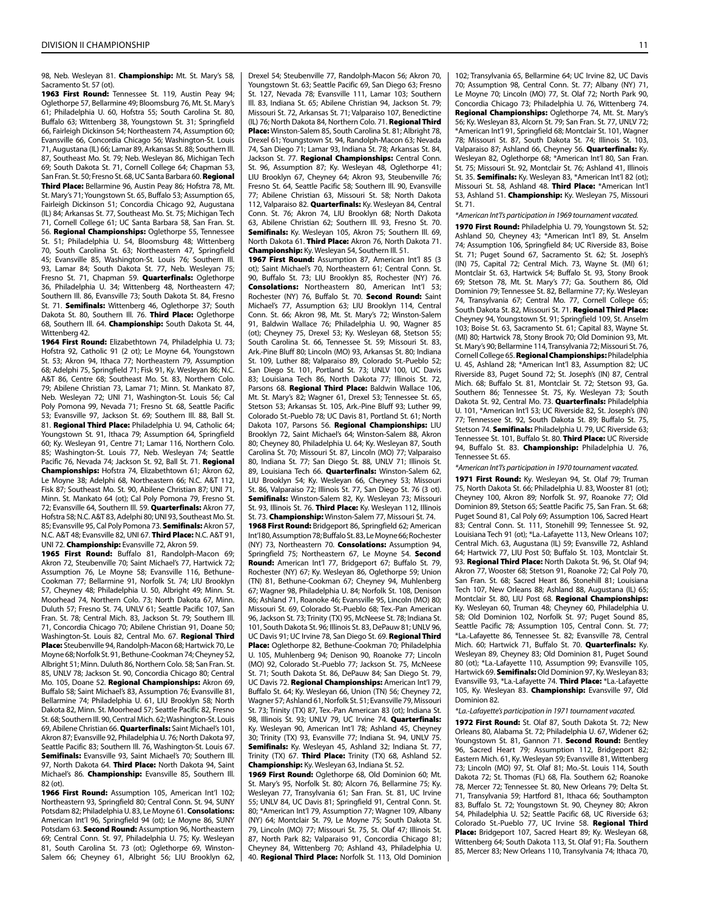98, Neb. Wesleyan 81. Championship: Mt. St. Mary's 58, Sacramento St. 57 (ot).

1963 First Round: Tennessee St. 119, Austin Peay 94; Oglethorpe 57, Bellarmine 49; Bloomsburg 76, Mt. St. Mary's 61; Philadelphia U. 60, Hofstra 55; South Carolina St. 80, Buffalo 63; Wittenberg 38, Youngstown St. 31; Springfield 66, Fairleigh Dickinson 54; Northeastern 74, Assumption 60; Evansville 66, Concordia Chicago 56; Washington-St. Louis 71, Augustana (IL) 66; Lamar 89, Arkansas St. 88; Southern Ill. 87, Southeast Mo. St. 79; Neb. Wesleyan 86, Michigan Tech 69; South Dakota St. 71, Cornell College 64; Chapman 53, San Fran. St. 50; Fresno St. 68, UC Santa Barbara 60. Regional Third Place: Bellarmine 96, Austin Peay 86; Hofstra 78, Mt. St. Mary's 71; Youngstown St. 65, Buffalo 53; Assumption 65, Fairleigh Dickinson 51; Concordia Chicago 92, Augustana (IL) 84; Arkansas St. 77, Southeast Mo. St. 75; Michigan Tech 71, Cornell College 61; UC Santa Barbara 58, San Fran. St. 56. Regional Championships: Oglethorpe 55, Tennessee St. 51; Philadelphia U. 54, Bloomsburg 48; Wittenberg 70, South Carolina St. 63; Northeastern 47, Springfield 45; Evansville 85, Washington-St. Louis 76; Southern Ill. 93, Lamar 84; South Dakota St. 77, Neb. Wesleyan 75; Fresno St. 71, Chapman 59. Quarterfinals: Oglethorpe 36, Philadelphia U. 34; Wittenberg 48, Northeastern 47; Southern Ill. 86, Evansville 73; South Dakota St. 84, Fresno St. 71. Semifinals: Wittenberg 46, Oglethorpe 37; South Dakota St. 80, Southern III. 76. Third Place: Oglethorpe 68, Southern III. 64. Championship: South Dakota St. 44, Wittenberg 42.

1964 First Round: Elizabethtown 74, Philadelphia U. 73; Hofstra 92, Catholic 91 (2 ot); Le Moyne 64, Youngstown St. 53; Akron 94, Ithaca 77; Northeastern 79, Assumption 68; Adelphi 75, Springfield 71; Fisk 91, Ky. Wesleyan 86; N.C. A&T 86, Centre 68; Southeast Mo. St. 83, Northern Colo. 79; Abilene Christian 73, Lamar 71; Minn. St. Mankato 87, Neb. Wesleyan 72; UNI 71, Washington-St. Louis 56; Cal Poly Pomona 99, Nevada 71; Fresno St. 68, Seattle Pacific 53; Evansville 97, Jackson St. 69; Southern Ill. 88, Ball St. 81. Regional Third Place: Philadelphia U. 94, Catholic 64; Youngstown St. 91, Ithaca 79; Assumption 64, Springfield 60; Ky. Wesleyan 91, Centre 71; Lamar 116, Northern Colo. 85; Washington-St. Louis 77, Neb. Wesleyan 74; Seattle Pacific 76, Nevada 74; Jackson St. 92, Ball St. 71. Regional Championships: Hofstra 74, Elizabethtown 61; Akron 62, Le Moyne 38; Adelphi 68, Northeastern 66; N.C. A&T 112, Fisk 87; Southeast Mo. St. 90, Abilene Christian 87; UNI 71, Minn. St. Mankato 64 (ot); Cal Poly Pomona 79, Fresno St. 72: Evansville 64, Southern III, 59, **Quarterfinals:** Akron 77, Hofstra 58; N.C. A&T 83, Adelphi 80; UNI 93, Southeast Mo. St. 85; Evansville 95, Cal Poly Pomona 73. Semifinals: Akron 57, N.C. A&T 48; Evansville 82, UNI 67 Third Place: N.C. A&T 91 UNI 72. Championship: Evansville 72, Akron 59.

1965 First Round: Buffalo 81, Randolph-Macon 69; Akron 72, Steubenville 70; Saint Michael's 77, Hartwick 72; Assumption 76, Le Moyne 58; Evansville 116, Bethune-Cookman 77; Bellarmine 91, Norfolk St. 74; LIU Brooklyn 57, Cheyney 48; Philadelphia U. 50, Albright 49; Minn. St. Moorhead 74, Northern Colo. 73; North Dakota 67, Minn. Duluth 57; Fresno St. 74, UNLV 61; Seattle Pacific 107, San Fran. St. 78; Central Mich. 83, Jackson St. 79; Southern Ill. 71, Concordia Chicago 70; Abilene Christian 91, Doane 50; Washington-St. Louis 82, Central Mo. 67. Regional Third Place: Steubenville 94, Randolph-Macon 68; Hartwick 70, Le Moyne 68; Norfolk St. 91, Bethune-Cookman 74; Cheyney 52, Albright 51; Minn. Duluth 86, Northern Colo. 58; San Fran. St. 85, UNLV 78; Jackson St. 90, Concordia Chicago 80; Central Mo. 105, Doane 52. Regional Championships: Akron 69, Buffalo 58; Saint Michael's 83, Assumption 76; Evansville 81, Bellarmine 74; Philadelphia U. 61, LIU Brooklyn 58; North Dakota 82, Minn. St. Moorhead 57; Seattle Pacific 82, Fresno St. 68; Southern Ill. 90, Central Mich. 62; Washington-St. Louis 69, Abilene Christian 66. Quarterfinals: Saint Michael's 101, Akron 87; Evansville 92, Philadelphia U. 76; North Dakota 97, Seattle Pacific 83; Southern Ill. 76, Washington-St. Louis 67. Semifinals: Evansville 93, Saint Michael's 70; Southern III. 97, North Dakota 64. Third Place: North Dakota 94, Saint Michael's 86. Championship: Evansville 85, Southern III. 82 (ot).

1966 First Round: Assumption 105, American Int'l 102: Northeastern 93, Springfield 80; Central Conn. St. 94, SUNY Potsdam 82; Philadelphia U. 83, Le Moyne 61. **Consolations:**  American Int'l 96, Springfield 94 (ot); Le Moyne 86, SUNY Potsdam 63. Second Round: Assumption 96, Northeastern 69; Central Conn. St. 97, Philadelphia U. 75; Ky. Wesleyan 81, South Carolina St. 73 (ot); Oglethorpe 69, Winston-Salem 66; Cheyney 61, Albright 56; LIU Brooklyn 62, Drexel 54; Steubenville 77, Randolph-Macon 56; Akron 70, Youngstown St. 63; Seattle Pacific 69, San Diego 63; Fresno St. 127, Nevada 78; Evansville 111, Lamar 103; Southern Ill. 83, Indiana St. 65; Abilene Christian 94, Jackson St. 79; Missouri St. 72, Arkansas St. 71; Valparaiso 107, Benedictine (IL) 76; North Dakota 84, Northern Colo. 71. Regional Third Place: Winston-Salem 85, South Carolina St. 81; Albright 78, Drexel 61; Youngstown St. 94, Randolph-Macon 63; Nevada 74, San Diego 71; Lamar 93, Indiana St. 78; Arkansas St. 84, Jackson St. 77. Regional Championships: Central Conn. St. 96, Assumption 87; Ky. Wesleyan 48, Oglethorpe 41; LIU Brooklyn 67, Cheyney 64; Akron 93, Steubenville 76; Fresno St. 64, Seattle Pacific 58; Southern Ill. 90, Evansville 77; Abilene Christian 63, Missouri St. 58; North Dakota 112. Valparaiso 82. Quarterfinals: Ky. Wesleyan 84, Central Conn. St. 76; Akron 74, LIU Brooklyn 68; North Dakota 63, Abilene Christian 62; Southern Ill. 93, Fresno St. 70. Semifinals: Ky. Weslevan 105, Akron 75; Southern III, 69, North Dakota 61. Third Place: Akron 76, North Dakota 71. Championship: Ky. Wesleyan 54, Southern III. 51.

1967 First Round: Assumption 87, American Int'l 85 (3 ot); Saint Michael's 70, Northeastern 61; Central Conn. St. 90, Buffalo St. 73; LIU Brooklyn 85, Rochester (NY) 76. Consolations: Northeastern 80, American Int'l 53; Rochester (NY) 76, Buffalo St. 70. Second Round: Saint Michael's 77, Assumption 63; LIU Brooklyn 114, Central Conn. St. 66; Akron 98, Mt. St. Mary's 72; Winston-Salem 91, Baldwin Wallace 76; Philadelphia U. 90, Wagner 85 (ot); Cheyney 75, Drexel 53; Ky. Wesleyan 68, Stetson 55; South Carolina St. 66, Tennessee St. 59; Missouri St. 83, Ark.-Pine Bluff 80; Lincoln (MO) 93, Arkansas St. 80; Indiana St. 109, Luther 88; Valparaiso 89, Colorado St.-Pueblo 52; San Diego St. 101, Portland St. 73; UNLV 100, UC Davis 83; Louisiana Tech 86, North Dakota 77; Illinois St. 72, Parsons 68. Regional Third Place: Baldwin Wallace 106, Mt. St. Mary's 82; Wagner 61, Drexel 53; Tennessee St. 65, Stetson 53; Arkansas St. 105, Ark.-Pine Bluff 93; Luther 99, Colorado St.-Pueblo 78; UC Davis 81, Portland St. 61; North Dakota 107, Parsons 56. Regional Championships: LIU Brooklyn 72, Saint Michael's 64; Winston-Salem 88, Akron 80; Cheyney 80, Philadelphia U. 64; Ky. Wesleyan 87, South Carolina St. 70; Missouri St. 87, Lincoln (MO) 77; Valparaiso 80, Indiana St. 77; San Diego St. 88, UNLV 71; Illinois St. 89, Louisiana Tech 66. **Quarterfinals:** Winston-Salem 62, LIU Brooklyn 54; Ky. Wesleyan 66, Cheyney 53; Missouri St. 86, Valparaiso 72; Illinois St. 77, San Diego St. 76 (3 ot). Semifinals: Winston-Salem 82, Ky. Wesleyan 73; Missouri St. 93, Illinois St. 76. Third Place: Ky. Wesleyan 112, Illinois St. 73. Championship: Winston-Salem 77, Missouri St. 74. 1968 First Round: Bridgeport 86, Springfield 62; American Int'l 80, Assumption 78; Buffalo St. 83, Le Moyne 66; Rochester (NY) 73, Northeastern 70. Consolations: Assumption 94, Springfield 75; Northeastern 67, Le Moyne 54. Second Round: American Int'l 77, Bridgeport 67; Buffalo St. 79, Rochester (NY) 67; Ky. Wesleyan 86, Oglethorpe 59; Union (TN) 81, Bethune-Cookman 67; Cheyney 94, Muhlenberg 67; Wagner 98, Philadelphia U. 84; Norfolk St. 108, Denison 86; Ashland 71, Roanoke 46; Evansville 95, Lincoln (MO) 80; Missouri St. 69, Colorado St.-Pueblo 68; Tex.-Pan American 96, Jackson St. 73; Trinity (TX) 95, McNeese St. 78; Indiana St. 101, South Dakota St. 96; Illinois St. 83, DePauw 81; UNLV 96, UC Davis 91; UC Irvine 78, San Diego St. 69. Regional Third Place: Oglethorpe 82, Bethune-Cookman 70; Philadelphia U. 105, Muhlenberg 94; Denison 90, Roanoke 77; Lincoln (MO) 92, Colorado St.-Pueblo 77; Jackson St. 75, McNeese St. 71; South Dakota St. 86, DePauw 84; San Diego St. 79, UC Davis 72. Regional Championships: American Int'l 79, Buffalo St. 64; Ky. Wesleyan 66, Union (TN) 56; Cheyney 72, Wagner 57; Ashland 61, Norfolk St. 51; Evansville 79, Missouri St. 73; Trinity (TX) 87, Tex.-Pan American 83 (ot); Indiana St. 98, Illinois St. 93; UNLV 79, UC Irvine 74. Quarterfinals: Ky. Wesleyan 90, American Int'l 78; Ashland 45, Cheyney 30; Trinity (TX) 93, Evansville 77; Indiana St. 94, UNLV 75. Semifinals: Ky. Wesleyan 45, Ashland 32; Indiana St. 77, Trinity (TX) 67. Third Place: Trinity (TX) 68, Ashland 52. Championship: Ky. Wesleyan 63, Indiana St. 52.

1969 First Round: Oglethorpe 68, Old Dominion 60; Mt. St. Mary's 95, Norfolk St. 80; Alcorn 76, Bellarmine 75; Ky. Wesleyan 77, Transylvania 61; San Fran. St. 81, UC Irvine 55; UNLV 84, UC Davis 81; Springfield 91, Central Conn. St. 80; \*American Int'l 79, Assumption 77; Wagner 109, Albany (NY) 64; Montclair St. 79, Le Moyne 75; South Dakota St. 79, Lincoln (MO) 77; Missouri St. 75, St. Olaf 47; Illinois St. 87, North Park 82; Valparaiso 91, Concordia Chicago 81; Cheyney 84, Wittenberg 70; Ashland 43, Philadelphia U. 40. Regional Third Place: Norfolk St. 113, Old Dominion

102; Transylvania 65, Bellarmine 64; UC Irvine 82, UC Davis 70; Assumption 98, Central Conn. St. 77; Albany (NY) 71, Le Moyne 70; Lincoln (MO) 77, St. Olaf 72; North Park 90, Concordia Chicago 73; Philadelphia U. 76, Wittenberg 74. Regional Championships: Oglethorpe 74, Mt. St. Mary's 56; Ky. Wesleyan 83, Alcorn St. 79; San Fran. St. 77, UNLV 72; \*American Int'l 91, Springfield 68; Montclair St. 101, Wagner 78; Missouri St. 87, South Dakota St. 74; Illinois St. 103, Valparaiso 87; Ashland 66, Cheyney 56. **Quarterfinals:** Ky. Wesleyan 82, Oglethorpe 68; \*American Int'l 80, San Fran. St. 75; Missouri St. 92, Montclair St. 76; Ashland 41, Illinois St. 35. Semifinals: Ky. Wesleyan 83, \*American Int'l 82 (ot); Missouri St. 58, Ashland 48. Third Place: \*American Int'l 53, Ashland 51. Championship: Ky. Wesleyan 75, Missouri St. 71.

*\*American Int'l's participation in 1969 tournament vacated.*

1970 First Round: Philadelphia U. 79, Youngstown St. 52; Ashland 50, Cheyney 43; \*American Int'l 89, St. Anselm 74; Assumption 106, Springfield 84; UC Riverside 83, Boise St. 71; Puget Sound 67, Sacramento St. 62; St. Joseph's (IN) 75, Capital 72; Central Mich. 73, Wayne St. (MI) 61; Montclair St. 63, Hartwick 54; Buffalo St. 93, Stony Brook 69; Stetson 78, Mt. St. Mary's 77; Ga. Southern 86, Old Dominion 79; Tennessee St. 82, Bellarmine 77; Ky. Wesleyan 74, Transylvania 67; Central Mo. 77, Cornell College 65; South Dakota St. 82, Missouri St. 71. Regional Third Place: Cheyney 94, Youngstown St. 91; Springfield 109, St. Anselm 103; Boise St. 63, Sacramento St. 61; Capital 83, Wayne St. (MI) 80; Hartwick 78, Stony Brook 70; Old Dominion 93, Mt. St. Mary's 90; Bellarmine 114, Transylvania 72; Missouri St. 76, Cornell College 65. Regional Championships: Philadelphia U. 45, Ashland 28; \*American Int'l 83, Assumption 82; UC Riverside 83, Puget Sound 72; St. Joseph's (IN) 87, Central Mich. 68; Buffalo St. 81, Montclair St. 72; Stetson 93, Ga. Southern 86; Tennessee St. 75, Ky. Wesleyan 73; South Dakota St. 92, Central Mo. 73. **Quarterfinals:** Philadelphia U. 101, \*American Int'l 53; UC Riverside 82, St. Joseph's (IN) 77; Tennessee St. 92, South Dakota St. 89; Buffalo St. 75, Stetson 74. Semifinals: Philadelphia U. 79, UC Riverside 63: Tennessee St. 101, Buffalo St. 80. Third Place: UC Riverside 94, Buffalo St. 83. Championship: Philadelphia U. 76, Tennessee St. 65.

*\*American Int'l's participation in 1970 tournament vacated.*

1971 First Round: Ky. Wesleyan 94, St. Olaf 79; Truman 75, North Dakota St. 66; Philadelphia U. 83, Wooster 81 (ot); Cheyney 100, Akron 89; Norfolk St. 97, Roanoke 77; Old Dominion 89, Stetson 65; Seattle Pacific 75, San Fran. St. 68; Puget Sound 81, Cal Poly 69; Assumption 106, Sacred Heart 83; Central Conn. St. 111, Stonehill 99; Tennessee St. 92, Louisiana Tech 91 (ot); \*La.-Lafayette 113, New Orleans 107; Central Mich. 63, Augustana (IL) 59; Evansville 72, Ashland 64; Hartwick 77, LIU Post 50; Buffalo St. 103, Montclair St. 93. Regional Third Place: North Dakota St. 96, St. Olaf 94: Akron 77, Wooster 68; Stetson 91, Roanoke 72; Cal Poly 70, San Fran. St. 68; Sacred Heart 86, Stonehill 81; Louisiana Tech 107, New Orleans 88; Ashland 88, Augustana (IL) 65; Montclair St. 80, LIU Post 68. Regional Championships: Ky. Wesleyan 60, Truman 48; Cheyney 60, Philadelphia U. 58; Old Dominion 102, Norfolk St. 97; Puget Sound 85, Seattle Pacific 78; Assumption 105, Central Conn. St. 77; \*La.-Lafayette 86, Tennessee St. 82; Evansville 78, Central Mich. 60; Hartwick 71, Buffalo St. 70. Quarterfinals: Ky. Wesleyan 89, Cheyney 83; Old Dominion 81, Puget Sound 80 (ot); \*La.-Lafayette 110, Assumption 99; Evansville 105, Hartwick 69. Semifinals: Old Dominion 97, Ky. Wesleyan 83; Evansville 93, \*La.-Lafayette 74. Third Place: \*La.-Lafayette 105, Ky. Wesleyan 83. Championship: Evansville 97, Old Dominion 82.

*\*La.-Lafayette's participation in 1971 tournament vacated.*

1972 First Round: St. Olaf 87, South Dakota St. 72; New Orleans 80, Alabama St. 72; Philadelphia U. 67, Widener 62; Youngstown St. 81, Gannon 71. Second Round: Bentley 96, Sacred Heart 79; Assumption 112, Bridgeport 82; Eastern Mich. 61, Ky. Wesleyan 59; Evansville 81, Wittenberg 73; Lincoln (MO) 97, St. Olaf 81; Mo.-St. Louis 114, South Dakota 72; St. Thomas (FL) 68, Fla. Southern 62; Roanoke 78, Mercer 72; Tennessee St. 80, New Orleans 79; Delta St. 71, Transylvania 59; Hartford 81, Ithaca 66; Southampton 83, Buffalo St. 72; Youngstown St. 90, Cheyney 80; Akron 54, Philadelphia U. 52; Seattle Pacific 68, UC Riverside 63; Colorado St.-Pueblo 77, UC Irvine 58. Regional Third Place: Bridgeport 107, Sacred Heart 89; Ky. Wesleyan 68, Wittenberg 64; South Dakota 113, St. Olaf 91; Fla. Southern 85, Mercer 83; New Orleans 110, Transylvania 74; Ithaca 70,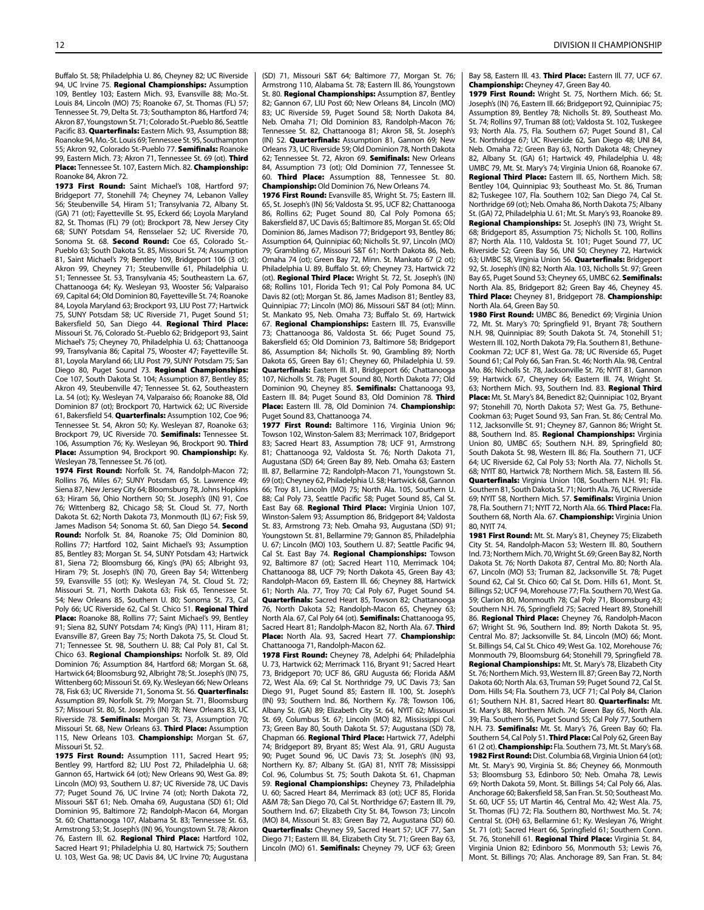Buffalo St. 58; Philadelphia U. 86, Cheyney 82; UC Riverside 94, UC Irvine 75. Regional Championships: Assumption 109, Bentley 103; Eastern Mich. 93, Evansville 88; Mo.-St. Louis 84, Lincoln (MO) 75; Roanoke 67, St. Thomas (FL) 57; Tennessee St. 79, Delta St. 73; Southampton 86, Hartford 74; Akron 87, Youngstown St. 71; Colorado St.-Pueblo 86, Seattle Pacific 83. Quarterfinals: Eastern Mich. 93, Assumption 88; Roanoke 94, Mo.-St. Louis 69; Tennessee St. 95, Southampton 55; Akron 92, Colorado St.-Pueblo 77. Semifinals: Roanoke 99, Eastern Mich. 73; Akron 71, Tennessee St. 69 (ot). Third Place: Tennessee St. 107, Eastern Mich. 82. Championship: Roanoke 84, Akron 72.

1973 First Round: Saint Michael's 108, Hartford 97: Bridgeport 77, Stonehill 74; Cheyney 74, Lebanon Valley 56; Steubenville 54, Hiram 51; Transylvania 72, Albany St. (GA) 71 (ot); Fayetteville St. 95, Eckerd 66; Loyola Maryland 82, St. Thomas (FL) 79 (ot); Brockport 78, New Jersey City 68; SUNY Potsdam 54, Rensselaer 52; UC Riverside 70, Sonoma St. 68. Second Round: Coe 65, Colorado St.-Pueblo 63; South Dakota St. 85, Missouri St. 74; Assumption 81, Saint Michael's 79; Bentley 109, Bridgeport 106 (3 ot); Akron 99, Cheyney 71; Steubenville 61, Philadelphia U. 51; Tennessee St. 53, Transylvania 45; Southeastern La. 67, Chattanooga 64; Ky. Wesleyan 93, Wooster 56; Valparaiso 69, Capital 64; Old Dominion 80, Fayetteville St. 74; Roanoke 84, Loyola Maryland 63; Brockport 93, LIU Post 77; Hartwick 75, SUNY Potsdam 58; UC Riverside 71, Puget Sound 51; Bakersfield 50, San Diego 44. Regional Third Place: Missouri St. 76, Colorado St.-Pueblo 62; Bridgeport 93, Saint Michael's 75; Cheyney 70, Philadelphia U. 63; Chattanooga 99, Transylvania 86; Capital 75, Wooster 47; Fayetteville St. 81, Loyola Maryland 66; LIU Post 79, SUNY Potsdam 75; San Diego 80, Puget Sound 73. Regional Championships: Coe 107, South Dakota St. 104; Assumption 87, Bentley 85; Akron 49, Steubenville 47; Tennessee St. 62, Southeastern La. 54 (ot); Ky. Wesleyan 74, Valparaiso 66; Roanoke 88, Old Dominion 87 (ot); Brockport 70, Hartwick 62; UC Riverside 61, Bakersfield 54. Quarterfinals: Assumption 102, Coe 96; Tennessee St. 54, Akron 50; Ky. Wesleyan 87, Roanoke 63; Brockport 79, UC Riverside 70. Semifinals: Tennessee St. 106, Assumption 76; Ky. Wesleyan 96, Brockport 90. Third Place: Assumption 94, Brockport 90. Championship: Ky. Wesleyan 78, Tennessee St. 76 (ot).

1974 First Round: Norfolk St. 74, Randolph-Macon 72; Rollins 76, Miles 67; SUNY Potsdam 65, St. Lawrence 49; Siena 87, New Jersey City 64; Bloomsburg 78, Johns Hopkins 63; Hiram 56, Ohio Northern 50; St. Joseph's (IN) 91, Coe 76; Wittenberg 82, Chicago 58; St. Cloud St. 77, North Dakota St. 62; North Dakota 73, Monmouth (IL) 67; Fisk 59, James Madison 54; Sonoma St. 60, San Diego 54. Second Round: Norfolk St. 84, Roanoke 75; Old Dominion 80, Rollins 77; Hartford 102, Saint Michael's 93; Assumption 85, Bentley 83; Morgan St. 54, SUNY Potsdam 43; Hartwick 81, Siena 72; Bloomsburg 66, King's (PA) 65; Albright 93, Hiram 79; St. Joseph's (IN) 70, Green Bay 54; Wittenberg 59, Evansville 55 (ot); Ky. Wesleyan 74, St. Cloud St. 72; Missouri St. 71, North Dakota 63; Fisk 65, Tennessee St. 54; New Orleans 85, Southern U. 80; Sonoma St. 73, Cal Poly 66; UC Riverside 62, Cal St. Chico 51. Regional Third Place: Roanoke 88, Rollins 77; Saint Michael's 99, Bentley 91; Siena 82, SUNY Potsdam 74; King's (PA) 111, Hiram 81; Evansville 87, Green Bay 75; North Dakota 75, St. Cloud St. 71; Tennessee St. 98, Southern U. 88; Cal Poly 81, Cal St. Chico 63. Regional Championships: Norfolk St. 89, Old Dominion 76; Assumption 84, Hartford 68; Morgan St. 68, Hartwick 64; Bloomsburg 92, Albright 78; St. Joseph's (IN) 75, Wittenberg 60; Missouri St. 69, Ky. Wesleyan 66; New Orleans 78, Fisk 63; UC Riverside 71, Sonoma St. 56. Quarterfinals: Assumption 89, Norfolk St. 79; Morgan St. 71, Bloomsburg 57; Missouri St. 80, St. Joseph's (IN) 78; New Orleans 83, UC Riverside 78. Semifinals: Morgan St. 73, Assumption 70; Missouri St. 68, New Orleans 63. Third Place: Assumption 115, New Orleans 103. Championship: Morgan St. 67, Missouri St. 52.

1975 First Round: Assumption 111, Sacred Heart 95; Bentley 99, Hartford 82; LIU Post 72, Philadelphia U. 68; Gannon 65, Hartwick 64 (ot); New Orleans 90, West Ga. 89; Lincoln (MO) 93, Southern U. 87; UC Riverside 78, UC Davis 77; Puget Sound 76, UC Irvine 74 (ot); North Dakota 72, Missouri S&T 61; Neb. Omaha 69, Augustana (SD) 61; Old Dominion 95, Baltimore 72; Randolph-Macon 64, Morgan St. 60; Chattanooga 107, Alabama St. 83; Tennessee St. 63, Armstrong 53; St. Joseph's (IN) 96, Youngstown St. 78; Akron 76, Eastern III. 62. Regional Third Place: Hartford 102, Sacred Heart 91; Philadelphia U. 80, Hartwick 75; Southern U. 103, West Ga. 98; UC Davis 84, UC Irvine 70; Augustana (SD) 71, Missouri S&T 64; Baltimore 77, Morgan St. 76; Armstrong 110, Alabama St. 78; Eastern Ill. 86, Youngstown St. 80. Regional Championships: Assumption 87, Bentley 82; Gannon 67, LIU Post 60; New Orleans 84, Lincoln (MO) 83; UC Riverside 59, Puget Sound 58; North Dakota 84, Neb. Omaha 71; Old Dominion 83, Randolph-Macon 76; Tennessee St. 82, Chattanooga 81; Akron 58, St. Joseph's (IN) 52. **Quarterfinals:** Assumption 81, Gannon 69: New Orleans 73, UC Riverside 59; Old Dominion 78, North Dakota 62; Tennessee St. 72, Akron 69. Semifinals: New Orleans 84, Assumption 73 (ot); Old Dominion 77, Tennessee St. 60. Third Place: Assumption 88, Tennessee St. 80. Championship: Old Dominion 76, New Orleans 74.

1976 First Round: Evansville 85, Wright St. 75; Eastern Ill. 65, St. Joseph's (IN) 56; Valdosta St. 95, UCF 82; Chattanooga 86, Rollins 62; Puget Sound 80, Cal Poly Pomona 65; Bakersfield 87, UC Davis 65; Baltimore 85, Morgan St. 65; Old Dominion 86, James Madison 77; Bridgeport 93, Bentley 86; Assumption 64, Quinnipiac 60; Nicholls St. 97, Lincoln (MO) 79; Grambling 67, Missouri S&T 61; North Dakota 86, Neb. Omaha 74 (ot); Green Bay 72, Minn. St. Mankato 67 (2 ot); Philadelphia U. 89, Buffalo St. 69; Cheyney 73, Hartwick 72 (ot). Regional Third Place: Wright St. 72, St. Joseph's (IN) 68; Rollins 101, Florida Tech 91; Cal Poly Pomona 84, UC Davis 82 (ot); Morgan St. 86, James Madison 81; Bentley 83, Quinnipiac 77; Lincoln (MO) 86, Missouri S&T 84 (ot); Minn. St. Mankato 95, Neb. Omaha 73; Buffalo St. 69, Hartwick 67. Regional Championships: Eastern Ill. 75, Evansville 73; Chattanooga 86, Valdosta St. 66; Puget Sound 75, Bakersfield 65; Old Dominion 73, Baltimore 58; Bridgeport 86, Assumption 84; Nicholls St. 90, Grambling 89; North Dakota 65, Green Bay 61; Cheyney 60, Philadelphia U. 59. **Quarterfinals:** Eastern Ill. 81, Bridgeport 66; Chattanooga 107, Nicholls St. 78; Puget Sound 80, North Dakota 77; Old Dominion 90, Cheyney 85. Semifinals: Chattanooga 93, Eastern III. 84; Puget Sound 83, Old Dominion 78. Third Place: Eastern III. 78, Old Dominion 74. Championship: Puget Sound 83, Chattanooga 74.

1977 First Round: Baltimore 116, Virginia Union 96; Towson 102, Winston-Salem 83; Merrimack 107, Bridgeport 83; Sacred Heart 83, Assumption 78; UCF 91, Armstrong 81; Chattanooga 92, Valdosta St. 76; North Dakota 71, Augustana (SD) 64; Green Bay 89, Neb. Omaha 63; Eastern Ill. 87, Bellarmine 72; Randolph-Macon 71, Youngstown St. 69 (ot); Cheyney 62, Philadelphia U. 58; Hartwick 68, Gannon 66; Troy 81, Lincoln (MO) 75; North Ala. 105, Southern U. 88; Cal Poly 73, Seattle Pacific 58; Puget Sound 85, Cal St. East Bay 68. Regional Third Place: Virginia Union 107, Winston-Salem 93; Assumption 86, Bridgeport 84; Valdosta St. 83, Armstrong 73; Neb. Omaha 93, Augustana (SD) 91; Youngstown St. 81, Bellarmine 79; Gannon 85, Philadelphia U. 67; Lincoln (MO) 103, Southern U. 87; Seattle Pacific 94, Cal St. East Bay 74. Regional Championships: Towson 92, Baltimore 87 (ot); Sacred Heart 110, Merrimack 104; Chattanooga 88, UCF 79; North Dakota 45, Green Bay 43; Randolph-Macon 69, Eastern Ill. 66; Cheyney 88, Hartwick 61; North Ala. 77, Troy 70; Cal Poly 67, Puget Sound 54. Quarterfinals: Sacred Heart 85, Towson 82; Chattanooga 76, North Dakota 52; Randolph-Macon 65, Cheyney 63; North Ala. 67, Cal Poly 64 (ot). Semifinals: Chattanooga 95, Sacred Heart 81; Randolph-Macon 82, North Ala. 67. Third Place: North Ala. 93, Sacred Heart 77. Championship: Chattanooga 71, Randolph-Macon 62.

1978 First Round: Cheyney 78, Adelphi 64; Philadelphia U. 73, Hartwick 62; Merrimack 116, Bryant 91; Sacred Heart 73, Bridgeport 70; UCF 86, GRU Augusta 66; Florida A&M 72, West Ala. 69; Cal St. Northridge 79, UC Davis 73; San Diego 91, Puget Sound 85; Eastern Ill. 100, St. Joseph's (IN) 93; Southern Ind. 86, Northern Ky. 78; Towson 106, Albany St. (GA) 89; Elizabeth City St. 64, NYIT 62; Missouri St. 69, Columbus St. 67; Lincoln (MO) 82, Mississippi Col. 73; Green Bay 80, South Dakota St. 57; Augustana (SD) 78, Chapman 66. Regional Third Place: Hartwick 77, Adelphi 74; Bridgeport 89, Bryant 85; West Ala. 91, GRU Augusta 90; Puget Sound 96, UC Davis 73; St. Joseph's (IN) 93, Northern Ky. 87; Albany St. (GA) 81, NYIT 78; Mississippi Col. 96, Columbus St. 75; South Dakota St. 61, Chapman 59. Regional Championships: Cheyney 73, Philadelphia U. 60; Sacred Heart 84, Merrimack 83 (ot); UCF 85, Florida A&M 78; San Diego 70, Cal St. Northridge 67; Eastern Ill. 79, Southern Ind. 67; Elizabeth City St. 84, Towson 73; Lincoln (MO) 84, Missouri St. 83; Green Bay 72, Augustana (SD) 60. Quarterfinals: Cheyney 59, Sacred Heart 57; UCF 77, San Diego 71; Eastern Ill. 84, Elizabeth City St. 71; Green Bay 63, Lincoln (MO) 61. Semifinals: Cheyney 79, UCF 63; Green Bay 58, Eastern III, 43. Third Place: Eastern III, 77, UCF 67. Championship: Cheyney 47, Green Bay 40.

1979 First Round: Wright St. 75, Northern Mich. 66; St. Joseph's (IN) 76, Eastern Ill. 66; Bridgeport 92, Quinnipiac 75; Assumption 89, Bentley 78; Nicholls St. 89, Southeast Mo. St. 74; Rollins 97, Truman 88 (ot); Valdosta St. 102, Tuskegee 93; North Ala. 75, Fla. Southern 67; Puget Sound 81, Cal St. Northridge 67; UC Riverside 62, San Diego 48; UNI 84, Neb. Omaha 72; Green Bay 63, North Dakota 48; Cheyney 82, Albany St. (GA) 61; Hartwick 49, Philadelphia U. 48; UMBC 79, Mt. St. Mary's 74; Virginia Union 68, Roanoke 67. Regional Third Place: Eastern III. 65, Northern Mich. 58; Bentley 104, Quinnipiac 93; Southeast Mo. St. 86, Truman 82; Tuskegee 107, Fla. Southern 102; San Diego 74, Cal St. Northridge 69 (ot); Neb. Omaha 86, North Dakota 75; Albany St. (GA) 72, Philadelphia U. 61; Mt. St. Mary's 93, Roanoke 89. Regional Championships: St. Joseph's (IN) 73, Wright St. 68; Bridgeport 85, Assumption 75; Nicholls St. 100, Rollins 87; North Ala. 110, Valdosta St. 101; Puget Sound 77, UC Riverside 52; Green Bay 56, UNI 50; Cheyney 72, Hartwick 63; UMBC 58, Virginia Union 56. Quarterfinals: Bridgeport 92, St. Joseph's (IN) 82; North Ala. 103, Nicholls St. 97; Green Bay 65, Puget Sound 53; Cheyney 65, UMBC 62. Semifinals: North Ala. 85, Bridgeport 82; Green Bay 46, Cheyney 45. Third Place: Cheyney 81, Bridgeport 78. Championship: North Ala. 64, Green Bay 50.

1980 First Round: UMBC 86, Benedict 69; Virginia Union 72, Mt. St. Mary's 70; Springfield 91, Bryant 78; Southern N.H. 98, Quinnipiac 89; South Dakota St. 74, Stonehill 51; Western Ill. 102, North Dakota 79; Fla. Southern 81, Bethune-Cookman 72; UCF 81, West Ga. 78; UC Riverside 65, Puget Sound 61; Cal Poly 66, San Fran. St. 46; North Ala. 98, Central Mo. 86; Nicholls St. 78, Jacksonville St. 76; NYIT 81, Gannon 59; Hartwick 67, Cheyney 64; Eastern Ill. 74, Wright St. 63; Northern Mich. 93, Southern Ind. 83. Regional Third Place: Mt. St. Mary's 84, Benedict 82; Quinnipiac 102, Bryant 97; Stonehill 70, North Dakota 57; West Ga. 75, Bethune-Cookman 63; Puget Sound 93, San Fran. St. 86; Central Mo. 112, Jacksonville St. 91; Cheyney 87, Gannon 86; Wright St. 88, Southern Ind. 85. Regional Championships: Virginia Union 80, UMBC 65; Southern N.H. 89, Springfield 80; South Dakota St. 98, Western Ill. 86; Fla. Southern 71, UCF 64; UC Riverside 62, Cal Poly 53; North Ala. 77, Nicholls St. 68; NYIT 80, Hartwick 78; Northern Mich. 58, Eastern Ill. 56. Quarterfinals: Virginia Union 108, Southern N.H. 91: Fla. Southern 81, South Dakota St. 71; North Ala. 76, UC Riverside 69: NYIT 58, Northern Mich. 57. Semifinals: Virginia Union 78, Fla. Southern 71; NYIT 72, North Ala. 66. Third Place: Fla. Southern 68, North Ala. 67. Championship: Virginia Union 80, NYIT 74.

1981 First Round: Mt. St. Mary's 81, Cheyney 75; Elizabeth City St. 54, Randolph-Macon 53; Western Ill. 80, Southern Ind. 73; Northern Mich. 70, Wright St. 69; Green Bay 82, North Dakota St. 76; North Dakota 87, Central Mo. 80; North Ala. 67, Lincoln (MO) 53; Truman 82, Jacksonville St. 78; Puget Sound 62, Cal St. Chico 60; Cal St. Dom. Hills 61, Mont. St. Billings 52; UCF 94, Morehouse 77; Fla. Southern 70, West Ga. 59; Clarion 80, Monmouth 78; Cal Poly 71, Bloomsburg 43; Southern N.H. 76, Springfield 75; Sacred Heart 89, Stonehill 86. Regional Third Place: Cheyney 76, Randolph-Macon 67; Wright St. 96, Southern Ind. 89; North Dakota St. 95, Central Mo. 87; Jacksonville St. 84, Lincoln (MO) 66; Mont. St. Billings 54, Cal St. Chico 49; West Ga. 102, Morehouse 76; Monmouth 79, Bloomsburg 64; Stonehill 79, Springfield 78. Regional Championships: Mt. St. Mary's 78, Elizabeth City St. 76; Northern Mich. 93, Western Ill. 87; Green Bay 72, North Dakota 60; North Ala. 63, Truman 59; Puget Sound 72, Cal St. Dom. Hills 54; Fla. Southern 73, UCF 71; Cal Poly 84, Clarion 61; Southern N.H. 81, Sacred Heart 80. Quarterfinals: Mt. St. Mary's 88, Northern Mich. 74; Green Bay 65, North Ala. 39; Fla. Southern 56, Puget Sound 55; Cal Poly 77, Southern N.H. 73. Semifinals: Mt. St. Mary's 76, Green Bay 60; Fla. Southern 54, Cal Poly 51. Third Place: Cal Poly 62, Green Bay 61 (2 ot). Championship: Fla. Southern 73, Mt. St. Mary's 68. 1982 First Round: Dist. Columbia 68, Virginia Union 64 (ot); Mt. St. Mary's 90, Virginia St. 86; Cheyney 66, Monmouth 53; Bloomsburg 53, Edinboro 50; Neb. Omaha 78, Lewis 69; North Dakota 59, Mont. St. Billings 54; Cal Poly 66, Alas. Anchorage 60; Bakersfield 58, San Fran. St. 50; Southeast Mo. St. 60, UCF 55; UT Martin 46, Central Mo. 42; West Ala. 75, St. Thomas (FL) 72; Fla. Southern 80, Northwest Mo. St. 74; Central St. (OH) 63, Bellarmine 61; Ky. Wesleyan 76, Wright St. 71 (ot); Sacred Heart 66, Springfield 61; Southern Conn. St. 76, Stonehill 61. Regional Third Place: Virginia St. 84, Virginia Union 82; Edinboro 56, Monmouth 53; Lewis 76, Mont. St. Billings 70; Alas. Anchorage 89, San Fran. St. 84;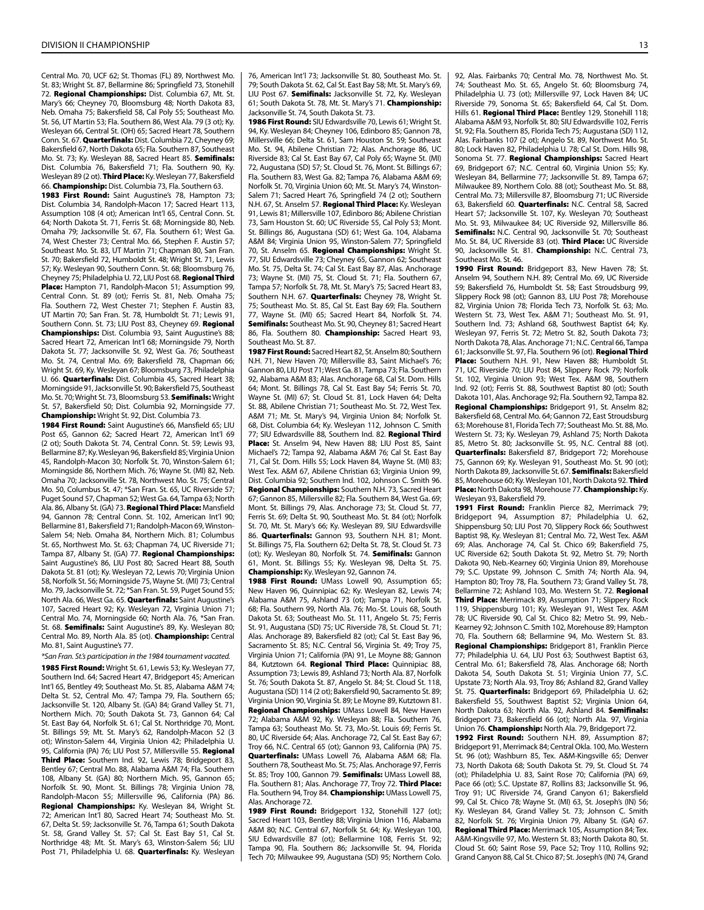Central Mo. 70, UCF 62; St. Thomas (FL) 89, Northwest Mo. St. 83; Wright St. 87, Bellarmine 86; Springfield 73, Stonehill 72. Regional Championships: Dist. Columbia 67, Mt. St. Mary's 66; Cheyney 70, Bloomsburg 48; North Dakota 83, Neb. Omaha 75; Bakersfield 58, Cal Poly 55; Southeast Mo. St. 56, UT Martin 53; Fla. Southern 86, West Ala. 79 (3 ot); Ky. Wesleyan 66, Central St. (OH) 65; Sacred Heart 78, Southern Conn. St. 67. Quarterfinals: Dist. Columbia 72, Cheyney 69; Bakersfield 67, North Dakota 65; Fla. Southern 87, Southeast Mo. St. 73; Kv. Weslevan 88, Sacred Heart 85. Semifinals: Dist. Columbia 76, Bakersfield 71; Fla. Southern 90, Ky. Wesleyan 89 (2 ot). Third Place: Ky. Wesleyan 77, Bakersfield 66. Championship: Dist. Columbia 73, Fla. Southern 63.

1983 First Round: Saint Augustine's 78, Hampton 73; Dist. Columbia 34, Randolph-Macon 17; Sacred Heart 113, Assumption 108 (4 ot); American Int'l 65, Central Conn. St. 64; North Dakota St. 71, Ferris St. 68; Morningside 80, Neb. Omaha 79; Jacksonville St. 67, Fla. Southern 61; West Ga. 74, West Chester 73; Central Mo. 66, Stephen F. Austin 57; Southeast Mo. St. 83, UT Martin 71; Chapman 80, San Fran. St. 70; Bakersfield 72, Humboldt St. 48; Wright St. 71, Lewis 57; Ky. Wesleyan 90, Southern Conn. St. 68; Bloomsburg 76, Cheyney 75; Philadelphia U. 72, LIU Post 68. Regional Third Place: Hampton 71, Randolph-Macon 51; Assumption 99, Central Conn. St. 89 (ot); Ferris St. 81, Neb. Omaha 75; Fla. Southern 72, West Chester 71; Stephen F. Austin 83, UT Martin 70; San Fran. St. 78, Humboldt St. 71; Lewis 91, Southern Conn. St. 73; LIU Post 83, Cheyney 69. Regional Championships: Dist. Columbia 93, Saint Augustine's 88; Sacred Heart 72, American Int'l 68; Morningside 79, North Dakota St. 77; Jacksonville St. 92, West Ga. 76; Southeast Mo. St. 74, Central Mo. 69; Bakersfield 78, Chapman 66; Wright St. 69, Ky. Wesleyan 67; Bloomsburg 73, Philadelphia U. 66. Quarterfinals: Dist. Columbia 45, Sacred Heart 38; Morningside 91, Jacksonville St. 90; Bakersfield 75, Southeast Mo. St. 70; Wright St. 73, Bloomsburg 53. Semifinals: Wright St. 57, Bakersfield 50; Dist. Columbia 92, Morningside 77. Championship: Wright St. 92, Dist. Columbia 73.

1984 First Round: Saint Augustine's 66, Mansfield 65; LIU Post 65, Gannon 62; Sacred Heart 72, American Int'l 69 (2 ot); South Dakota St. 74, Central Conn. St. 59; Lewis 93, Bellarmine 87; Ky. Wesleyan 96, Bakersfield 85; Virginia Union 45, Randolph-Macon 30; Norfolk St. 70, Winston-Salem 61; Morningside 86, Northern Mich. 76; Wayne St. (MI) 82, Neb. Omaha 70; Jacksonville St. 78, Northwest Mo. St. 75; Central Mo. 50, Columbus St. 47; \*San Fran. St. 65, UC Riverside 57; Puget Sound 57, Chapman 52; West Ga. 64, Tampa 63; North Ala. 86, Albany St. (GA) 73. Regional Third Place: Mansfield 94, Gannon 78; Central Conn. St. 102, American Int'l 90; Bellarmine 81, Bakersfield 71; Randolph-Macon 69, Winston-Salem 54; Neb. Omaha 84, Northern Mich. 81; Columbus St. 65, Northwest Mo. St. 63; Chapman 74, UC Riverside 71; Tampa 87, Albany St. (GA) 77. Regional Championships: Saint Augustine's 86, LIU Post 80; Sacred Heart 88, South Dakota St. 81 (ot); Ky. Wesleyan 72, Lewis 70; Virginia Union 58, Norfolk St. 56; Morningside 75, Wayne St. (MI) 73; Central Mo. 79, Jacksonville St. 72; \*San Fran. St. 59, Puget Sound 55; North Ala. 66, West Ga. 65. Quarterfinals: Saint Augustine's 107, Sacred Heart 92; Ky. Wesleyan 72, Virginia Union 71; Central Mo. 74, Morningside 60; North Ala. 76, \*San Fran. St. 68. Semifinals: Saint Augustine's 89, Ky. Wesleyan 80; Central Mo. 89, North Ala. 85 (ot). Championship: Central Mo. 81, Saint Augustine's 77.

*\*San Fran. St.'s participation in the 1984 tournament vacated.* 1985 First Round: Wright St. 61, Lewis 53; Ky. Wesleyan 77, Southern Ind. 64; Sacred Heart 47, Bridgeport 45; American Int'l 65, Bentley 49; Southeast Mo. St. 85, Alabama A&M 74; Delta St. 52, Central Mo. 47; Tampa 79, Fla. Southern 65; Jacksonville St. 120, Albany St. (GA) 84; Grand Valley St. 71, Northern Mich. 70; South Dakota St. 73, Gannon 64; Cal St. East Bay 64, Norfolk St. 61; Cal St. Northridge 70, Mont. St. Billings 59; Mt. St. Mary's 62, Randolph-Macon 52 (3 ot); Winston-Salem 44, Virginia Union 42; Philadelphia U. 95, California (PA) 76; LIU Post 57, Millersville 55, Regional Third Place: Southern Ind. 92, Lewis 78; Bridgeport 83, Bentley 67; Central Mo. 88, Alabama A&M 74; Fla. Southern 108, Albany St. (GA) 80; Northern Mich. 95, Gannon 65; Norfolk St. 90, Mont. St. Billings 78; Virginia Union 78, Randolph-Macon 55; Millersville 96, California (PA) 86. Regional Championships: Ky. Wesleyan 84, Wright St. 72; American Int'l 80, Sacred Heart 74; Southeast Mo. St. 67, Delta St. 59; Jacksonville St. 76, Tampa 61; South Dakota St. 58, Grand Valley St. 57; Cal St. East Bay 51, Cal St. Northridge 48; Mt. St. Mary's 63, Winston-Salem 56; LIU Post 71, Philadelphia U. 68. Quarterfinals: Ky. Wesleyan 76, American Int'l 73; Jacksonville St. 80, Southeast Mo. St. 79; South Dakota St. 62, Cal St. East Bay 58; Mt. St. Mary's 69, LIU Post 67. Semifinals: Jacksonville St. 72, Ky. Wesleyan 61; South Dakota St. 78, Mt. St. Mary's 71. Championship: Jacksonville St. 74, South Dakota St. 73.

1986 First Round: SIU Edwardsville 70, Lewis 61; Wright St. 94, Ky. Wesleyan 84; Cheyney 106, Edinboro 85; Gannon 78, Millersville 66; Delta St. 61, Sam Houston St. 59; Southeast Mo. St. 94, Abilene Christian 72; Alas. Anchorage 86, UC Riverside 83; Cal St. East Bay 67, Cal Poly 65; Wayne St. (MI) 72, Augustana (SD) 57; St. Cloud St. 76, Mont. St. Billings 67; Fla. Southern 83, West Ga. 82; Tampa 76, Alabama A&M 69; Norfolk St. 70, Virginia Union 60; Mt. St. Mary's 74, Winston-Salem 71; Sacred Heart 76, Springfield 74 (2 ot); Southern N.H. 67, St. Anselm 57. Regional Third Place: Ky. Wesleyan 91, Lewis 81; Millersville 107, Edinboro 86; Abilene Christian 73, Sam Houston St. 60; UC Riverside 55, Cal Poly 53; Mont. St. Billings 86, Augustana (SD) 61; West Ga. 104, Alabama A&M 84; Virginia Union 95, Winston-Salem 77; Springfield 70, St. Anselm 65. Regional Championships: Wright St. 77, SIU Edwardsville 73; Cheyney 65, Gannon 62; Southeast Mo. St. 75, Delta St. 74; Cal St. East Bay 87, Alas. Anchorage 73; Wayne St. (MI) 75, St. Cloud St. 71; Fla. Southern 67, Tampa 57; Norfolk St. 78, Mt. St. Mary's 75; Sacred Heart 83, Southern N.H. 67. Quarterfinals: Cheyney 78, Wright St. 75; Southeast Mo. St. 85, Cal St. East Bay 69; Fla. Southern 77, Wayne St. (MI) 65; Sacred Heart 84, Norfolk St. 74. Semifinals: Southeast Mo. St. 90, Cheyney 81; Sacred Heart 86, Fla. Southern 80. Championship: Sacred Heart 93, Southeast Mo. St. 87.

1987 First Round: Sacred Heart 82, St. Anselm 80: Southern N.H. 71, New Haven 70; Millersville 83, Saint Michael's 76; Gannon 80, LIU Post 71; West Ga. 81, Tampa 73; Fla. Southern 92, Alabama A&M 83; Alas. Anchorage 68, Cal St. Dom. Hills 64; Mont. St. Billings 78, Cal St. East Bay 54; Ferris St. 70, Wayne St. (MI) 67; St. Cloud St. 81, Lock Haven 64; Delta St. 88, Abilene Christian 71; Southeast Mo. St. 72, West Tex. A&M 71; Mt. St. Mary's 94, Virginia Union 84; Norfolk St. 68, Dist. Columbia 64; Ky. Wesleyan 112, Johnson C. Smith 77; SIU Edwardsville 88, Southern Ind. 82. Regional Third Place: St. Anselm 94, New Haven 88; LIU Post 85, Saint Michael's 72; Tampa 92, Alabama A&M 76; Cal St. East Bay 71, Cal St. Dom. Hills 55; Lock Haven 84, Wayne St. (MI) 83; West Tex. A&M 67, Abilene Christian 63; Virginia Union 99, Dist. Columbia 92; Southern Ind. 102, Johnson C. Smith 96. Regional Championships: Southern N.H. 73, Sacred Heart 67; Gannon 85, Millersville 82; Fla. Southern 84, West Ga. 69; Mont. St. Billings 79, Alas. Anchorage 73; St. Cloud St. 77, Ferris St. 69; Delta St. 90, Southeast Mo. St. 84 (ot); Norfolk St. 70, Mt. St. Mary's 66; Ky. Wesleyan 89, SIU Edwardsville 86. Quarterfinals: Gannon 93, Southern N.H. 81; Mont. St. Billings 75, Fla. Southern 62; Delta St. 78, St. Cloud St. 73 (ot); Ky. Wesleyan 80, Norfolk St. 74. Semifinals: Gannon 61, Mont. St. Billings 55; Ky. Wesleyan 98, Delta St. 75. Championship: Ky. Wesleyan 92, Gannon 74.

1988 First Round: UMass Lowell 90, Assumption 65; New Haven 96, Quinnipiac 62; Ky. Wesleyan 82, Lewis 74; Alabama A&M 75, Ashland 73 (ot); Tampa 71, Norfolk St. 68; Fla. Southern 99, North Ala. 76; Mo.-St. Louis 68, South Dakota St. 63; Southeast Mo. St. 111, Angelo St. 75; Ferris St. 91, Augustana (SD) 75; UC Riverside 78, St. Cloud St. 71; Alas. Anchorage 89, Bakersfield 82 (ot); Cal St. East Bay 96, Sacramento St. 85; N.C. Central 56, Virginia St. 49; Troy 75, Virginia Union 71; California (PA) 91, Le Moyne 88; Gannon 84, Kutztown 64. Regional Third Place: Quinnipiac 88, Assumption 73; Lewis 89, Ashland 73; North Ala. 87, Norfolk St. 76; South Dakota St. 87, Angelo St. 84; St. Cloud St. 118, Augustana (SD) 114 (2 ot); Bakersfield 90, Sacramento St. 89; Virginia Union 90, Virginia St. 89; Le Moyne 89, Kutztown 81. Regional Championships: UMass Lowell 84, New Haven 72; Alabama A&M 92, Ky. Wesleyan 88; Fla. Southern 76, Tampa 63; Southeast Mo. St. 73, Mo.-St. Louis 69; Ferris St. 80, UC Riverside 64; Alas. Anchorage 72, Cal St. East Bay 67; Troy 66, N.C. Central 65 (ot); Gannon 93, California (PA) 75. Quarterfinals: UMass Lowell 76, Alabama A&M 68; Fla. Southern 78, Southeast Mo. St. 75; Alas. Anchorage 97, Ferris St. 85; Troy 100, Gannon 79. Semifinals: UMass Lowell 88, Fla. Southern 81; Alas. Anchorage 77, Troy 72. Third Place: Fla. Southern 94, Trov 84. Championship: UMass Lowell 75, Alas. Anchorage 72.

1989 First Round: Bridgeport 132, Stonehill 127 (ot); Sacred Heart 103, Bentley 88; Virginia Union 116, Alabama A&M 80; N.C. Central 67, Norfolk St. 64; Ky. Wesleyan 100, SIU Edwardsville 87 (ot); Bellarmine 108, Ferris St. 92; Tampa 90, Fla. Southern 86; Jacksonville St. 94, Florida Tech 70; Milwaukee 99, Augustana (SD) 95; Northern Colo. 92, Alas. Fairbanks 70; Central Mo. 78, Northwest Mo. St. 74; Southeast Mo. St. 65, Angelo St. 60; Bloomsburg 74, Philadelphia U. 73 (ot); Millersville 97, Lock Haven 84; UC Riverside 79, Sonoma St. 65; Bakersfield 64, Cal St. Dom. Hills 61. Regional Third Place: Bentley 129, Stonehill 118; Alabama A&M 93, Norfolk St. 80; SIU Edwardsville 102, Ferris St. 92; Fla. Southern 85, Florida Tech 75; Augustana (SD) 112, Alas. Fairbanks 107 (2 ot); Angelo St. 89, Northwest Mo. St. 80; Lock Haven 82, Philadelphia U. 78; Cal St. Dom. Hills 98, Sonoma St. 77. Regional Championships: Sacred Heart 69, Bridgeport 67; N.C. Central 60, Virginia Union 55; Ky. Wesleyan 84, Bellarmine 77; Jacksonville St. 89, Tampa 67; Milwaukee 89, Northern Colo. 88 (ot); Southeast Mo. St. 88, Central Mo. 73; Millersville 87, Bloomsburg 71; UC Riverside 63, Bakersfield 60. Quarterfinals: N.C. Central 58, Sacred Heart 57; Jacksonville St. 107, Ky. Wesleyan 70; Southeast Mo. St. 93, Milwaukee 84; UC Riverside 92, Millersville 86. Semifinals: N.C. Central 90, Jacksonville St. 70; Southeast Mo. St. 84, UC Riverside 83 (ot). Third Place: UC Riverside 90, Jacksonville St. 81. Championship: N.C. Central 73, Southeast Mo. St. 46.

1990 First Round: Bridgeport 83, New Haven 78; St. Anselm 94, Southern N.H. 89; Central Mo. 69, UC Riverside 59; Bakersfield 76, Humboldt St. 58; East Stroudsburg 99, Slippery Rock 98 (ot); Gannon 83, LIU Post 78; Morehouse 82, Virginia Union 78; Florida Tech 73, Norfolk St. 63; Mo. Western St. 73, West Tex. A&M 71; Southeast Mo. St. 91, Southern Ind. 73; Ashland 68, Southwest Baptist 64; Ky. Wesleyan 97, Ferris St. 72; Metro St. 82, South Dakota 73; North Dakota 78, Alas. Anchorage 71; N.C. Central 66, Tampa 61; Jacksonville St. 97, Fla. Southern 96 (ot). Regional Third Place: Southern N.H. 91, New Haven 88; Humboldt St. 71, UC Riverside 70; LIU Post 84, Slippery Rock 79; Norfolk St. 102, Virginia Union 93; West Tex. A&M 98, Southern Ind. 92 (ot); Ferris St. 88, Southwest Baptist 80 (ot); South Dakota 101, Alas. Anchorage 92; Fla. Southern 92, Tampa 82. Regional Championships: Bridgeport 91, St. Anselm 82; Bakersfield 68, Central Mo. 64; Gannon 72, East Stroudsburg 63; Morehouse 81, Florida Tech 77; Southeast Mo. St. 88, Mo. Western St. 73; Ky. Wesleyan 79, Ashland 75; North Dakota 85, Metro St. 80; Jacksonville St. 95, N.C. Central 88 (ot). Quarterfinals: Bakersfield 87, Bridgeport 72; Morehouse 75, Gannon 69; Ky. Wesleyan 91, Southeast Mo. St. 90 (ot); North Dakota 89, Jacksonville St. 67. Semifinals: Bakersfield 85, Morehouse 60; Ky. Wesleyan 101, North Dakota 92. Third Place: North Dakota 98, Morehouse 77. Championship: Ky. Wesleyan 93, Bakersfield 79.

1991 First Round: Franklin Pierce 82, Merrimack 79; Bridgeport 94, Assumption 87; Philadelphia U. 62, Shippensburg 50; LIU Post 70, Slippery Rock 66; Southwest Baptist 98, Ky. Wesleyan 81; Central Mo. 72, West Tex. A&M 69; Alas. Anchorage 74, Cal St. Chico 69; Bakersfield 75, UC Riverside 62; South Dakota St. 92, Metro St. 79; North Dakota 90, Neb.-Kearney 60; Virginia Union 89, Morehouse 79; S.C. Upstate 99, Johnson C. Smith 74; North Ala. 94, Hampton 80; Troy 78, Fla. Southern 73; Grand Valley St. 78, Bellarmine 72; Ashland 103, Mo. Western St. 72. Regional Third Place: Merrimack 89, Assumption 71; Slippery Rock 119, Shippensburg 101; Ky. Wesleyan 91, West Tex. A&M 78; UC Riverside 90, Cal St. Chico 82; Metro St. 99, Neb.- Kearney 92; Johnson C. Smith 102, Morehouse 89; Hampton 70, Fla. Southern 68; Bellarmine 94, Mo. Western St. 83. Regional Championships: Bridgeport 81, Franklin Pierce 77; Philadelphia U. 64, LIU Post 63; Southwest Baptist 63, Central Mo. 61; Bakersfield 78, Alas. Anchorage 68; North Dakota 54, South Dakota St. 51; Virginia Union 77, S.C. Upstate 73; North Ala. 93, Troy 86; Ashland 82, Grand Valley St. 75. Quarterfinals: Bridgeport 69, Philadelphia U. 62; Bakersfield 55, Southwest Baptist 52; Virginia Union 64, North Dakota 63; North Ala. 92, Ashland 84. Semifinals: Bridgeport 73, Bakersfield 66 (ot); North Ala. 97, Virginia Union 76. Championship: North Ala. 79, Bridgeport 72. 1992 First Round: Southern N.H. 89, Assumption 87; Bridgeport 91, Merrimack 84; Central Okla. 100, Mo. Western St. 96 (ot); Washburn 85, Tex. A&M-Kingsville 65; Denver 73, North Dakota 68; South Dakota St. 79, St. Cloud St. 74 (ot); Philadelphia U. 83, Saint Rose 70; California (PA) 69, Pace 66 (ot); S.C. Upstate 87, Rollins 83; Jacksonville St. 96, Troy 91; UC Riverside 74, Grand Canyon 61; Bakersfield 99, Cal St. Chico 78; Wayne St. (MI) 63, St. Joseph's (IN) 56; Ky. Wesleyan 84, Grand Valley St. 73; Johnson C. Smith 82, Norfolk St. 76; Virginia Union 79, Albany St. (GA) 67. Regional Third Place: Merrimack 105, Assumption 84; Tex. A&M-Kingsville 97, Mo. Western St. 83; North Dakota 80, St. Cloud St. 60; Saint Rose 59, Pace 52; Troy 110, Rollins 92; Grand Canyon 88, Cal St. Chico 87; St. Joseph's (IN) 74, Grand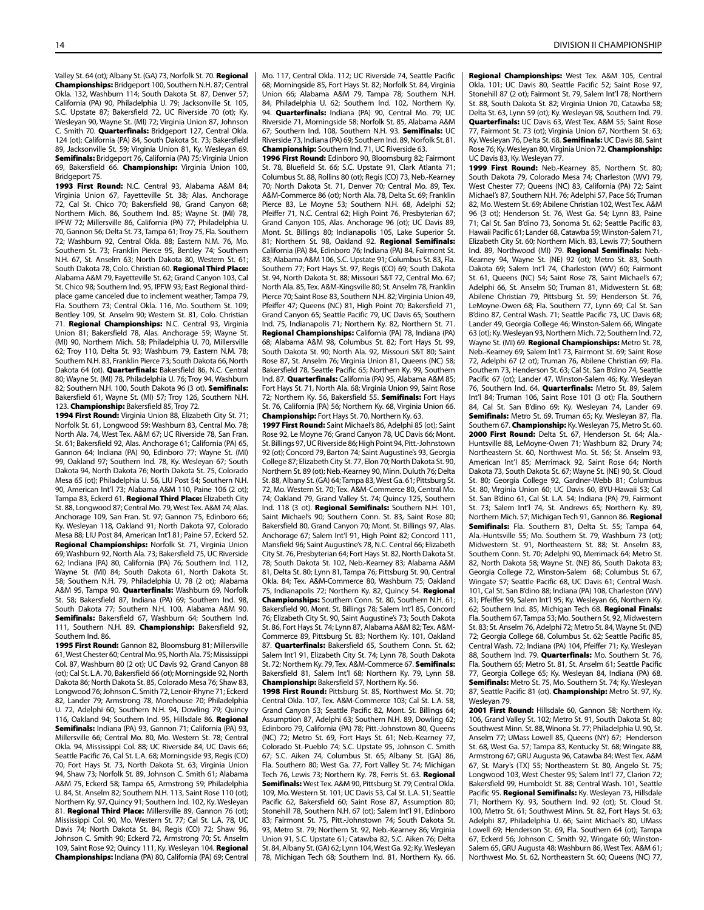Valley St. 64 (ot); Albany St. (GA) 73, Norfolk St. 70. Regional Championships: Bridgeport 100, Southern N.H. 87; Central Okla. 132, Washburn 114; South Dakota St. 87, Denver 57; California (PA) 90, Philadelphia U. 79; Jacksonville St. 105, S.C. Upstate 87; Bakersfield 72, UC Riverside 70 (ot); Ky. Wesleyan 90, Wayne St. (MI) 72; Virginia Union 87, Johnson C. Smith 70. Quarterfinals: Bridgeport 127, Central Okla. 124 (ot); California (PA) 84, South Dakota St. 73; Bakersfield 89, Jacksonville St. 59; Virginia Union 81, Ky. Wesleyan 69. Semifinals: Bridgeport 76, California (PA) 75; Virginia Union 69, Bakersfield 66. Championship: Virginia Union 100, Bridgeport 75.

1993 First Round: N.C. Central 93, Alabama A&M 84; Virginia Union 67, Fayetteville St. 38; Alas. Anchorage 72, Cal St. Chico 70; Bakersfield 98, Grand Canyon 68; Northern Mich. 86, Southern Ind. 85; Wayne St. (MI) 78, IPFW 72; Millersville 86, California (PA) 77; Philadelphia U. 70, Gannon 56; Delta St. 73, Tampa 61; Troy 75, Fla. Southern 72; Washburn 92, Central Okla. 88; Eastern N.M. 76, Mo. Southern St. 73; Franklin Pierce 95, Bentley 74; Southern N.H. 67, St. Anselm 63; North Dakota 80, Western St. 61; South Dakota 78, Colo. Christian 60. Regional Third Place: Alabama A&M 79, Fayetteville St. 62; Grand Canyon 103, Cal St. Chico 98; Southern Ind. 95, IPFW 93; East Regional thirdplace game canceled due to inclement weather; Tampa 79, Fla. Southern 73; Central Okla. 116, Mo. Southern St. 109; Bentley 109, St. Anselm 90; Western St. 81, Colo. Christian 71. Regional Championships: N.C. Central 93, Virginia Union 81; Bakersfield 78, Alas. Anchorage 59; Wayne St. (MI) 90, Northern Mich. 58; Philadelphia U. 70, Millersville 62; Troy 110, Delta St. 93; Washburn 79, Eastern N.M. 78; Southern N.H. 83, Franklin Pierce 73; South Dakota 66, North Dakota 64 (ot). Quarterfinals: Bakersfield 86, N.C. Central 80; Wayne St. (MI) 78, Philadelphia U. 76; Troy 94, Washburn 82; Southern N.H. 100, South Dakota 96 (3 ot). Semifinals: Bakersfield 61, Wayne St. (MI) 57; Troy 126, Southern N.H. 123. Championship: Bakersfield 85, Troy 72.

1994 First Round: Virginia Union 88, Elizabeth City St. 71; Norfolk St. 61, Longwood 59; Washburn 83, Central Mo. 78; North Ala. 74, West Tex. A&M 67; UC Riverside 78, San Fran. St. 61; Bakersfield 92, Alas. Anchorage 61; California (PA) 65, Gannon 64; Indiana (PA) 90, Edinboro 77; Wayne St. (MI) 99, Oakland 97; Southern Ind. 78, Ky. Wesleyan 67; South Dakota 94, North Dakota 76; North Dakota St. 75, Colorado Mesa 65 (ot); Philadelphia U. 56, LIU Post 54; Southern N.H. 90, American Int'l 73; Alabama A&M 110, Paine 106 (2 ot); Tampa 83, Eckerd 61. Regional Third Place: Elizabeth City St. 88, Longwood 87; Central Mo. 79, West Tex. A&M 74; Alas. Anchorage 109, San Fran. St. 97; Gannon 75, Edinboro 66; Ky. Wesleyan 118, Oakland 91; North Dakota 97, Colorado Mesa 88; LIU Post 84, American Int'l 81; Paine 57, Eckerd 52. Regional Championships: Norfolk St. 71, Virginia Union 69; Washburn 92, North Ala. 73; Bakersfield 75, UC Riverside 62; Indiana (PA) 80, California (PA) 76; Southern Ind. 112, Wayne St. (MI) 84; South Dakota 61, North Dakota St. 58; Southern N.H. 79, Philadelphia U. 78 (2 ot); Alabama A&M 95, Tampa 90. Quarterfinals: Washburn 69, Norfolk St. 58; Bakersfield 87, Indiana (PA) 69; Southern Ind. 98, South Dakota 77; Southern N.H. 100, Alabama A&M 90. Semifinals: Bakersfield 67, Washburn 64; Southern Ind. 111, Southern N.H. 89. Championship: Bakersfield 92, Southern Ind. 86.

1995 First Round: Gannon 82, Bloomsburg 81; Millersville 61, West Chester 60; Central Mo. 95, North Ala. 75; Mississippi Col. 87, Washburn 80 (2 ot); UC Davis 92, Grand Canyon 88 (ot); Cal St. L.A. 70, Bakersfield 66 (ot); Morningside 92, North Dakota 86; North Dakota St. 85, Colorado Mesa 76; Shaw 83, Longwood 76; Johnson C. Smith 72, Lenoir-Rhyne 71; Eckerd 82, Lander 79; Armstrong 78, Morehouse 70; Philadelphia U. 72, Adelphi 60; Southern N.H. 94, Dowling 79; Quincy 116, Oakland 94; Southern Ind. 95, Hillsdale 86. Regional Semifinals: Indiana (PA) 93, Gannon 71; California (PA) 93, Millersville 66; Central Mo. 80, Mo. Western St. 78; Central Okla. 94, Mississippi Col. 88; UC Riverside 84, UC Davis 66; Seattle Pacific 76, Cal St. L.A. 68; Morningside 93, Regis (CO) 70; Fort Hays St. 73, North Dakota St. 63; Virginia Union 94, Shaw 73; Norfolk St. 89, Johnson C. Smith 61; Alabama A&M 75, Eckerd 58; Tampa 65, Armstrong 59; Philadelphia U. 84, St. Anselm 82; Southern N.H. 113, Saint Rose 110 (ot); Northern Ky. 97, Quincy 91; Southern Ind. 102, Ky. Wesleyan 81. Regional Third Place: Millersville 89, Gannon 76 (ot): Mississippi Col. 90, Mo. Western St. 77; Cal St. L.A. 78, UC Davis 74; North Dakota St. 84, Regis (CO) 72; Shaw 96, Johnson C. Smith 90; Eckerd 72, Armstrong 70; St. Anselm 109, Saint Rose 92; Quincy 111, Ky. Wesleyan 104. Regional Championships: Indiana (PA) 80, California (PA) 69; Central Mo. 117, Central Okla. 112; UC Riverside 74, Seattle Pacific 68; Morningside 85, Fort Hays St. 82; Norfolk St. 84, Virginia Union 66; Alabama A&M 79, Tampa 78; Southern N.H. 84, Philadelphia U. 62; Southern Ind. 102, Northern Ky. 94. Quarterfinals: Indiana (PA) 90, Central Mo. 79; UC Riverside 71, Morningside 58; Norfolk St. 85, Alabama A&M 67; Southern Ind. 108, Southern N.H. 93. Semifinals: UC Riverside 73, Indiana (PA) 69; Southern Ind. 89, Norfolk St. 81. Championship: Southern Ind. 71, UC Riverside 63.

1996 First Round: Edinboro 90, Bloomsburg 82; Fairmont St. 78, Bluefield St. 66; S.C. Upstate 91, Clark Atlanta 71; Columbus St. 88, Rollins 80 (ot); Regis (CO) 73, Neb.-Kearney 70; North Dakota St. 71, Denver 70; Central Mo. 89, Tex. A&M-Commerce 86 (ot); North Ala. 78, Delta St. 69; Franklin Pierce 83, Le Moyne 53; Southern N.H. 68, Adelphi 52; Pfeiffer 71, N.C. Central 62: High Point 76, Presbyterian 67; Grand Canyon 105, Alas. Anchorage 96 (ot); UC Davis 89, Mont. St. Billings 80; Indianapolis 105, Lake Superior St. 81; Northern St. 98, Oakland 92. Regional Semifinals: California (PA) 84, Edinboro 76; Indiana (PA) 84, Fairmont St. 83; Alabama A&M 106, S.C. Upstate 91; Columbus St. 83, Fla. Southern 77; Fort Hays St. 97, Regis (CO) 69; South Dakota St. 94, North Dakota St. 88; Missouri S&T 72, Central Mo. 67; North Ala. 85, Tex. A&M-Kingsville 80; St. Anselm 78, Franklin Pierce 70; Saint Rose 83, Southern N.H. 82; Virginia Union 49, Pfeiffer 47; Queens (NC) 81, High Point 70; Bakersfield 71, Grand Canyon 65; Seattle Pacific 79, UC Davis 65; Southern Ind. 75, Indianapolis 71; Northern Ky. 82, Northern St. 71. Regional Championships: California (PA) 78, Indiana (PA) 68; Alabama A&M 98, Columbus St. 82; Fort Hays St. 99, South Dakota St. 90; North Ala. 92, Missouri S&T 80; Saint Rose 87, St. Anselm 76; Virginia Union 81, Queens (NC) 58; Bakersfield 78, Seattle Pacific 65; Northern Ky. 99, Southern Ind. 87. Quarterfinals: California (PA) 95, Alabama A&M 85; Fort Hays St. 71, North Ala. 68; Virginia Union 99, Saint Rose 72; Northern Ky. 56, Bakersfield 55. Semifinals: Fort Hays St. 76, California (PA) 56; Northern Ky. 68, Virginia Union 66. Championship: Fort Hays St. 70, Northern Ky. 63.

1997 First Round: Saint Michael's 86, Adelphi 85 (ot); Saint Rose 92, Le Moyne 76; Grand Canyon 78, UC Davis 66; Mont. St. Billings 97, UC Riverside 86; High Point 94, Pitt.-Johnstown 92 (ot); Concord 79, Barton 74; Saint Augustine's 93, Georgia College 87; Elizabeth City St. 77, Elon 70; North Dakota St. 90, Northern St. 89 (ot); Neb.-Kearney 90, Minn. Duluth 76; Delta St. 88, Albany St. (GA) 64; Tampa 83, West Ga. 61; Pittsburg St. 72, Mo. Western St. 70; Tex. A&M-Commerce 80, Central Mo. 74; Oakland 79, Grand Valley St. 74; Quincy 125, Southern Ind. 118 (3 ot). Regional Semifinals: Southern N.H. 101, Saint Michael's 90; Southern Conn. St. 83, Saint Rose 80; Bakersfield 80, Grand Canyon 70; Mont. St. Billings 97, Alas. Anchorage 67; Salem Int'l 91, High Point 82; Concord 111, Mansfield 96; Saint Augustine's 78, N.C. Central 66; Elizabeth City St. 76, Presbyterian 64; Fort Hays St. 82, North Dakota St. 78; South Dakota St. 102, Neb.-Kearney 83; Alabama A&M 81, Delta St. 80; Lynn 81, Tampa 76; Pittsburg St. 90, Central Okla. 84; Tex. A&M-Commerce 80, Washburn 75; Oakland 75, Indianapolis 72; Northern Ky. 82, Quincy 54. Regional Championships: Southern Conn. St. 80, Southern N.H. 61; Bakersfield 90, Mont. St. Billings 78; Salem Int'l 85, Concord 76; Elizabeth City St. 90, Saint Augustine's 73; South Dakota St. 86, Fort Hays St. 74; Lynn 87, Alabama A&M 82; Tex. A&M-Commerce 89, Pittsburg St. 83; Northern Ky. 101, Oakland 87. Quarterfinals: Bakersfield 65, Southern Conn. St. 62; Salem Int'l 91, Elizabeth City St. 74; Lynn 78, South Dakota St. 72; Northern Ky. 79, Tex. A&M-Commerce 67. Semifinals: Bakersfield 81, Salem Int'l 68; Northern Ky. 79, Lynn 58. Championship: Bakersfield 57, Northern Ky. 56.

1998 First Round: Pittsburg St. 85, Northwest Mo. St. 70; Central Okla. 107, Tex. A&M-Commerce 103; Cal St. L.A. 58, Grand Canyon 53; Seattle Pacific 82, Mont. St. Billings 64; Assumption 87, Adelphi 63; Southern N.H. 89, Dowling 62; Edinboro 79, California (PA) 78; Pitt.-Johnstown 80, Queens (NC) 72; Metro St. 69, Fort Hays St. 61; Neb.-Kearney 77, Colorado St.-Pueblo 74; S.C. Upstate 95, Johnson C. Smith 67; S.C. Aiken 74, Columbus St. 65; Albany St. (GA) 86, Fla. Southern 80; West Ga. 77, Fort Valley St. 74; Michigan Tech 76, Lewis 73; Northern Ky. 78, Ferris St. 63. Regional Semifinals: West Tex. A&M 90, Pittsburg St. 79; Central Okla. 109, Mo. Western St. 101; UC Davis 53, Cal St. L.A. 51; Seattle Pacific 62, Bakersfield 60; Saint Rose 87, Assumption 80; Stonehill 78, Southern N.H. 67 (ot); Salem Int'l 91, Edinboro 83; Fairmont St. 75, Pitt.-Johnstown 74; South Dakota St. 93, Metro St. 79; Northern St. 92, Neb.-Kearney 86; Virginia Union 91, S.C. Upstate 61; Catawba 82, S.C. Aiken 76; Delta St. 84, Albany St. (GA) 62; Lynn 104, West Ga. 92; Ky. Wesleyan 78, Michigan Tech 68; Southern Ind. 81, Northern Ky. 66. Regional Championships: West Tex. A&M 105, Central Okla. 101; UC Davis 80, Seattle Pacific 52; Saint Rose 97, Stonehill 87 (2 ot); Fairmont St. 79, Salem Int'l 78; Northern St. 88, South Dakota St. 82; Virginia Union 70, Catawba 58; Delta St. 63, Lynn 59 (ot); Ky. Wesleyan 98, Southern Ind. 79. Quarterfinals: UC Davis 63, West Tex. A&M 55; Saint Rose 77, Fairmont St. 73 (ot); Virginia Union 67, Northern St. 63; Ky. Wesleyan 76, Delta St. 68. Semifinals: UC Davis 88, Saint Rose 76; Ky. Wesleyan 80, Virginia Union 72. Championship: UC Davis 83, Ky. Wesleyan 77.

1999 First Round: Neb.-Kearney 85, Northern St. 80; South Dakota 79, Colorado Mesa 74; Charleston (WV) 79, West Chester 77; Queens (NC) 83, California (PA) 72; Saint Michael's 87, Southern N.H. 76; Adelphi 57, Pace 56; Truman 82, Mo. Western St. 69; Abilene Christian 102, West Tex. A&M 96 (3 ot); Henderson St. 76, West Ga. 54; Lynn 83, Paine 71; Cal St. San B'dino 73, Sonoma St. 62; Seattle Pacific 83, Hawaii Pacific 61; Lander 68, Catawba 59; Winston-Salem 71, Elizabeth City St. 60; Northern Mich. 83, Lewis 77; Southern Ind. 89, Northwood (MI) 79. Regional Semifinals: Neb.-Kearney 94, Wayne St. (NE) 92 (ot); Metro St. 83, South Dakota 69; Salem Int'l 74, Charleston (WV) 60; Fairmont St. 61, Queens (NC) 54; Saint Rose 78, Saint Michael's 67; Adelphi 66, St. Anselm 50; Truman 81, Midwestern St. 68; Abilene Christian 79, Pittsburg St. 59; Henderson St. 76, LeMoyne-Owen 68; Fla. Southern 77, Lynn 69; Cal St. San B'dino 87, Central Wash. 71; Seattle Pacific 73, UC Davis 68; Lander 49, Georgia College 46; Winston-Salem 66, Wingate 63 (ot); Ky. Wesleyan 93, Northern Mich. 72; Southern Ind. 72, Wayne St. (MI) 69. Regional Championships: Metro St. 78, Neb.-Kearney 69; Salem Int'l 73, Fairmont St. 69; Saint Rose 72, Adelphi 67 (2 ot); Truman 76, Abilene Christian 69; Fla. Southern 73, Henderson St. 63; Cal St. San B'dino 74, Seattle Pacific 67 (ot); Lander 47, Winston-Salem 46; Ky. Wesleyan 76, Southern Ind. 64. Quarterfinals: Metro St. 89, Salem Int'l 84; Truman 106, Saint Rose 101 (3 ot); Fla. Southern 84, Cal St. San B'dino 69; Ky. Wesleyan 74, Lander 69. Semifinals: Metro St. 69, Truman 65; Ky. Wesleyan 87, Fla. Southern 67. Championship: Ky. Wesleyan 75, Metro St. 60. 2000 First Round: Delta St. 67, Henderson St. 64; Ala.- Huntsville 88, LeMoyne-Owen 71; Washburn 82, Drury 74; Northeastern St. 60, Northwest Mo. St. 56; St. Anselm 93, American Int'l 85; Merrimack 92, Saint Rose 64; North Dakota 73, South Dakota St. 67; Wayne St. (NE) 90, St. Cloud St. 80; Georgia College 92, Gardner-Webb 81; Columbus St. 80, Virginia Union 60; UC Davis 60, BYU-Hawaii 53; Cal St. San B'dino 61, Cal St. L.A. 54; Indiana (PA) 79, Fairmont St. 73; Salem Int'l 74, St. Andrews 65; Northern Ky. 89, Northern Mich. 57; Michigan Tech 91, Gannon 86. Regional Semifinals: Fla. Southern 81, Delta St. 55; Tampa 64, Ala.-Huntsville 55; Mo. Southern St. 79, Washburn 73 (ot); Midwestern St. 91, Northeastern St. 88; St. Anselm 83, Southern Conn. St. 70; Adelphi 90, Merrimack 64; Metro St. 82, North Dakota 58; Wayne St. (NE) 86, South Dakota 83; Georgia College 72, Winston-Salem 68; Columbus St. 67, Wingate 57; Seattle Pacific 68, UC Davis 61; Central Wash. 101, Cal St. San B'dino 88; Indiana (PA) 108, Charleston (WV) 81; Pfeiffer 99, Salem Int'l 95; Ky. Wesleyan 66, Northern Ky. 62; Southern Ind. 85, Michigan Tech 68. Regional Finals: Fla. Southern 67, Tampa 53; Mo. Southern St. 92, Midwestern St. 83; St. Anselm 76, Adelphi 72; Metro St. 84, Wayne St. (NE) 72; Georgia College 68, Columbus St. 62; Seattle Pacific 85, Central Wash. 72; Indiana (PA) 104, Pfeiffer 71; Ky. Wesleyan 88, Southern Ind. 79. Quarterfinals: Mo. Southern St. 76, Fla. Southern 65; Metro St. 81, St. Anselm 61; Seattle Pacific 77, Georgia College 65; Ky. Wesleyan 84, Indiana (PA) 68. Semifinals: Metro St. 75, Mo. Southern St. 74; Ky. Wesleyan 87, Seattle Pacific 81 (ot). Championship: Metro St. 97, Ky. Wesleyan 79.

2001 First Round: Hillsdale 60, Gannon 58; Northern Ky. 106, Grand Valley St. 102; Metro St. 91, South Dakota St. 80; Southwest Minn. St. 88, Winona St. 77; Philadelphia U. 90, St. Anselm 77; UMass Lowell 85, Queens (NY) 67; Henderson St. 68, West Ga. 57; Tampa 83, Kentucky St. 68; Wingate 88, Armstrong 67; GRU Augusta 96, Catawba 84; West Tex. A&M 67, St. Mary's (TX) 55; Northeastern St. 80, Angelo St. 75; Longwood 103, West Chester 95; Salem Int'l 77, Clarion 72; Bakersfield 99, Humboldt St. 88; Central Wash. 101, Seattle Pacific 95. Regional Semifinals: Ky. Wesleyan 73, Hillsdale 71; Northern Ky. 93, Southern Ind. 92 (ot); St. Cloud St. 100, Metro St. 61; Southwest Minn. St. 82, Fort Hays St. 63; Adelphi 87, Philadelphia U. 66; Saint Michael's 80, UMass Lowell 69; Henderson St. 69, Fla. Southern 64 (ot); Tampa 67, Eckerd 56; Johnson C. Smith 92, Wingate 60; Winston-Salem 65, GRU Augusta 48; Washburn 86, West Tex. A&M 61; Northwest Mo. St. 62, Northeastern St. 60; Queens (NC) 77,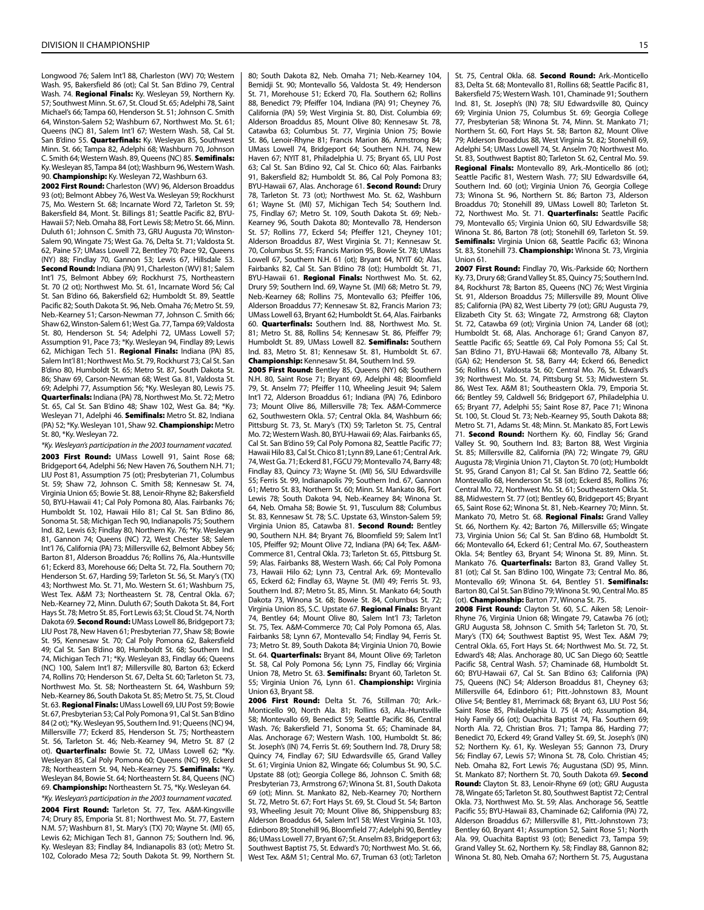Longwood 76; Salem Int'l 88, Charleston (WV) 70; Western Wash. 95, Bakersfield 86 (ot); Cal St. San B'dino 79, Central Wash. 74. Regional Finals: Ky. Wesleyan 59, Northern Ky. 57; Southwest Minn. St. 67, St. Cloud St. 65; Adelphi 78, Saint Michael's 66; Tampa 60, Henderson St. 51; Johnson C. Smith 64, Winston-Salem 52; Washburn 67, Northwest Mo. St. 61; Queens (NC) 81, Salem Int'l 67; Western Wash. 58, Cal St. San B'dino 55. Quarterfinals: Ky. Wesleyan 85, Southwest Minn. St. 66; Tampa 82, Adelphi 68; Washburn 70, Johnson C. Smith 64; Western Wash. 89, Queens (NC) 85. Semifinals: Ky. Wesleyan 85, Tampa 84 (ot); Washburn 96, Western Wash. 90. Championship: Ky. Wesleyan 72, Washburn 63.

2002 First Round: Charleston (WV) 96, Alderson Broaddus 93 (ot); Belmont Abbey 76, West Va. Wesleyan 59; Rockhurst 75, Mo. Western St. 68; Incarnate Word 72, Tarleton St. 59; Bakersfield 84, Mont. St. Billings 81; Seattle Pacific 82, BYU-Hawaii 57; Neb. Omaha 88, Fort Lewis 58; Metro St. 66, Minn. Duluth 61; Johnson C. Smith 73, GRU Augusta 70; Winston-Salem 90, Wingate 75; West Ga. 76, Delta St. 71; Valdosta St. 62, Paine 57; UMass Lowell 72, Bentley 70; Pace 92, Queens (NY) 88; Findlay 70, Gannon 53; Lewis 67, Hillsdale 53. Second Round: Indiana (PA) 91, Charleston (WV) 81; Salem Int'l 75, Belmont Abbey 69; Rockhurst 75, Northeastern St. 70 (2 ot); Northwest Mo. St. 61, Incarnate Word 56; Cal St. San B'dino 66, Bakersfield 62; Humboldt St. 89, Seattle Pacific 82; South Dakota St. 96, Neb. Omaha 76; Metro St. 59, Neb.-Kearney 51; Carson-Newman 77, Johnson C. Smith 66; Shaw 62, Winston-Salem 61; West Ga. 77, Tampa 69; Valdosta St. 80, Henderson St. 54; Adelphi 72, UMass Lowell 57; Assumption 91, Pace 73; \*Ky. Wesleyan 94, Findlay 89; Lewis 62, Michigan Tech 51. Regional Finals: Indiana (PA) 85, Salem Int'l 81; Northwest Mo. St. 79, Rockhurst 73; Cal St. San B'dino 80, Humboldt St. 65; Metro St. 87, South Dakota St. 86; Shaw 69, Carson-Newman 68; West Ga. 81, Valdosta St. 69; Adelphi 77, Assumption 56; \*Ky. Wesleyan 80, Lewis 75. Quarterfinals: Indiana (PA) 78, Northwest Mo. St. 72; Metro St. 65, Cal St. San B'dino 48; Shaw 102, West Ga. 84; \*Ky. Wesleyan 71, Adelphi 46. Semifinals: Metro St. 82, Indiana (PA) 52; \*Ky. Wesleyan 101, Shaw 92. Championship: Metro St. 80, \*Ky. Wesleyan 72.

*\*Ky. Wesleyan's participation in the 2003 tournament vacated.* 2003 First Round: UMass Lowell 91, Saint Rose 68: Bridgeport 64, Adelphi 56; New Haven 76, Southern N.H. 71; LIU Post 81, Assumption 75 (ot); Presbyterian 71, Columbus St. 59; Shaw 72, Johnson C. Smith 58; Kennesaw St. 74, Virginia Union 65; Bowie St. 88, Lenoir-Rhyne 82; Bakersfield 50, BYU-Hawaii 41; Cal Poly Pomona 80, Alas. Fairbanks 76; Humboldt St. 102, Hawaii Hilo 81; Cal St. San B'dino 86, Sonoma St. 58; Michigan Tech 90, Indianapolis 75; Southern Ind. 82, Lewis 63; Findlay 80, Northern Ky. 76; \*Ky. Wesleyan 81, Gannon 74; Queens (NC) 72, West Chester 58; Salem Int'l 76, California (PA) 73; Millersville 62, Belmont Abbey 56; Barton 81, Alderson Broaddus 76; Rollins 76, Ala.-Huntsville 61; Eckerd 83, Morehouse 66; Delta St. 72, Fla. Southern 70; Henderson St. 67, Harding 59; Tarleton St. 56, St. Mary's (TX) 43; Northwest Mo. St. 71, Mo. Western St. 61; Washburn 75, West Tex. A&M 73; Northeastern St. 78, Central Okla. 67; Neb.-Kearney 72, Minn. Duluth 67; South Dakota St. 84, Fort Hays St. 78; Metro St. 85, Fort Lewis 63; St. Cloud St. 74, North Dakota 69. Second Round: UMass Lowell 86, Bridgeport 73; LIU Post 78, New Haven 61; Presbyterian 77, Shaw 58; Bowie St. 95, Kennesaw St. 70; Cal Poly Pomona 62, Bakersfield 49; Cal St. San B'dino 80, Humboldt St. 68; Southern Ind. 74, Michigan Tech 71; \*Ky. Wesleyan 83, Findlay 66; Queens (NC) 100, Salem Int'l 87; Millersville 80, Barton 63; Eckerd 74, Rollins 70; Henderson St. 67, Delta St. 60; Tarleton St. 73, Northwest Mo. St. 58; Northeastern St. 64, Washburn 59; Neb.-Kearney 86, South Dakota St. 85; Metro St. 75, St. Cloud St. 63. Regional Finals: UMass Lowell 69, LIU Post 59; Bowie St. 67, Presbyterian 53; Cal Poly Pomona 91, Cal St. San B'dino 84 (2 ot); \*Ky. Wesleyan 95, Southern Ind. 91; Queens (NC) 94, Millersville 77; Eckerd 85, Henderson St. 75; Northeastern St. 56, Tarleton St. 46; Neb.-Kearney 94, Metro St. 87 (2 ot). Quarterfinals: Bowie St. 72, UMass Lowell 62; \*Ky. Wesleyan 85, Cal Poly Pomona 60; Queens (NC) 99, Eckerd 78; Northeastern St. 94, Neb.-Kearney 75. Semifinals: \*Ky. Wesleyan 84, Bowie St. 64; Northeastern St. 84, Queens (NC) 69. Championship: Northeastern St. 75, \*Ky. Wesleyan 64.

*\*Ky. Wesleyan's participation in the 2003 tournament vacated.* 2004 First Round: Tarleton St. 77, Tex. A&M-Kingsville 74; Drury 85, Emporia St. 81; Northwest Mo. St. 77, Eastern N.M. 57; Washburn 81, St. Mary's (TX) 70; Wayne St. (MI) 65, Lewis 62; Michigan Tech 81, Gannon 75; Southern Ind. 96, Ky. Wesleyan 83; Findlay 84, Indianapolis 83 (ot); Metro St. 102, Colorado Mesa 72; South Dakota St. 99, Northern St. 80; South Dakota 82, Neb. Omaha 71; Neb.-Kearney 104, Bemidji St. 90; Montevallo 56, Valdosta St. 49; Henderson St. 71, Morehouse 51; Eckerd 70, Fla. Southern 62; Rollins 88, Benedict 79; Pfeiffer 104, Indiana (PA) 91; Cheyney 76, California (PA) 59; West Virginia St. 80, Dist. Columbia 69; Alderson Broaddus 85, Mount Olive 80; Kennesaw St. 78, Catawba 63; Columbus St. 77, Virginia Union 75; Bowie St. 86, Lenoir-Rhyne 81; Francis Marion 86, Armstrong 84; UMass Lowell 74, Bridgeport 64; Southern N.H. 74, New Haven 67; NYIT 81, Philadelphia U. 75; Bryant 65, LIU Post 63; Cal St. San B'dino 92, Cal St. Chico 60; Alas. Fairbanks 91, Bakersfield 82; Humboldt St. 86, Cal Poly Pomona 83; BYU-Hawaii 67, Alas. Anchorage 61. Second Round: Drury 78, Tarleton St. 73 (ot); Northwest Mo. St. 62, Washburn 61; Wayne St. (MI) 57, Michigan Tech 54; Southern Ind. 75, Findlay 67; Metro St. 109, South Dakota St. 69; Neb.- Kearney 96, South Dakota 80; Montevallo 78, Henderson St. 57; Rollins 77, Eckerd 54; Pfeiffer 121, Cheyney 101; Alderson Broaddus 87, West Virginia St. 71; Kennesaw St. 70, Columbus St. 55; Francis Marion 95, Bowie St. 78; UMass Lowell 67, Southern N.H. 61 (ot); Bryant 64, NYIT 60; Alas. Fairbanks 82, Cal St. San B'dino 78 (ot); Humboldt St. 71, BYU-Hawaii 61. Regional Finals: Northwest Mo. St. 62, Drury 59; Southern Ind. 69, Wayne St. (MI) 68; Metro St. 79, Neb.-Kearney 68; Rollins 75, Montevallo 63; Pfeiffer 106, Alderson Broaddus 77; Kennesaw St. 82, Francis Marion 73; UMass Lowell 63, Bryant 62; Humboldt St. 64, Alas. Fairbanks 60. Quarterfinals: Southern Ind. 88, Northwest Mo. St. 81; Metro St. 88, Rollins 54; Kennesaw St. 86, Pfeiffer 79; Humboldt St. 89, UMass Lowell 82. Semifinals: Southern Ind. 83, Metro St. 81; Kennesaw St. 81, Humboldt St. 67. Championship: Kennesaw St. 84, Southern Ind. 59.

2005 First Round: Bentley 85, Queens (NY) 68; Southern N.H. 80, Saint Rose 71; Bryant 69, Adelphi 48; Bloomfield 79, St. Anselm 77; Pfeiffer 110, Wheeling Jesuit 94; Salem Int'l 72, Alderson Broaddus 61; Indiana (PA) 76, Edinboro 73; Mount Olive 86, Millersville 78; Tex. A&M-Commerce 62, Southwestern Okla. 57; Central Okla. 84, Washburn 66; Pittsburg St. 73, St. Mary's (TX) 59; Tarleton St. 75, Central Mo. 72; Western Wash. 80, BYU-Hawaii 69; Alas. Fairbanks 65, Cal St. San B'dino 59; Cal Poly Pomona 82, Seattle Pacific 77; Hawaii Hilo 83, Cal St. Chico 81; Lynn 89, Lane 61; Central Ark. 74, West Ga. 71; Eckerd 81, FGCU 79; Montevallo 74, Barry 48; Findlay 83, Quincy 73; Wayne St. (MI) 56, SIU Edwardsville 55; Ferris St. 99, Indianapolis 79; Southern Ind. 67, Gannon 61; Metro St. 83, Northern St. 60; Minn. St. Mankato 86, Fort Lewis 78; South Dakota 94, Neb.-Kearney 84; Winona St. 64, Neb. Omaha 58; Bowie St. 91, Tusculum 88; Columbus St. 83, Kennesaw St. 78; S.C. Upstate 63, Winston-Salem 59; Virginia Union 85, Catawba 81. Second Round: Bentley 90, Southern N.H. 84; Bryant 76, Bloomfield 59; Salem Int'l 105, Pfeiffer 92; Mount Olive 72, Indiana (PA) 64; Tex. A&M-Commerce 81, Central Okla. 73; Tarleton St. 65, Pittsburg St. 59; Alas. Fairbanks 88, Western Wash. 66; Cal Poly Pomona 73, Hawaii Hilo 62; Lynn 73, Central Ark. 69; Montevallo 65, Eckerd 62; Findlay 63, Wayne St. (MI) 49; Ferris St. 93, Southern Ind. 87; Metro St. 85, Minn. St. Mankato 64; South Dakota 73, Winona St. 68; Bowie St. 84, Columbus St. 72; Virginia Union 85, S.C. Upstate 67. Regional Finals: Bryant 74, Bentley 64; Mount Olive 80, Salem Int'l 73; Tarleton St. 75, Tex. A&M-Commerce 70; Cal Poly Pomona 65, Alas. Fairbanks 58; Lynn 67, Montevallo 54; Findlay 94, Ferris St. 73; Metro St. 89, South Dakota 84; Virginia Union 70, Bowie St. 64. Quarterfinals: Bryant 84, Mount Olive 69; Tarleton St. 58, Cal Poly Pomona 56; Lynn 75, Findlay 66; Virginia Union 78, Metro St. 63. Semifinals: Bryant 60, Tarleton St. 55; Virginia Union 76, Lynn 61. Championship: Virginia Union 63, Bryant 58.

2006 First Round: Delta St. 76, Stillman 70; Ark.- Monticello 90, North Ala. 81; Rollins 63, Ala.-Huntsville 58; Montevallo 69, Benedict 59; Seattle Pacific 86, Central Wash. 76; Bakersfield 71, Sonoma St. 65; Chaminade 84, Alas. Anchorage 67; Western Wash. 100, Humboldt St. 86; St. Joseph's (IN) 74, Ferris St. 69; Southern Ind. 78, Drury 58; Quincy 74, Findlay 67; SIU Edwardsville 65, Grand Valley St. 61; Virginia Union 82, Wingate 66; Columbus St. 90, S.C. Upstate 88 (ot); Georgia College 86, Johnson C. Smith 68; Presbyterian 73, Armstrong 67; Winona St. 81, South Dakota 69 (ot); Minn. St. Mankato 82, Neb.-Kearney 70; Northern St. 72, Metro St. 67; Fort Hays St. 69, St. Cloud St. 54; Barton 93, Wheeling Jesuit 70; Mount Olive 86, Shippensburg 83; Alderson Broaddus 64, Salem Int'l 58; West Virginia St. 103, Edinboro 89; Stonehill 96, Bloomfield 77; Adelphi 90, Bentley 86; UMass Lowell 77, Bryant 67; St. Anselm 83, Bridgeport 63; Southwest Baptist 75, St. Edward's 70; Northwest Mo. St. 66, West Tex. A&M 51; Central Mo. 67, Truman 63 (ot); Tarleton St. 75, Central Okla. 68. Second Round: Ark.-Monticello 83, Delta St. 68; Montevallo 81, Rollins 68; Seattle Pacific 81, Bakersfield 75; Western Wash. 101, Chaminade 91; Southern Ind. 81, St. Joseph's (IN) 78; SIU Edwardsville 80, Quincy 69; Virginia Union 75, Columbus St. 69; Georgia College 77, Presbyterian 58; Winona St. 74, Minn. St. Mankato 71; Northern St. 60, Fort Hays St. 58; Barton 82, Mount Olive 79; Alderson Broaddus 88, West Virginia St. 82; Stonehill 69, Adelphi 54; UMass Lowell 74, St. Anselm 70; Northwest Mo. St. 83, Southwest Baptist 80; Tarleton St. 62, Central Mo. 59. Regional Finals: Montevallo 89, Ark.-Monticello 86 (ot); Seattle Pacific 81, Western Wash. 77; SIU Edwardsville 64, Southern Ind. 60 (ot); Virginia Union 76, Georgia College 73; Winona St. 96, Northern St. 86; Barton 73, Alderson Broaddus 70; Stonehill 89, UMass Lowell 80; Tarleton St. 72, Northwest Mo. St. 71. **Quarterfinals:** Seattle Pacific 79, Montevallo 65; Virginia Union 60, SIU Edwardsville 58; Winona St. 86, Barton 78 (ot); Stonehill 69, Tarleton St. 59. Semifinals: Virginia Union 68, Seattle Pacific 63; Winona St. 83, Stonehill 73. Championship: Winona St. 73, Virginia Union 61.

2007 First Round: Findlay 70, Wis.-Parkside 60; Northern Ky. 73, Drury 68; Grand Valley St. 85, Quincy 75; Southern Ind. 84, Rockhurst 78; Barton 85, Queens (NC) 76; West Virginia St. 91, Alderson Broaddus 75; Millersville 89, Mount Olive 85; California (PA) 82, West Liberty 79 (ot); GRU Augusta 79, Elizabeth City St. 63; Wingate 72, Armstrong 68; Clayton St. 72, Catawba 69 (ot); Virginia Union 74, Lander 68 (ot); Humboldt St. 68, Alas. Anchorage 61; Grand Canyon 87, Seattle Pacific 65; Seattle 69, Cal Poly Pomona 55; Cal St. San B'dino 71, BYU-Hawaii 68; Montevallo 78, Albany St. (GA) 62; Henderson St. 58, Barry 44; Eckerd 66, Benedict 56; Rollins 61, Valdosta St. 60; Central Mo. 76, St. Edward's 39; Northwest Mo. St. 74, Pittsburg St. 53; Midwestern St. 86, West Tex. A&M 81; Southeastern Okla. 79, Emporia St. 66; Bentley 59, Caldwell 56; Bridgeport 67, Philadelphia U. 65; Bryant 77, Adelphi 55; Saint Rose 87, Pace 71; Winona St. 100, St. Cloud St. 73; Neb.-Kearney 95, South Dakota 88; Metro St. 71, Adams St. 48; Minn. St. Mankato 85, Fort Lewis 71. Second Round: Northern Ky. 60, Findlay 56: Grand Valley St. 90, Southern Ind. 83; Barton 88, West Virginia St. 85; Millersville 82, California (PA) 72; Wingate 79, GRU Augusta 78; Virginia Union 71, Clayton St. 70 (ot); Humboldt St. 95, Grand Canyon 81; Cal St. San B'dino 72, Seattle 66; Montevallo 68, Henderson St. 58 (ot); Eckerd 85, Rollins 76; Central Mo. 72, Northwest Mo. St. 61; Southeastern Okla. St. 88, Midwestern St. 77 (ot); Bentley 60, Bridgeport 45; Bryant 65, Saint Rose 62; Winona St. 81, Neb.-Kearney 70; Minn. St. Mankato 70, Metro St. 68. Regional Finals: Grand Valley St. 66, Northern Ky. 42; Barton 76, Millersville 65; Wingate 73, Virginia Union 56; Cal St. San B'dino 68, Humboldt St. 66; Montevallo 64, Eckerd 61; Central Mo. 67, Southeastern Okla. 54; Bentley 63, Bryant 54; Winona St. 89, Minn. St. Mankato 76. Quarterfinals: Barton 83, Grand Valley St. 81 (ot); Cal St. San B'dino 100, Wingate 73; Central Mo. 86, Montevallo 69; Winona St. 64, Bentley 51. Semifinals: Barton 80, Cal St. San B'dino 79; Winona St. 90, Central Mo. 85 (ot). Championship: Barton 77, Winona St. 75.

2008 First Round: Clayton St. 60, S.C. Aiken 58; Lenoir-Rhyne 76, Virginia Union 68; Wingate 79, Catawba 76 (ot); GRU Augusta 58, Johnson C. Smith 54; Tarleton St. 70, St. Mary's (TX) 64; Southwest Baptist 95, West Tex. A&M 79; Central Okla. 65, Fort Hays St. 64; Northwest Mo. St. 72, St. Edward's 48; Alas. Anchorage 80, UC San Diego 60; Seattle Pacific 58, Central Wash. 57; Chaminade 68, Humboldt St. 60; BYU-Hawaii 67, Cal St. San B'dino 63; California (PA) 75, Queens (NC) 54; Alderson Broaddus 81, Cheyney 63; Millersville 64, Edinboro 61; Pitt.-Johnstown 83, Mount Olive 54; Bentley 81, Merrimack 68; Bryant 63, LIU Post 56; Saint Rose 85, Philadelphia U. 75 (4 ot); Assumption 84, Holy Family 66 (ot); Ouachita Baptist 74, Fla. Southern 69; North Ala. 72, Christian Bros. 71; Tampa 86, Harding 77; Benedict 70, Eckerd 49; Grand Valley St. 69, St. Joseph's (IN) 52; Northern Ky. 61, Ky. Wesleyan 55; Gannon 73, Drury 56; Findlay 67, Lewis 57; Winona St. 78, Colo. Christian 45; Neb. Omaha 82, Fort Lewis 76; Augustana (SD) 95, Minn. St. Mankato 87: Northern St. 70, South Dakota 69. Second Round: Clayton St. 83, Lenoir-Rhyne 69 (ot); GRU Augusta 78, Wingate 65; Tarleton St. 80, Southwest Baptist 72; Central Okla. 73, Northwest Mo. St. 59; Alas. Anchorage 56, Seattle Pacific 55; BYU-Hawaii 83, Chaminade 62; California (PA) 72, Alderson Broaddus 67; Millersville 81, Pitt.-Johnstown 73; Bentley 60, Bryant 41; Assumption 52, Saint Rose 51; North Ala. 99, Ouachita Baptist 93 (ot); Benedict 73, Tampa 59; Grand Valley St. 62, Northern Ky. 58; Findlay 88, Gannon 82; Winona St. 80, Neb. Omaha 67; Northern St. 75, Augustana